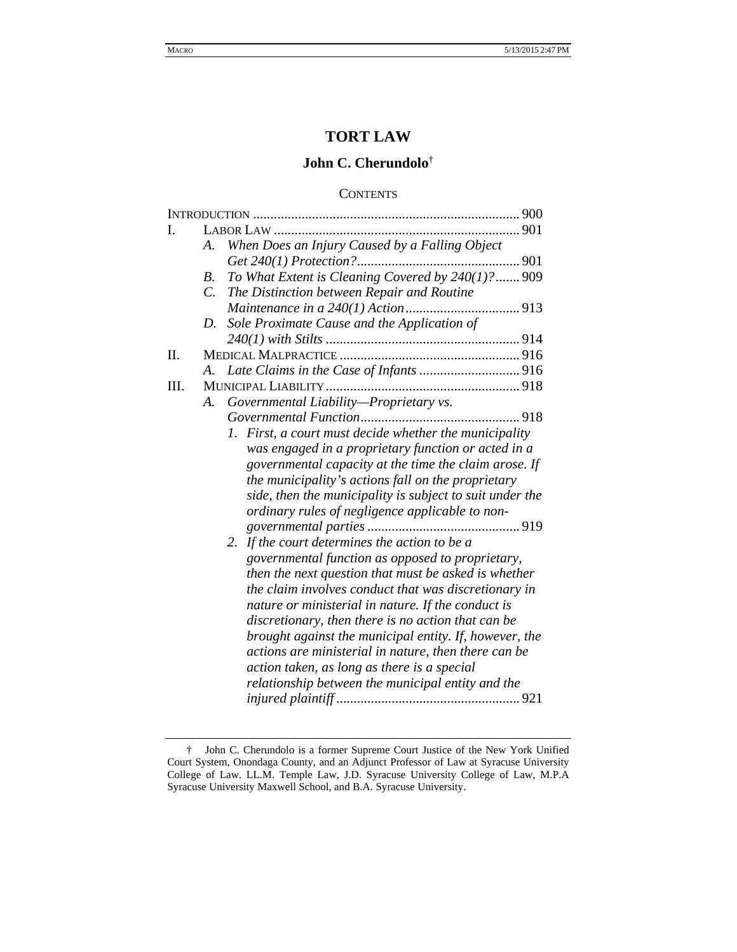# **TORT LAW**

# **John C. Cherundolo**†

### **CONTENTS**

| L  |             |                                                          |     |
|----|-------------|----------------------------------------------------------|-----|
|    | A.          | When Does an Injury Caused by a Falling Object           |     |
|    |             |                                                          |     |
|    | B.          | To What Extent is Cleaning Covered by 240(1)?  909       |     |
|    | $C_{\cdot}$ | The Distinction between Repair and Routine               |     |
|    |             |                                                          |     |
|    | D.          | Sole Proximate Cause and the Application of              |     |
|    |             |                                                          |     |
| Π. |             |                                                          |     |
|    | A.          |                                                          |     |
| Ш. |             |                                                          |     |
|    | A.          | Governmental Liability-Proprietary vs.                   |     |
|    |             |                                                          | 918 |
|    |             | 1. First, a court must decide whether the municipality   |     |
|    |             | was engaged in a proprietary function or acted in a      |     |
|    |             | governmental capacity at the time the claim arose. If    |     |
|    |             | the municipality's actions fall on the proprietary       |     |
|    |             | side, then the municipality is subject to suit under the |     |
|    |             | ordinary rules of negligence applicable to non-          |     |
|    |             |                                                          |     |
|    |             | 2. If the court determines the action to be a            |     |
|    |             | governmental function as opposed to proprietary,         |     |
|    |             | then the next question that must be asked is whether     |     |
|    |             | the claim involves conduct that was discretionary in     |     |
|    |             | nature or ministerial in nature. If the conduct is       |     |
|    |             | discretionary, then there is no action that can be       |     |
|    |             | brought against the municipal entity. If, however, the   |     |
|    |             | actions are ministerial in nature, then there can be     |     |
|    |             | action taken, as long as there is a special              |     |
|    |             | relationship between the municipal entity and the        |     |
|    |             |                                                          |     |
|    |             |                                                          |     |

 <sup>†</sup> John C. Cherundolo is a former Supreme Court Justice of the New York Unified Court System, Onondaga County, and an Adjunct Professor of Law at Syracuse University College of Law. LL.M. Temple Law, J.D. Syracuse University College of Law, M.P.A Syracuse University Maxwell School, and B.A. Syracuse University.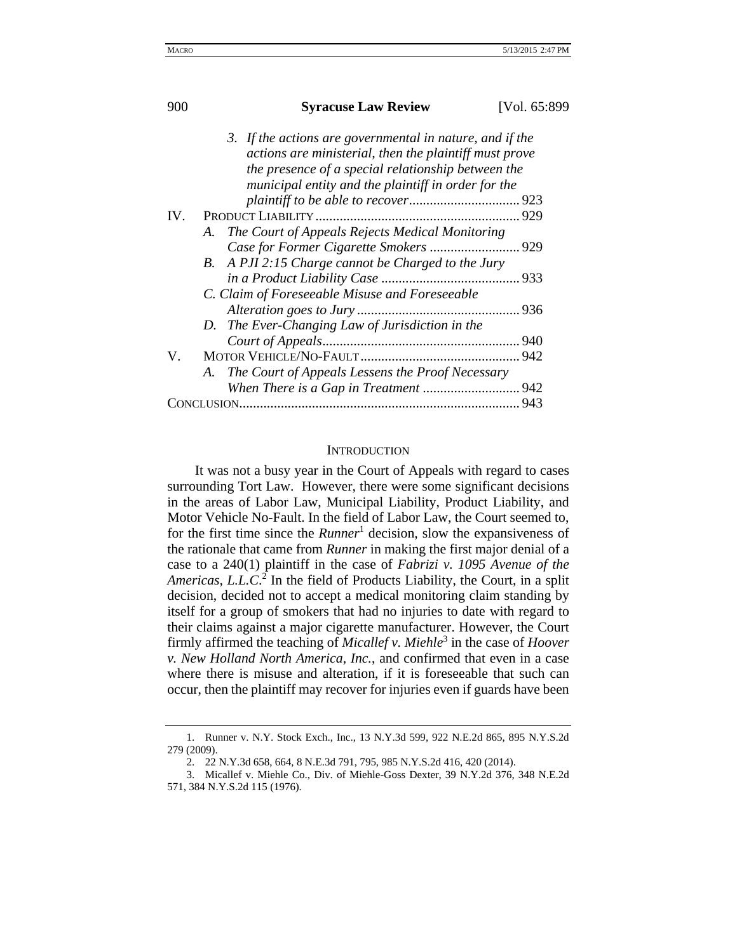| 900 | <b>Syracuse Law Review</b>                                                                                                                                                                                                      | [Vol. 65:899] |  |  |
|-----|---------------------------------------------------------------------------------------------------------------------------------------------------------------------------------------------------------------------------------|---------------|--|--|
|     | 3. If the actions are governmental in nature, and if the<br>actions are ministerial, then the plaintiff must prove<br>the presence of a special relationship between the<br>municipal entity and the plaintiff in order for the |               |  |  |
|     |                                                                                                                                                                                                                                 |               |  |  |
|     |                                                                                                                                                                                                                                 |               |  |  |
|     | The Court of Appeals Rejects Medical Monitoring<br>A.                                                                                                                                                                           |               |  |  |
|     |                                                                                                                                                                                                                                 |               |  |  |
|     | B. A PJI 2:15 Charge cannot be Charged to the Jury                                                                                                                                                                              |               |  |  |
|     |                                                                                                                                                                                                                                 |               |  |  |
|     | C. Claim of Foreseeable Misuse and Foreseeable                                                                                                                                                                                  |               |  |  |
|     |                                                                                                                                                                                                                                 |               |  |  |
|     | D. The Ever-Changing Law of Jurisdiction in the                                                                                                                                                                                 |               |  |  |
|     |                                                                                                                                                                                                                                 |               |  |  |
| V.  |                                                                                                                                                                                                                                 |               |  |  |
|     | The Court of Appeals Lessens the Proof Necessary<br>A.                                                                                                                                                                          |               |  |  |
|     |                                                                                                                                                                                                                                 |               |  |  |
|     |                                                                                                                                                                                                                                 |               |  |  |

### **INTRODUCTION**

It was not a busy year in the Court of Appeals with regard to cases surrounding Tort Law. However, there were some significant decisions in the areas of Labor Law, Municipal Liability, Product Liability, and Motor Vehicle No-Fault. In the field of Labor Law, the Court seemed to, for the first time since the *Runner*<sup>1</sup> decision, slow the expansiveness of the rationale that came from *Runner* in making the first major denial of a case to a 240(1) plaintiff in the case of *Fabrizi v. 1095 Avenue of the*  Americas, L.L.C.<sup>2</sup> In the field of Products Liability, the Court, in a split decision, decided not to accept a medical monitoring claim standing by itself for a group of smokers that had no injuries to date with regard to their claims against a major cigarette manufacturer. However, the Court firmly affirmed the teaching of *Micallef v. Miehle*<sup>3</sup> in the case of *Hoover v. New Holland North America, Inc.*, and confirmed that even in a case where there is misuse and alteration, if it is foreseeable that such can occur, then the plaintiff may recover for injuries even if guards have been

<sup>1.</sup> Runner v. N.Y. Stock Exch., Inc., 13 N.Y.3d 599, 922 N.E.2d 865, 895 N.Y.S.2d 279 (2009).

<sup>2. 22</sup> N.Y.3d 658, 664, 8 N.E.3d 791, 795, 985 N.Y.S.2d 416, 420 (2014).

<sup>3.</sup> Micallef v. Miehle Co., Div. of Miehle-Goss Dexter, 39 N.Y.2d 376, 348 N.E.2d 571, 384 N.Y.S.2d 115 (1976).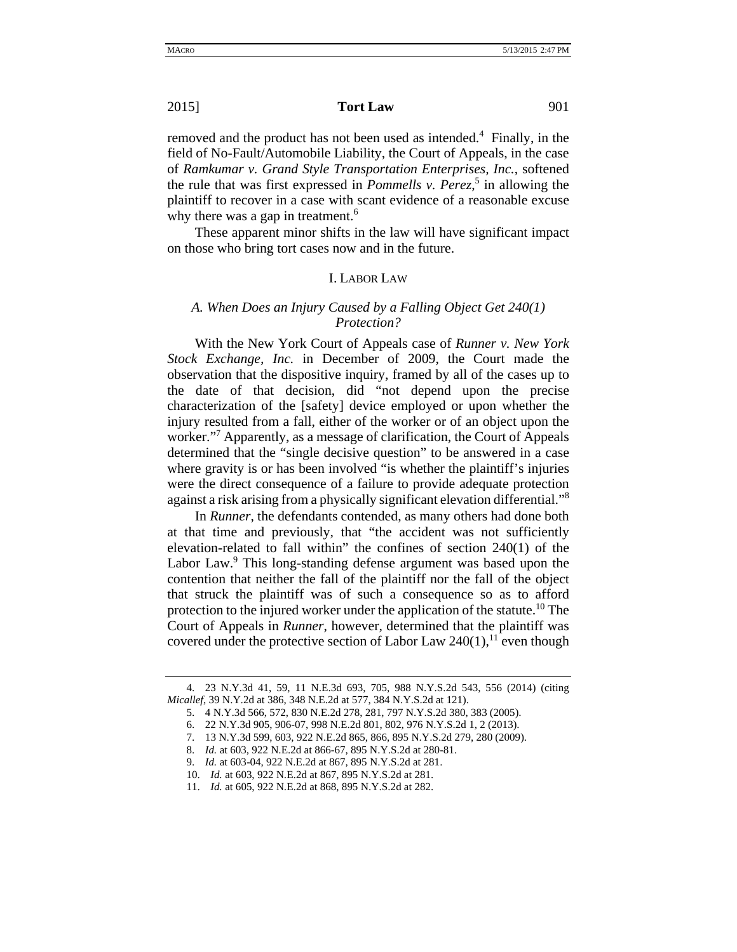## **2015 Tort Law** 901

removed and the product has not been used as intended.<sup>4</sup> Finally, in the field of No-Fault/Automobile Liability, the Court of Appeals, in the case of *Ramkumar v. Grand Style Transportation Enterprises, Inc.*, softened the rule that was first expressed in *Pommells v. Perez*, <sup>5</sup> in allowing the plaintiff to recover in a case with scant evidence of a reasonable excuse why there was a gap in treatment.<sup>6</sup>

These apparent minor shifts in the law will have significant impact on those who bring tort cases now and in the future.

#### I. LABOR LAW

## *A. When Does an Injury Caused by a Falling Object Get 240(1) Protection?*

With the New York Court of Appeals case of *Runner v. New York Stock Exchange, Inc.* in December of 2009, the Court made the observation that the dispositive inquiry, framed by all of the cases up to the date of that decision, did "not depend upon the precise characterization of the [safety] device employed or upon whether the injury resulted from a fall, either of the worker or of an object upon the worker."<sup>7</sup> Apparently, as a message of clarification, the Court of Appeals determined that the "single decisive question" to be answered in a case where gravity is or has been involved "is whether the plaintiff's injuries were the direct consequence of a failure to provide adequate protection against a risk arising from a physically significant elevation differential."8

In *Runner*, the defendants contended, as many others had done both at that time and previously, that "the accident was not sufficiently elevation-related to fall within" the confines of section 240(1) of the Labor Law.<sup>9</sup> This long-standing defense argument was based upon the contention that neither the fall of the plaintiff nor the fall of the object that struck the plaintiff was of such a consequence so as to afford protection to the injured worker under the application of the statute.<sup>10</sup> The Court of Appeals in *Runner*, however, determined that the plaintiff was covered under the protective section of Labor Law  $240(1)$ ,<sup>11</sup> even though

<sup>4. 23</sup> N.Y.3d 41, 59, 11 N.E.3d 693, 705, 988 N.Y.S.2d 543, 556 (2014) (citing *Micallef*, 39 N.Y.2d at 386, 348 N.E.2d at 577, 384 N.Y.S.2d at 121).

<sup>5. 4</sup> N.Y.3d 566, 572, 830 N.E.2d 278, 281, 797 N.Y.S.2d 380, 383 (2005).

<sup>6. 22</sup> N.Y.3d 905, 906-07, 998 N.E.2d 801, 802, 976 N.Y.S.2d 1, 2 (2013).

<sup>7. 13</sup> N.Y.3d 599, 603, 922 N.E.2d 865, 866, 895 N.Y.S.2d 279, 280 (2009).

<sup>8.</sup> *Id.* at 603, 922 N.E.2d at 866-67, 895 N.Y.S.2d at 280-81.

<sup>9.</sup> *Id.* at 603-04, 922 N.E.2d at 867, 895 N.Y.S.2d at 281.

<sup>10.</sup> *Id.* at 603, 922 N.E.2d at 867, 895 N.Y.S.2d at 281.

<sup>11.</sup> *Id.* at 605, 922 N.E.2d at 868, 895 N.Y.S.2d at 282.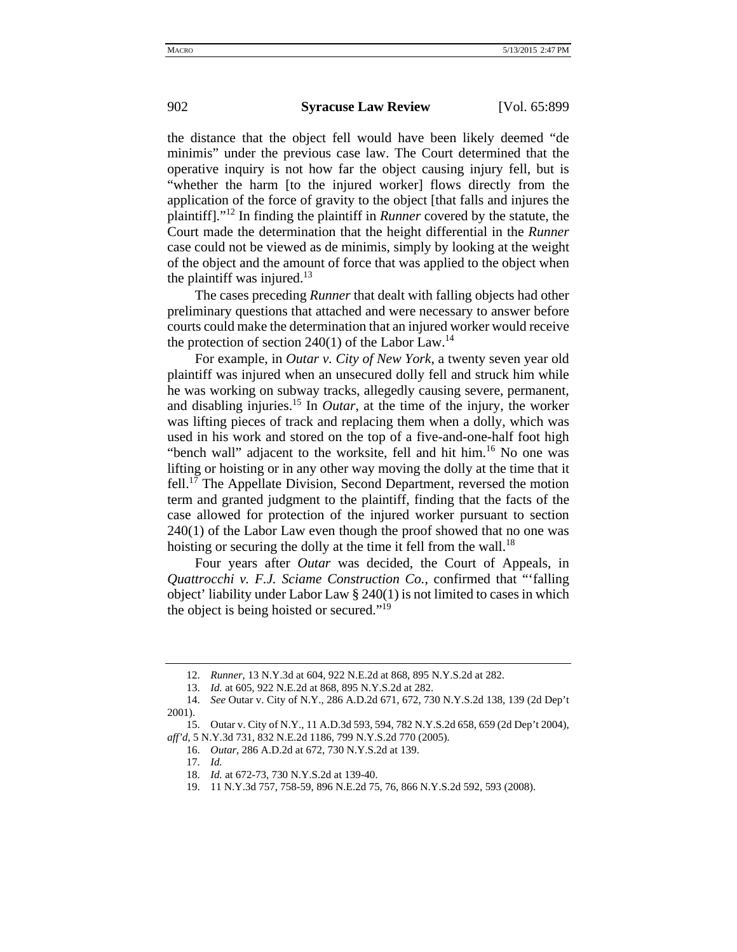the distance that the object fell would have been likely deemed "de minimis" under the previous case law. The Court determined that the operative inquiry is not how far the object causing injury fell, but is "whether the harm [to the injured worker] flows directly from the application of the force of gravity to the object [that falls and injures the plaintiff]."12 In finding the plaintiff in *Runner* covered by the statute, the Court made the determination that the height differential in the *Runner* case could not be viewed as de minimis, simply by looking at the weight of the object and the amount of force that was applied to the object when the plaintiff was injured. $13$ 

The cases preceding *Runner* that dealt with falling objects had other preliminary questions that attached and were necessary to answer before courts could make the determination that an injured worker would receive the protection of section  $240(1)$  of the Labor Law.<sup>14</sup>

For example, in *Outar v. City of New York*, a twenty seven year old plaintiff was injured when an unsecured dolly fell and struck him while he was working on subway tracks, allegedly causing severe, permanent, and disabling injuries.15 In *Outar*, at the time of the injury, the worker was lifting pieces of track and replacing them when a dolly, which was used in his work and stored on the top of a five-and-one-half foot high "bench wall" adjacent to the worksite, fell and hit him.<sup>16</sup> No one was lifting or hoisting or in any other way moving the dolly at the time that it fell.<sup>17</sup> The Appellate Division, Second Department, reversed the motion term and granted judgment to the plaintiff, finding that the facts of the case allowed for protection of the injured worker pursuant to section 240(1) of the Labor Law even though the proof showed that no one was hoisting or securing the dolly at the time it fell from the wall.<sup>18</sup>

Four years after *Outar* was decided, the Court of Appeals, in *Quattrocchi v. F.J. Sciame Construction Co.*, confirmed that "'falling object' liability under Labor Law § 240(1) is not limited to cases in which the object is being hoisted or secured."19

<sup>12.</sup> *Runner*, 13 N.Y.3d at 604, 922 N.E.2d at 868, 895 N.Y.S.2d at 282.

<sup>13.</sup> *Id.* at 605, 922 N.E.2d at 868, 895 N.Y.S.2d at 282.

<sup>14.</sup> *See* Outar v. City of N.Y., 286 A.D.2d 671, 672, 730 N.Y.S.2d 138, 139 (2d Dep't 2001).

<sup>15.</sup> Outar v. City of N.Y., 11 A.D.3d 593, 594, 782 N.Y.S.2d 658, 659 (2d Dep't 2004), *aff'd*, 5 N.Y.3d 731, 832 N.E.2d 1186, 799 N.Y.S.2d 770 (2005).

<sup>16.</sup> *Outar*, 286 A.D.2d at 672, 730 N.Y.S.2d at 139.

<sup>17.</sup> *Id.*

<sup>18.</sup> *Id.* at 672-73, 730 N.Y.S.2d at 139-40.

<sup>19. 11</sup> N.Y.3d 757, 758-59, 896 N.E.2d 75, 76, 866 N.Y.S.2d 592, 593 (2008).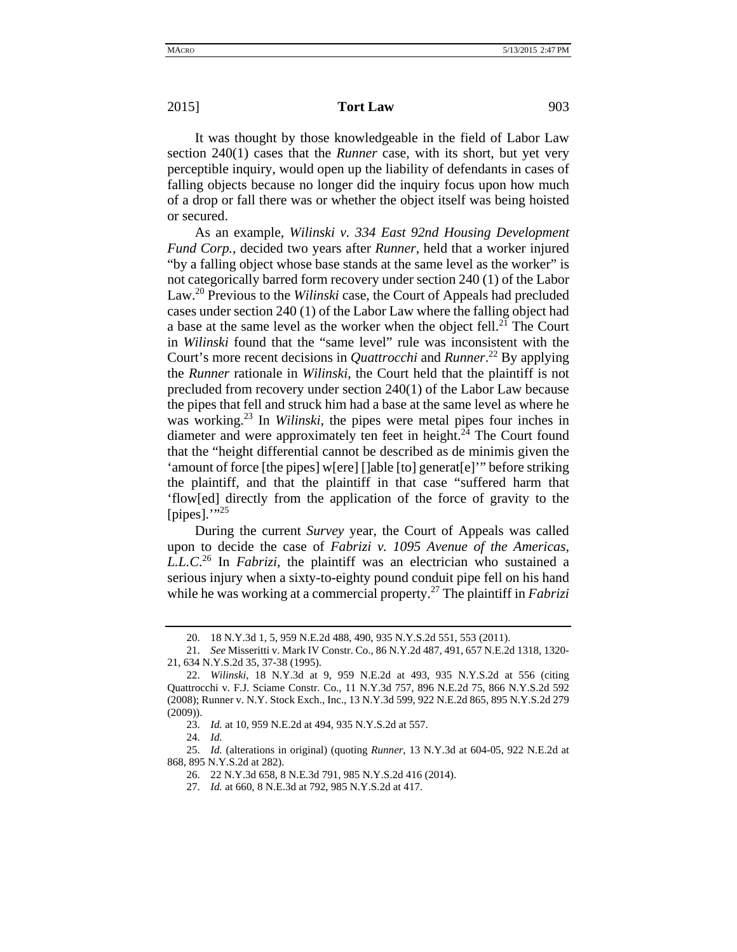#### **2015 Tort Law** 903

It was thought by those knowledgeable in the field of Labor Law section 240(1) cases that the *Runner* case, with its short, but yet very perceptible inquiry, would open up the liability of defendants in cases of falling objects because no longer did the inquiry focus upon how much of a drop or fall there was or whether the object itself was being hoisted or secured.

As an example, *Wilinski v. 334 East 92nd Housing Development Fund Corp.*, decided two years after *Runner*, held that a worker injured "by a falling object whose base stands at the same level as the worker" is not categorically barred form recovery under section 240 (1) of the Labor Law.20 Previous to the *Wilinski* case, the Court of Appeals had precluded cases under section 240 (1) of the Labor Law where the falling object had a base at the same level as the worker when the object fell.<sup>21</sup> The Court in *Wilinski* found that the "same level" rule was inconsistent with the Court's more recent decisions in *Quattrocchi* and *Runner*. 22 By applying the *Runner* rationale in *Wilinski*, the Court held that the plaintiff is not precluded from recovery under section 240(1) of the Labor Law because the pipes that fell and struck him had a base at the same level as where he was working.23 In *Wilinski*, the pipes were metal pipes four inches in diameter and were approximately ten feet in height.<sup>24</sup> The Court found that the "height differential cannot be described as de minimis given the 'amount of force [the pipes] w[ere] []able [to] generat[e]'" before striking the plaintiff, and that the plaintiff in that case "suffered harm that 'flow[ed] directly from the application of the force of gravity to the [pipes]. $\cdot$ "<sup>25</sup>

During the current *Survey* year, the Court of Appeals was called upon to decide the case of *Fabrizi v. 1095 Avenue of the Americas, L.L.C*. 26 In *Fabrizi*, the plaintiff was an electrician who sustained a serious injury when a sixty-to-eighty pound conduit pipe fell on his hand while he was working at a commercial property.<sup>27</sup> The plaintiff in *Fabrizi* 

<sup>20. 18</sup> N.Y.3d 1, 5, 959 N.E.2d 488, 490, 935 N.Y.S.2d 551, 553 (2011).

<sup>21.</sup> *See* Misseritti v. Mark IV Constr. Co., 86 N.Y.2d 487, 491, 657 N.E.2d 1318, 1320- 21, 634 N.Y.S.2d 35, 37-38 (1995).

<sup>22.</sup> *Wilinski*, 18 N.Y.3d at 9, 959 N.E.2d at 493, 935 N.Y.S.2d at 556 (citing Quattrocchi v. F.J. Sciame Constr. Co., 11 N.Y.3d 757, 896 N.E.2d 75, 866 N.Y.S.2d 592 (2008); Runner v. N.Y. Stock Exch., Inc., 13 N.Y.3d 599, 922 N.E.2d 865, 895 N.Y.S.2d 279 (2009)).

<sup>23.</sup> *Id.* at 10, 959 N.E.2d at 494, 935 N.Y.S.2d at 557.

<sup>24.</sup> *Id.*

<sup>25.</sup> *Id.* (alterations in original) (quoting *Runner*, 13 N.Y.3d at 604-05, 922 N.E.2d at 868, 895 N.Y.S.2d at 282).

<sup>26. 22</sup> N.Y.3d 658, 8 N.E.3d 791, 985 N.Y.S.2d 416 (2014).

<sup>27.</sup> *Id.* at 660, 8 N.E.3d at 792, 985 N.Y.S.2d at 417.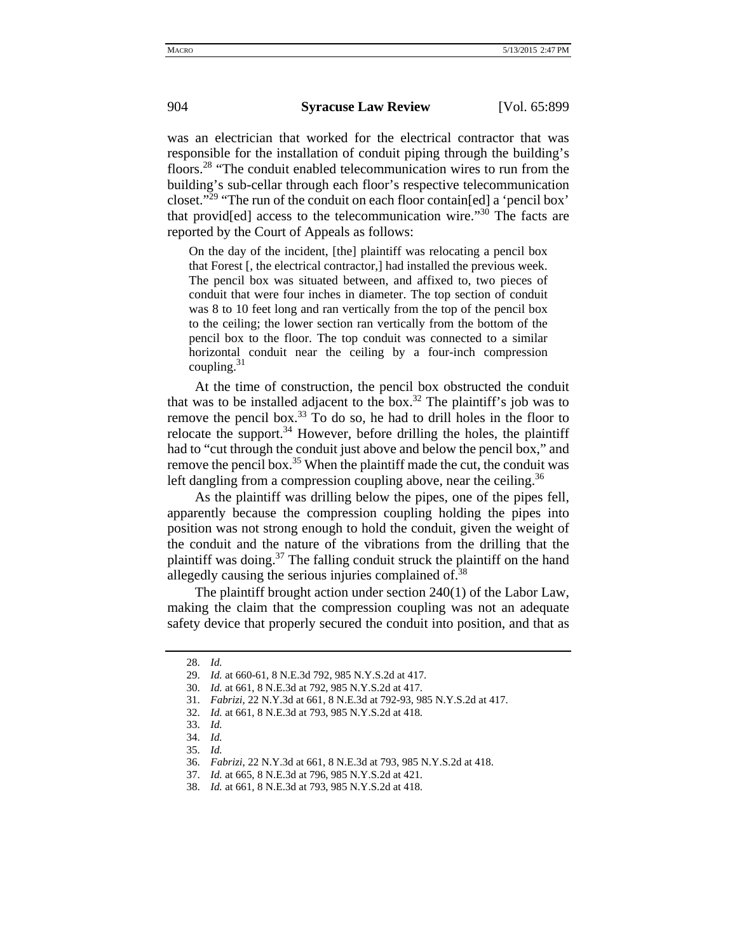was an electrician that worked for the electrical contractor that was responsible for the installation of conduit piping through the building's floors.<sup>28</sup> "The conduit enabled telecommunication wires to run from the building's sub-cellar through each floor's respective telecommunication closet."29 "The run of the conduit on each floor contain[ed] a 'pencil box' that provid[ed] access to the telecommunication wire."30 The facts are reported by the Court of Appeals as follows:

On the day of the incident, [the] plaintiff was relocating a pencil box that Forest [, the electrical contractor,] had installed the previous week. The pencil box was situated between, and affixed to, two pieces of conduit that were four inches in diameter. The top section of conduit was 8 to 10 feet long and ran vertically from the top of the pencil box to the ceiling; the lower section ran vertically from the bottom of the pencil box to the floor. The top conduit was connected to a similar horizontal conduit near the ceiling by a four-inch compression coupling. $31$ 

At the time of construction, the pencil box obstructed the conduit that was to be installed adjacent to the box.<sup>32</sup> The plaintiff's job was to remove the pencil box. $33$  To do so, he had to drill holes in the floor to relocate the support.<sup>34</sup> However, before drilling the holes, the plaintiff had to "cut through the conduit just above and below the pencil box," and remove the pencil box.<sup>35</sup> When the plaintiff made the cut, the conduit was left dangling from a compression coupling above, near the ceiling.<sup>36</sup>

As the plaintiff was drilling below the pipes, one of the pipes fell, apparently because the compression coupling holding the pipes into position was not strong enough to hold the conduit, given the weight of the conduit and the nature of the vibrations from the drilling that the plaintiff was doing. $37$  The falling conduit struck the plaintiff on the hand allegedly causing the serious injuries complained of. $38$ 

The plaintiff brought action under section 240(1) of the Labor Law, making the claim that the compression coupling was not an adequate safety device that properly secured the conduit into position, and that as

<sup>28.</sup> *Id.*

<sup>29.</sup> *Id.* at 660-61, 8 N.E.3d 792, 985 N.Y.S.2d at 417.

<sup>30.</sup> *Id.* at 661, 8 N.E.3d at 792, 985 N.Y.S.2d at 417.

<sup>31.</sup> *Fabrizi*, 22 N.Y.3d at 661, 8 N.E.3d at 792-93, 985 N.Y.S.2d at 417.

<sup>32.</sup> *Id.* at 661, 8 N.E.3d at 793, 985 N.Y.S.2d at 418.

<sup>33.</sup> *Id.*

<sup>34.</sup> *Id.*

<sup>35.</sup> *Id.* 

<sup>36.</sup> *Fabrizi*, 22 N.Y.3d at 661, 8 N.E.3d at 793, 985 N.Y.S.2d at 418.

<sup>37.</sup> *Id.* at 665, 8 N.E.3d at 796, 985 N.Y.S.2d at 421.

<sup>38.</sup> *Id.* at 661, 8 N.E.3d at 793, 985 N.Y.S.2d at 418.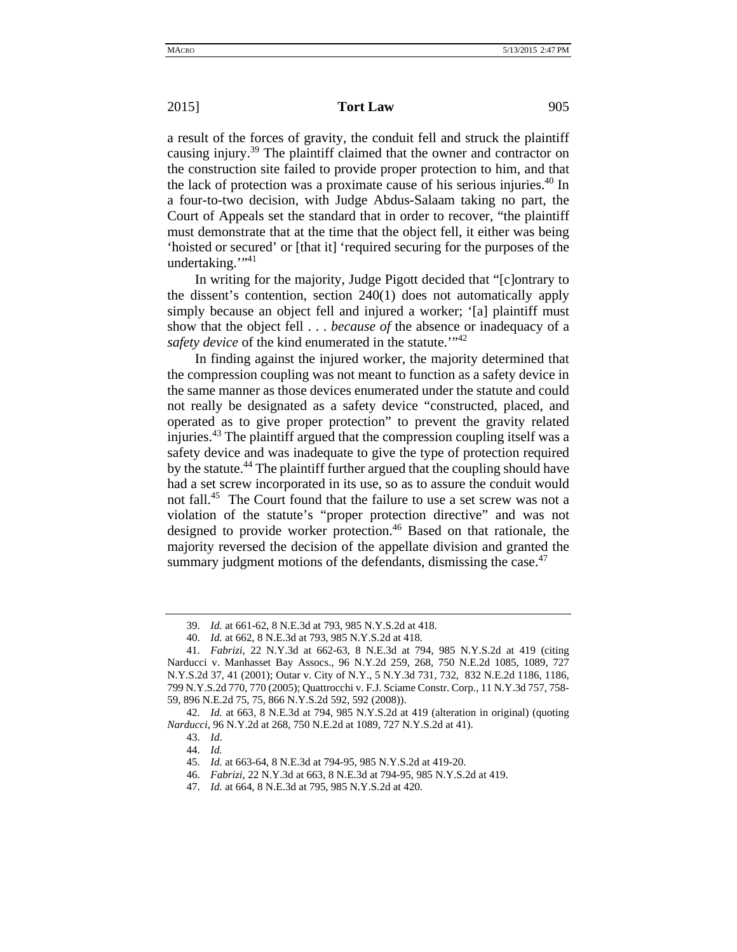### **2015 Tort Law** 905

a result of the forces of gravity, the conduit fell and struck the plaintiff causing injury.<sup>39</sup> The plaintiff claimed that the owner and contractor on the construction site failed to provide proper protection to him, and that the lack of protection was a proximate cause of his serious injuries.<sup>40</sup> In a four-to-two decision, with Judge Abdus-Salaam taking no part, the Court of Appeals set the standard that in order to recover, "the plaintiff must demonstrate that at the time that the object fell, it either was being 'hoisted or secured' or [that it] 'required securing for the purposes of the undertaking."<sup>11</sup>

In writing for the majority, Judge Pigott decided that "[c]ontrary to the dissent's contention, section 240(1) does not automatically apply simply because an object fell and injured a worker; '[a] plaintiff must show that the object fell . . . *because of* the absence or inadequacy of a *safety device* of the kind enumerated in the statute.<sup>"42</sup>

In finding against the injured worker, the majority determined that the compression coupling was not meant to function as a safety device in the same manner as those devices enumerated under the statute and could not really be designated as a safety device "constructed, placed, and operated as to give proper protection" to prevent the gravity related injuries.<sup>43</sup> The plaintiff argued that the compression coupling itself was a safety device and was inadequate to give the type of protection required by the statute.<sup>44</sup> The plaintiff further argued that the coupling should have had a set screw incorporated in its use, so as to assure the conduit would not fall.<sup>45</sup> The Court found that the failure to use a set screw was not a violation of the statute's "proper protection directive" and was not designed to provide worker protection.<sup>46</sup> Based on that rationale, the majority reversed the decision of the appellate division and granted the summary judgment motions of the defendants, dismissing the case. $47$ 

<sup>39.</sup> *Id.* at 661-62, 8 N.E.3d at 793, 985 N.Y.S.2d at 418.

<sup>40.</sup> *Id.* at 662, 8 N.E.3d at 793, 985 N.Y.S.2d at 418.

<sup>41.</sup> *Fabrizi*, 22 N.Y.3d at 662-63, 8 N.E.3d at 794, 985 N.Y.S.2d at 419 (citing Narducci v. Manhasset Bay Assocs., 96 N.Y.2d 259, 268, 750 N.E.2d 1085, 1089, 727 N.Y.S.2d 37, 41 (2001); Outar v. City of N.Y., 5 N.Y.3d 731, 732, 832 N.E.2d 1186, 1186, 799 N.Y.S.2d 770, 770 (2005); Quattrocchi v. F.J. Sciame Constr. Corp*.*, 11 N.Y.3d 757, 758- 59, 896 N.E.2d 75, 75, 866 N.Y.S.2d 592, 592 (2008)).

<sup>42.</sup> *Id.* at 663, 8 N.E.3d at 794, 985 N.Y.S.2d at 419 (alteration in original) (quoting *Narducci*, 96 N.Y.2d at 268, 750 N.E.2d at 1089, 727 N.Y.S.2d at 41).

<sup>43.</sup> *Id*.

<sup>44.</sup> *Id.*

<sup>45.</sup> *Id.* at 663-64, 8 N.E.3d at 794-95, 985 N.Y.S.2d at 419-20.

<sup>46.</sup> *Fabrizi*, 22 N.Y.3d at 663, 8 N.E.3d at 794-95, 985 N.Y.S.2d at 419.

<sup>47.</sup> *Id.* at 664, 8 N.E.3d at 795, 985 N.Y.S.2d at 420.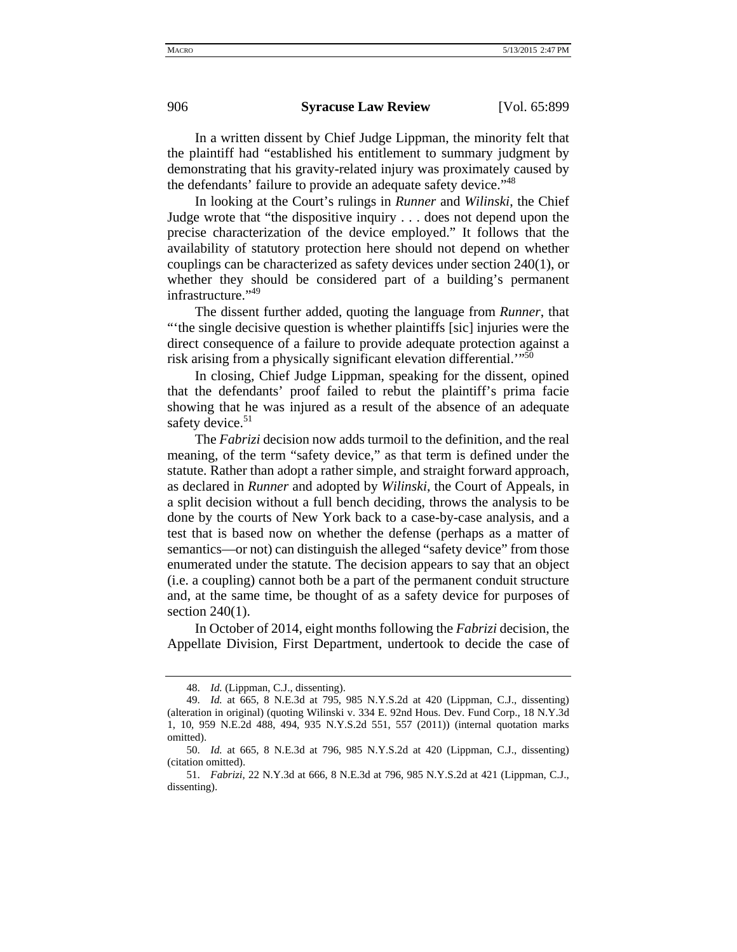In a written dissent by Chief Judge Lippman, the minority felt that the plaintiff had "established his entitlement to summary judgment by demonstrating that his gravity-related injury was proximately caused by the defendants' failure to provide an adequate safety device."<sup>48</sup>

In looking at the Court's rulings in *Runner* and *Wilinski*, the Chief Judge wrote that "the dispositive inquiry . . . does not depend upon the precise characterization of the device employed." It follows that the availability of statutory protection here should not depend on whether couplings can be characterized as safety devices under section 240(1), or whether they should be considered part of a building's permanent infrastructure."<sup>49</sup>

The dissent further added, quoting the language from *Runner*, that "'the single decisive question is whether plaintiffs [sic] injuries were the direct consequence of a failure to provide adequate protection against a risk arising from a physically significant elevation differential.'"50

In closing, Chief Judge Lippman, speaking for the dissent, opined that the defendants' proof failed to rebut the plaintiff's prima facie showing that he was injured as a result of the absence of an adequate safety device.<sup>51</sup>

The *Fabrizi* decision now adds turmoil to the definition, and the real meaning, of the term "safety device," as that term is defined under the statute. Rather than adopt a rather simple, and straight forward approach, as declared in *Runner* and adopted by *Wilinski*, the Court of Appeals, in a split decision without a full bench deciding, throws the analysis to be done by the courts of New York back to a case-by-case analysis, and a test that is based now on whether the defense (perhaps as a matter of semantics—or not) can distinguish the alleged "safety device" from those enumerated under the statute. The decision appears to say that an object (i.e. a coupling) cannot both be a part of the permanent conduit structure and, at the same time, be thought of as a safety device for purposes of section  $240(1)$ .

In October of 2014, eight months following the *Fabrizi* decision, the Appellate Division, First Department, undertook to decide the case of

<sup>48.</sup> *Id.* (Lippman, C.J., dissenting).

<sup>49.</sup> *Id.* at 665, 8 N.E.3d at 795, 985 N.Y.S.2d at 420 (Lippman, C.J., dissenting) (alteration in original) (quoting Wilinski v. 334 E. 92nd Hous. Dev. Fund Corp., 18 N.Y.3d 1, 10, 959 N.E.2d 488, 494, 935 N.Y.S.2d 551, 557 (2011)) (internal quotation marks omitted).

<sup>50.</sup> *Id.* at 665, 8 N.E.3d at 796, 985 N.Y.S.2d at 420 (Lippman, C.J., dissenting) (citation omitted).

<sup>51.</sup> *Fabrizi*, 22 N.Y.3d at 666, 8 N.E.3d at 796, 985 N.Y.S.2d at 421 (Lippman, C.J., dissenting).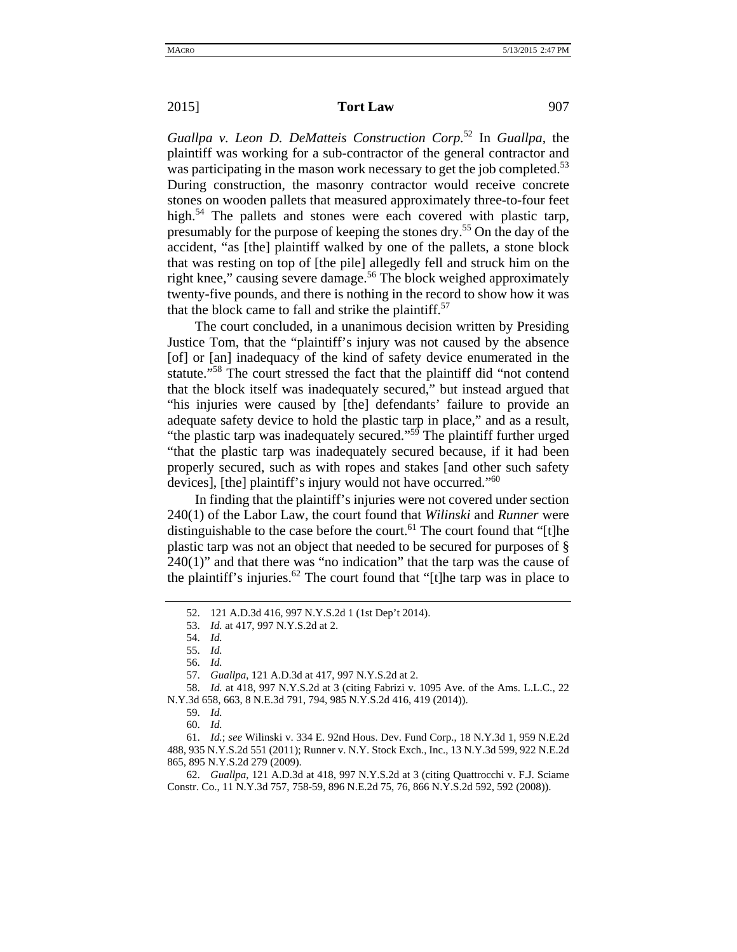## **2015 Tort Law** 907

*Guallpa v. Leon D. DeMatteis Construction Corp.*<sup>52</sup> In *Guallpa*, the plaintiff was working for a sub-contractor of the general contractor and was participating in the mason work necessary to get the job completed.<sup>53</sup> During construction, the masonry contractor would receive concrete stones on wooden pallets that measured approximately three-to-four feet high.<sup>54</sup> The pallets and stones were each covered with plastic tarp, presumably for the purpose of keeping the stones dry.55 On the day of the accident, "as [the] plaintiff walked by one of the pallets, a stone block that was resting on top of [the pile] allegedly fell and struck him on the right knee," causing severe damage.<sup>56</sup> The block weighed approximately twenty-five pounds, and there is nothing in the record to show how it was that the block came to fall and strike the plaintiff.<sup>57</sup>

The court concluded, in a unanimous decision written by Presiding Justice Tom, that the "plaintiff's injury was not caused by the absence [of] or [an] inadequacy of the kind of safety device enumerated in the statute."58 The court stressed the fact that the plaintiff did "not contend that the block itself was inadequately secured," but instead argued that "his injuries were caused by [the] defendants' failure to provide an adequate safety device to hold the plastic tarp in place," and as a result, "the plastic tarp was inadequately secured."<sup>59</sup> The plaintiff further urged "that the plastic tarp was inadequately secured because, if it had been properly secured, such as with ropes and stakes [and other such safety devices], [the] plaintiff's injury would not have occurred."<sup>60</sup>

In finding that the plaintiff's injuries were not covered under section 240(1) of the Labor Law, the court found that *Wilinski* and *Runner* were distinguishable to the case before the court.<sup>61</sup> The court found that "[t]he plastic tarp was not an object that needed to be secured for purposes of §  $240(1)$ " and that there was "no indication" that the tarp was the cause of the plaintiff's injuries.<sup>62</sup> The court found that "[t]he tarp was in place to

<sup>52. 121</sup> A.D.3d 416, 997 N.Y.S.2d 1 (1st Dep't 2014).

<sup>53.</sup> *Id.* at 417, 997 N.Y.S.2d at 2.

<sup>54.</sup> *Id.*

<sup>55.</sup> *Id.* 

<sup>56.</sup> *Id.* 

<sup>57.</sup> *Guallpa*, 121 A.D.3d at 417, 997 N.Y.S.2d at 2.

<sup>58.</sup> *Id.* at 418, 997 N.Y.S.2d at 3 (citing Fabrizi v. 1095 Ave. of the Ams. L.L.C., 22 N.Y.3d 658, 663, 8 N.E.3d 791, 794, 985 N.Y.S.2d 416, 419 (2014)).

<sup>59.</sup> *Id.*

<sup>60.</sup> *Id.*

<sup>61.</sup> *Id.*; *see* Wilinski v. 334 E. 92nd Hous. Dev. Fund Corp., 18 N.Y.3d 1, 959 N.E.2d 488, 935 N.Y.S.2d 551 (2011); Runner v. N.Y. Stock Exch., Inc., 13 N.Y.3d 599, 922 N.E.2d 865, 895 N.Y.S.2d 279 (2009).

<sup>62.</sup> *Guallpa*, 121 A.D.3d at 418, 997 N.Y.S.2d at 3 (citing Quattrocchi v. F.J. Sciame Constr. Co., 11 N.Y.3d 757, 758-59, 896 N.E.2d 75, 76, 866 N.Y.S.2d 592, 592 (2008)).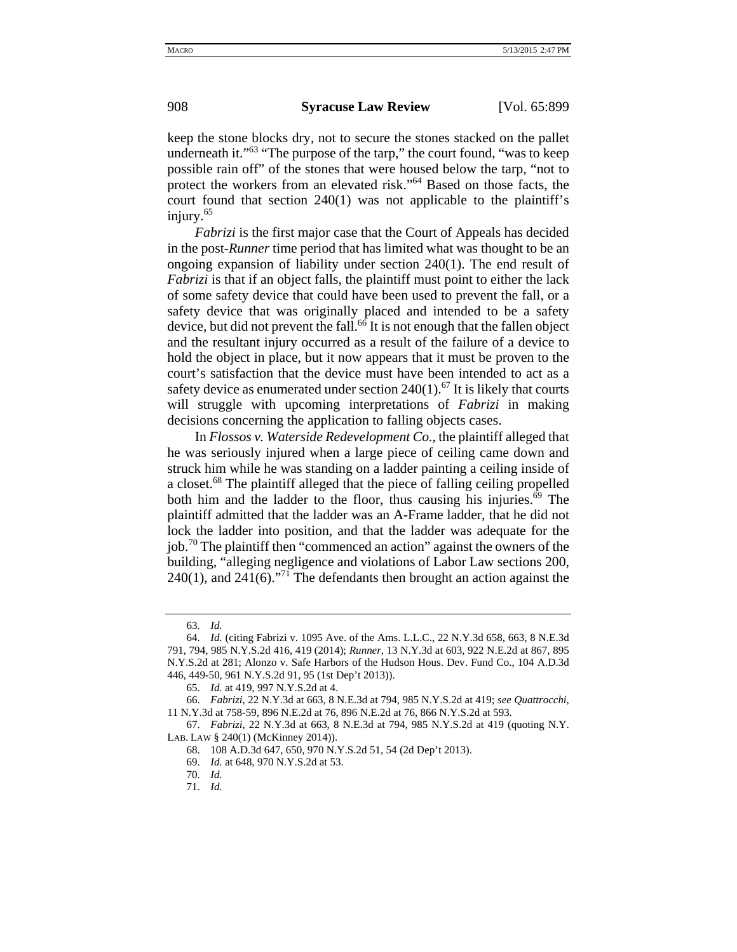keep the stone blocks dry, not to secure the stones stacked on the pallet underneath it."<sup>63</sup> "The purpose of the tarp," the court found, "was to keep possible rain off" of the stones that were housed below the tarp, "not to protect the workers from an elevated risk."64 Based on those facts, the court found that section 240(1) was not applicable to the plaintiff's injury.<sup>65</sup>

*Fabrizi* is the first major case that the Court of Appeals has decided in the post-*Runner* time period that has limited what was thought to be an ongoing expansion of liability under section 240(1). The end result of *Fabrizi* is that if an object falls, the plaintiff must point to either the lack of some safety device that could have been used to prevent the fall, or a safety device that was originally placed and intended to be a safety device, but did not prevent the fall.<sup>66</sup> It is not enough that the fallen object and the resultant injury occurred as a result of the failure of a device to hold the object in place, but it now appears that it must be proven to the court's satisfaction that the device must have been intended to act as a safety device as enumerated under section  $240(1)$ .<sup>67</sup> It is likely that courts will struggle with upcoming interpretations of *Fabrizi* in making decisions concerning the application to falling objects cases.

In *Flossos v. Waterside Redevelopment Co.*, the plaintiff alleged that he was seriously injured when a large piece of ceiling came down and struck him while he was standing on a ladder painting a ceiling inside of a closet.<sup>68</sup> The plaintiff alleged that the piece of falling ceiling propelled both him and the ladder to the floor, thus causing his injuries.<sup>69</sup> The plaintiff admitted that the ladder was an A-Frame ladder, that he did not lock the ladder into position, and that the ladder was adequate for the job.<sup>70</sup> The plaintiff then "commenced an action" against the owners of the building, "alleging negligence and violations of Labor Law sections 200, 240(1), and 241(6).<sup>"71</sup> The defendants then brought an action against the

<sup>63.</sup> *Id.* 

<sup>64.</sup> *Id.* (citing Fabrizi v. 1095 Ave. of the Ams. L.L.C., 22 N.Y.3d 658, 663, 8 N.E.3d 791, 794, 985 N.Y.S.2d 416, 419 (2014); *Runner*, 13 N.Y.3d at 603, 922 N.E.2d at 867, 895 N.Y.S.2d at 281; Alonzo v. Safe Harbors of the Hudson Hous. Dev. Fund Co., 104 A.D.3d 446, 449-50, 961 N.Y.S.2d 91, 95 (1st Dep't 2013)).

<sup>65.</sup> *Id.* at 419, 997 N.Y.S.2d at 4.

<sup>66.</sup> *Fabrizi*, 22 N.Y.3d at 663, 8 N.E.3d at 794, 985 N.Y.S.2d at 419; *see Quattrocchi*, 11 N.Y.3d at 758-59, 896 N.E.2d at 76, 896 N.E.2d at 76, 866 N.Y.S.2d at 593.

<sup>67.</sup> *Fabrizi*, 22 N.Y.3d at 663, 8 N.E.3d at 794, 985 N.Y.S.2d at 419 (quoting N.Y. LAB. LAW § 240(1) (McKinney 2014)).

<sup>68. 108</sup> A.D.3d 647, 650, 970 N.Y.S.2d 51, 54 (2d Dep't 2013).

<sup>69.</sup> *Id.* at 648, 970 N.Y.S.2d at 53.

<sup>70.</sup> *Id.* 

<sup>71.</sup> *Id.*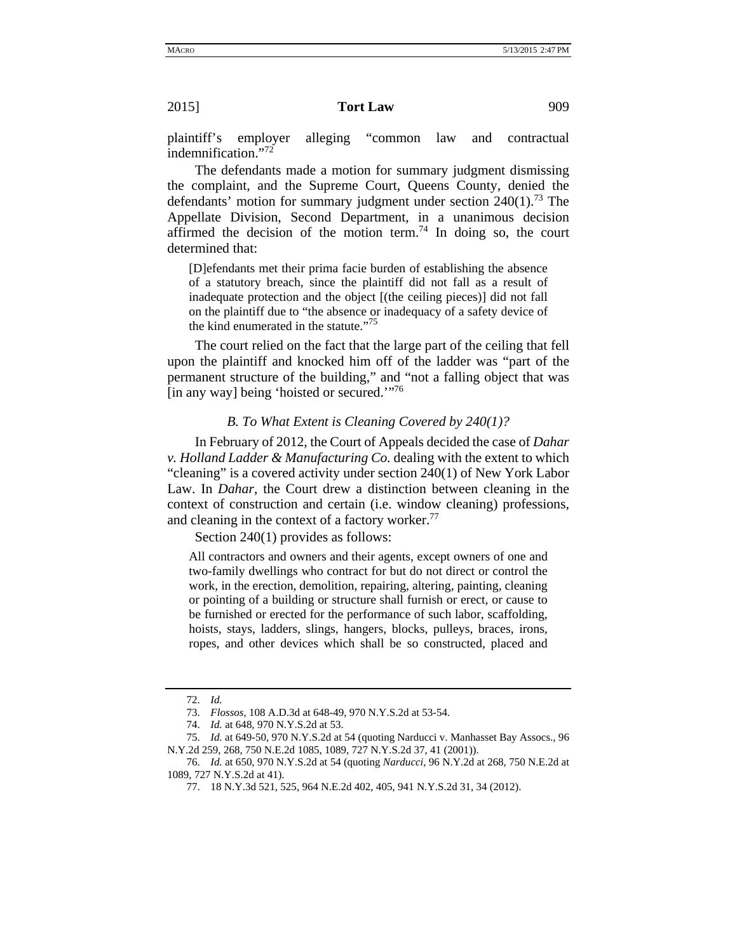#### **2015 Tort Law** 909

plaintiff's employer alleging "common law and contractual indemnification."<sup>72</sup>

The defendants made a motion for summary judgment dismissing the complaint, and the Supreme Court, Queens County, denied the defendants' motion for summary judgment under section  $240(1)$ .<sup>73</sup> The Appellate Division, Second Department, in a unanimous decision affirmed the decision of the motion term.<sup>74</sup> In doing so, the court determined that:

[D]efendants met their prima facie burden of establishing the absence of a statutory breach, since the plaintiff did not fall as a result of inadequate protection and the object [(the ceiling pieces)] did not fall on the plaintiff due to "the absence or inadequacy of a safety device of the kind enumerated in the statute."<sup>75</sup>

The court relied on the fact that the large part of the ceiling that fell upon the plaintiff and knocked him off of the ladder was "part of the permanent structure of the building," and "not a falling object that was [in any way] being 'hoisted or secured.'"76

### *B. To What Extent is Cleaning Covered by 240(1)?*

In February of 2012, the Court of Appeals decided the case of *Dahar v. Holland Ladder & Manufacturing Co.* dealing with the extent to which "cleaning" is a covered activity under section 240(1) of New York Labor Law. In *Dahar*, the Court drew a distinction between cleaning in the context of construction and certain (i.e. window cleaning) professions, and cleaning in the context of a factory worker.<sup>77</sup>

Section 240(1) provides as follows:

All contractors and owners and their agents, except owners of one and two-family dwellings who contract for but do not direct or control the work, in the erection, demolition, repairing, altering, painting, cleaning or pointing of a building or structure shall furnish or erect, or cause to be furnished or erected for the performance of such labor, scaffolding, hoists, stays, ladders, slings, hangers, blocks, pulleys, braces, irons, ropes, and other devices which shall be so constructed, placed and

<sup>72.</sup> *Id.*

<sup>73.</sup> *Flossos*, 108 A.D.3d at 648-49, 970 N.Y.S.2d at 53-54.

<sup>74.</sup> *Id.* at 648, 970 N.Y.S.2d at 53.

<sup>75.</sup> *Id.* at 649-50, 970 N.Y.S.2d at 54 (quoting Narducci v. Manhasset Bay Assocs., 96 N.Y.2d 259, 268, 750 N.E.2d 1085, 1089, 727 N.Y.S.2d 37, 41 (2001)).

<sup>76.</sup> *Id.* at 650, 970 N.Y.S.2d at 54 (quoting *Narducci*, 96 N.Y.2d at 268, 750 N.E.2d at 1089, 727 N.Y.S.2d at 41).

<sup>77. 18</sup> N.Y.3d 521, 525, 964 N.E.2d 402, 405, 941 N.Y.S.2d 31, 34 (2012).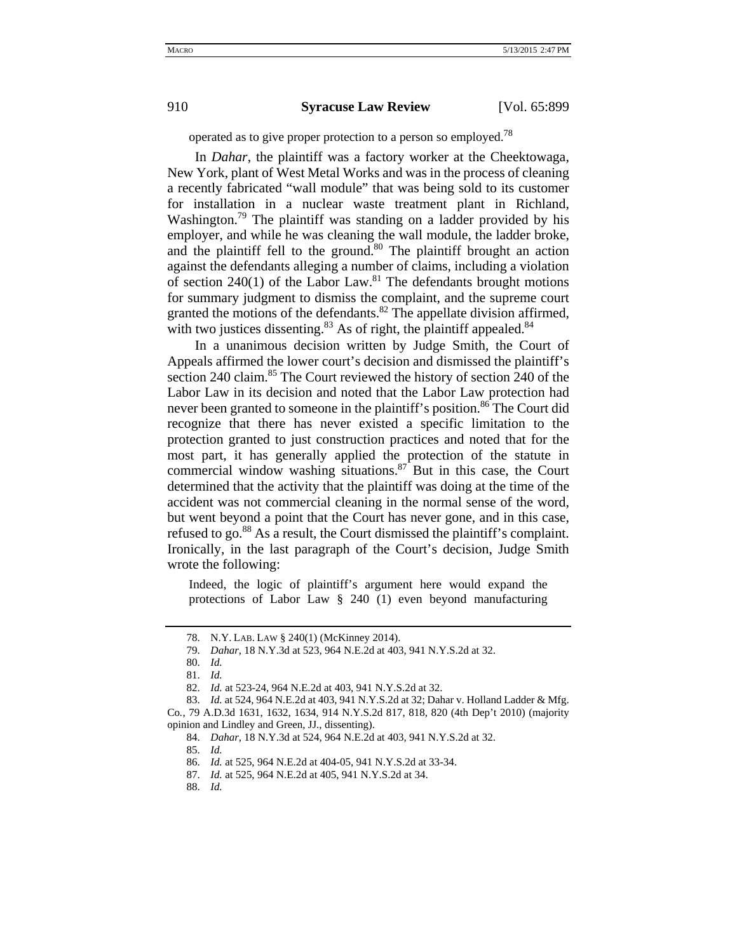operated as to give proper protection to a person so employed.<sup>78</sup>

In *Dahar*, the plaintiff was a factory worker at the Cheektowaga, New York, plant of West Metal Works and was in the process of cleaning a recently fabricated "wall module" that was being sold to its customer for installation in a nuclear waste treatment plant in Richland, Washington.<sup>79</sup> The plaintiff was standing on a ladder provided by his employer, and while he was cleaning the wall module, the ladder broke, and the plaintiff fell to the ground.<sup>80</sup> The plaintiff brought an action against the defendants alleging a number of claims, including a violation of section  $240(1)$  of the Labor Law.<sup>81</sup> The defendants brought motions for summary judgment to dismiss the complaint, and the supreme court granted the motions of the defendants. $82$  The appellate division affirmed, with two justices dissenting. $83$  As of right, the plaintiff appealed. $84$ 

In a unanimous decision written by Judge Smith, the Court of Appeals affirmed the lower court's decision and dismissed the plaintiff's section 240 claim.<sup>85</sup> The Court reviewed the history of section 240 of the Labor Law in its decision and noted that the Labor Law protection had never been granted to someone in the plaintiff's position.<sup>86</sup> The Court did recognize that there has never existed a specific limitation to the protection granted to just construction practices and noted that for the most part, it has generally applied the protection of the statute in commercial window washing situations. $87$  But in this case, the Court determined that the activity that the plaintiff was doing at the time of the accident was not commercial cleaning in the normal sense of the word, but went beyond a point that the Court has never gone, and in this case, refused to go.<sup>88</sup> As a result, the Court dismissed the plaintiff's complaint. Ironically, in the last paragraph of the Court's decision, Judge Smith wrote the following:

Indeed, the logic of plaintiff's argument here would expand the protections of Labor Law § 240 (1) even beyond manufacturing

<sup>78.</sup> N.Y. LAB. LAW § 240(1) (McKinney 2014).

<sup>79.</sup> *Dahar*, 18 N.Y.3d at 523, 964 N.E.2d at 403, 941 N.Y.S.2d at 32.

<sup>80.</sup> *Id.*

<sup>81.</sup> *Id.*

<sup>82.</sup> *Id.* at 523-24, 964 N.E.2d at 403, 941 N.Y.S.2d at 32.

<sup>83.</sup> *Id.* at 524, 964 N.E.2d at 403, 941 N.Y.S.2d at 32; Dahar v. Holland Ladder & Mfg. Co*.*, 79 A.D.3d 1631, 1632, 1634, 914 N.Y.S.2d 817, 818, 820 (4th Dep't 2010) (majority opinion and Lindley and Green, JJ., dissenting).

<sup>84.</sup> *Dahar*, 18 N.Y.3d at 524, 964 N.E.2d at 403, 941 N.Y.S.2d at 32.

<sup>85.</sup> *Id.* 

<sup>86.</sup> *Id.* at 525, 964 N.E.2d at 404-05, 941 N.Y.S.2d at 33-34.

<sup>87.</sup> *Id.* at 525, 964 N.E.2d at 405, 941 N.Y.S.2d at 34.

<sup>88.</sup> *Id.*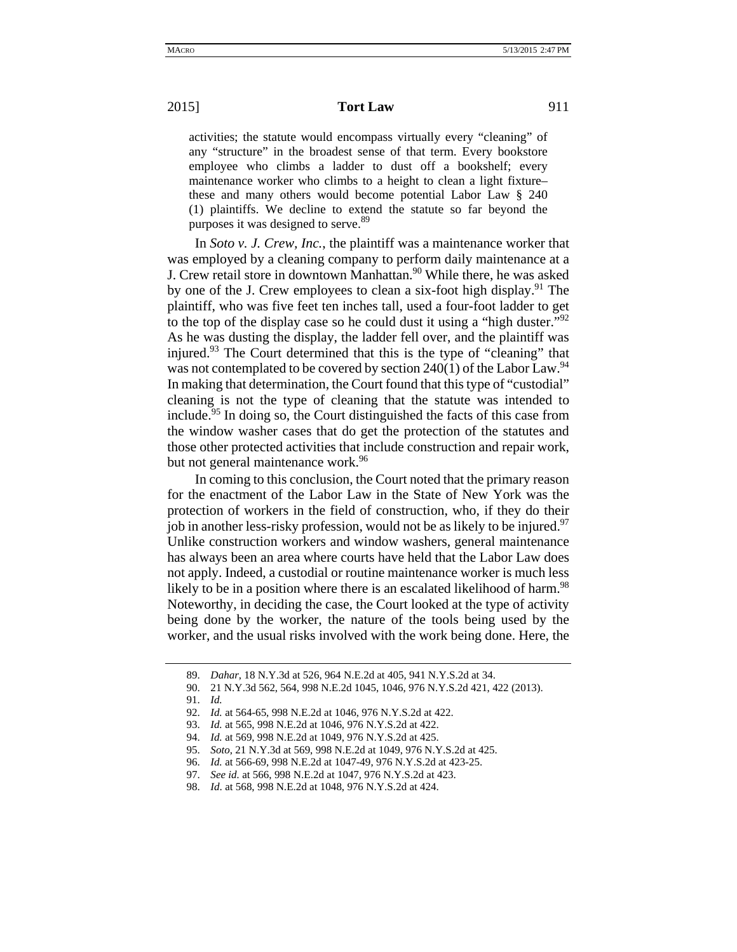activities; the statute would encompass virtually every "cleaning" of any "structure" in the broadest sense of that term. Every bookstore employee who climbs a ladder to dust off a bookshelf; every maintenance worker who climbs to a height to clean a light fixture– these and many others would become potential Labor Law § 240 (1) plaintiffs. We decline to extend the statute so far beyond the purposes it was designed to serve.<sup>89</sup>

In *Soto v. J. Crew, Inc.*, the plaintiff was a maintenance worker that was employed by a cleaning company to perform daily maintenance at a J. Crew retail store in downtown Manhattan.<sup>90</sup> While there, he was asked by one of the J. Crew employees to clean a six-foot high display.<sup>91</sup> The plaintiff, who was five feet ten inches tall, used a four-foot ladder to get to the top of the display case so he could dust it using a "high duster."<sup>92</sup> As he was dusting the display, the ladder fell over, and the plaintiff was injured.<sup>93</sup> The Court determined that this is the type of "cleaning" that was not contemplated to be covered by section  $240(1)$  of the Labor Law.<sup>94</sup> In making that determination, the Court found that this type of "custodial" cleaning is not the type of cleaning that the statute was intended to include.95 In doing so, the Court distinguished the facts of this case from the window washer cases that do get the protection of the statutes and those other protected activities that include construction and repair work, but not general maintenance work.<sup>96</sup>

In coming to this conclusion, the Court noted that the primary reason for the enactment of the Labor Law in the State of New York was the protection of workers in the field of construction, who, if they do their job in another less-risky profession, would not be as likely to be injured.<sup>97</sup> Unlike construction workers and window washers, general maintenance has always been an area where courts have held that the Labor Law does not apply. Indeed, a custodial or routine maintenance worker is much less likely to be in a position where there is an escalated likelihood of harm.<sup>98</sup> Noteworthy, in deciding the case, the Court looked at the type of activity being done by the worker, the nature of the tools being used by the worker, and the usual risks involved with the work being done. Here, the

<sup>89.</sup> *Dahar*, 18 N.Y.3d at 526, 964 N.E.2d at 405, 941 N.Y.S.2d at 34.

<sup>90. 21</sup> N.Y.3d 562, 564, 998 N.E.2d 1045, 1046, 976 N.Y.S.2d 421, 422 (2013).

<sup>91.</sup> *Id.* 

<sup>92.</sup> *Id.* at 564-65, 998 N.E.2d at 1046, 976 N.Y.S.2d at 422.

<sup>93.</sup> *Id.* at 565, 998 N.E.2d at 1046, 976 N.Y.S.2d at 422.

<sup>94.</sup> *Id.* at 569, 998 N.E.2d at 1049, 976 N.Y.S.2d at 425.

<sup>95.</sup> *Soto*, 21 N.Y.3d at 569, 998 N.E.2d at 1049, 976 N.Y.S.2d at 425.

<sup>96.</sup> *Id.* at 566-69, 998 N.E.2d at 1047-49, 976 N.Y.S.2d at 423-25.

<sup>97.</sup> *See id.* at 566, 998 N.E.2d at 1047, 976 N.Y.S.2d at 423.

<sup>98.</sup> *Id*. at 568, 998 N.E.2d at 1048, 976 N.Y.S.2d at 424.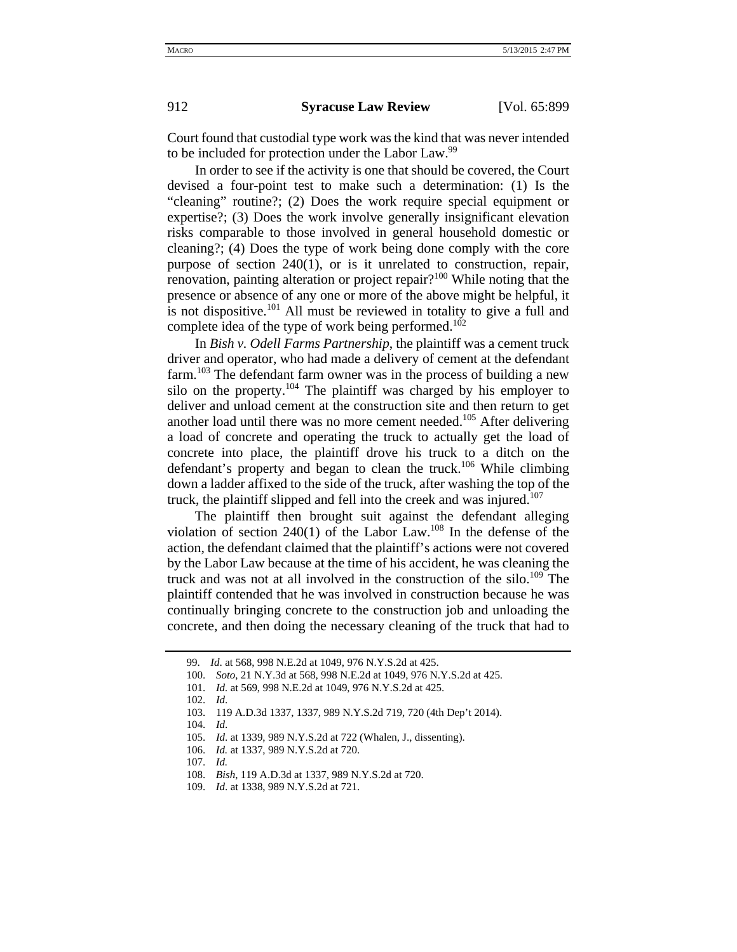Court found that custodial type work was the kind that was never intended to be included for protection under the Labor Law.<sup>99</sup>

In order to see if the activity is one that should be covered, the Court devised a four-point test to make such a determination: (1) Is the "cleaning" routine?; (2) Does the work require special equipment or expertise?; (3) Does the work involve generally insignificant elevation risks comparable to those involved in general household domestic or cleaning?; (4) Does the type of work being done comply with the core purpose of section 240(1), or is it unrelated to construction, repair, renovation, painting alteration or project repair?<sup>100</sup> While noting that the presence or absence of any one or more of the above might be helpful, it is not dispositive.<sup>101</sup> All must be reviewed in totality to give a full and complete idea of the type of work being performed.<sup>102</sup>

In *Bish v. Odell Farms Partnership*, the plaintiff was a cement truck driver and operator, who had made a delivery of cement at the defendant farm.<sup>103</sup> The defendant farm owner was in the process of building a new silo on the property.<sup>104</sup> The plaintiff was charged by his employer to deliver and unload cement at the construction site and then return to get another load until there was no more cement needed.<sup>105</sup> After delivering a load of concrete and operating the truck to actually get the load of concrete into place, the plaintiff drove his truck to a ditch on the defendant's property and began to clean the truck.<sup>106</sup> While climbing down a ladder affixed to the side of the truck, after washing the top of the truck, the plaintiff slipped and fell into the creek and was injured.<sup>107</sup>

The plaintiff then brought suit against the defendant alleging violation of section  $240(1)$  of the Labor Law.<sup>108</sup> In the defense of the action, the defendant claimed that the plaintiff's actions were not covered by the Labor Law because at the time of his accident, he was cleaning the truck and was not at all involved in the construction of the silo.<sup>109</sup> The plaintiff contended that he was involved in construction because he was continually bringing concrete to the construction job and unloading the concrete, and then doing the necessary cleaning of the truck that had to

<sup>99.</sup> *Id*. at 568, 998 N.E.2d at 1049, 976 N.Y.S.2d at 425.

<sup>100.</sup> *Soto*, 21 N.Y.3d at 568, 998 N.E.2d at 1049, 976 N.Y.S.2d at 425.

<sup>101.</sup> *Id.* at 569, 998 N.E.2d at 1049, 976 N.Y.S.2d at 425.

<sup>102.</sup> *Id*.

<sup>103. 119</sup> A.D.3d 1337, 1337, 989 N.Y.S.2d 719, 720 (4th Dep't 2014).

<sup>104.</sup> *Id*.

<sup>105.</sup> *Id*. at 1339, 989 N.Y.S.2d at 722 (Whalen, J., dissenting).

<sup>106.</sup> *Id.* at 1337, 989 N.Y.S.2d at 720.

<sup>107.</sup> *Id.*

<sup>108.</sup> *Bish*, 119 A.D.3d at 1337, 989 N.Y.S.2d at 720.

<sup>109.</sup> *Id*. at 1338, 989 N.Y.S.2d at 721.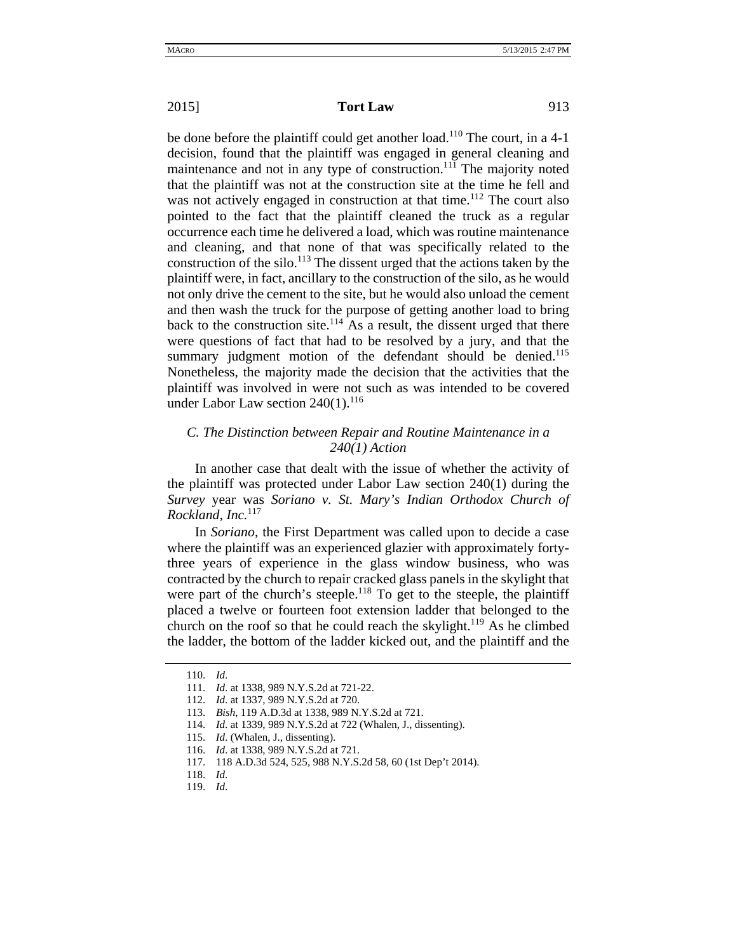be done before the plaintiff could get another load.<sup>110</sup> The court, in a 4-1 decision, found that the plaintiff was engaged in general cleaning and maintenance and not in any type of construction.<sup>111</sup> The majority noted that the plaintiff was not at the construction site at the time he fell and was not actively engaged in construction at that time.<sup>112</sup> The court also pointed to the fact that the plaintiff cleaned the truck as a regular occurrence each time he delivered a load, which was routine maintenance and cleaning, and that none of that was specifically related to the construction of the silo.<sup>113</sup> The dissent urged that the actions taken by the plaintiff were, in fact, ancillary to the construction of the silo, as he would not only drive the cement to the site, but he would also unload the cement and then wash the truck for the purpose of getting another load to bring back to the construction site.<sup>114</sup> As a result, the dissent urged that there were questions of fact that had to be resolved by a jury, and that the summary judgment motion of the defendant should be denied.<sup>115</sup> Nonetheless, the majority made the decision that the activities that the plaintiff was involved in were not such as was intended to be covered under Labor Law section  $240(1)$ .<sup>116</sup>

## *C. The Distinction between Repair and Routine Maintenance in a 240(1) Action*

In another case that dealt with the issue of whether the activity of the plaintiff was protected under Labor Law section 240(1) during the *Survey* year was *Soriano v. St. Mary's Indian Orthodox Church of Rockland, Inc.*<sup>117</sup>

In *Soriano*, the First Department was called upon to decide a case where the plaintiff was an experienced glazier with approximately fortythree years of experience in the glass window business, who was contracted by the church to repair cracked glass panels in the skylight that were part of the church's steeple.<sup>118</sup> To get to the steeple, the plaintiff placed a twelve or fourteen foot extension ladder that belonged to the church on the roof so that he could reach the skylight.<sup>119</sup> As he climbed the ladder, the bottom of the ladder kicked out, and the plaintiff and the

<sup>110.</sup> *Id*.

<sup>111.</sup> *Id*. at 1338, 989 N.Y.S.2d at 721-22.

<sup>112.</sup> *Id*. at 1337, 989 N.Y.S.2d at 720.

<sup>113.</sup> *Bish*, 119 A.D.3d at 1338, 989 N.Y.S.2d at 721.

<sup>114.</sup> *Id*. at 1339, 989 N.Y.S.2d at 722 (Whalen, J., dissenting).

<sup>115.</sup> *Id*. (Whalen, J., dissenting).

<sup>116.</sup> *Id*. at 1338, 989 N.Y.S.2d at 721.

<sup>117. 118</sup> A.D.3d 524, 525, 988 N.Y.S.2d 58, 60 (1st Dep't 2014).

<sup>118.</sup> *Id*.

<sup>119.</sup> *Id*.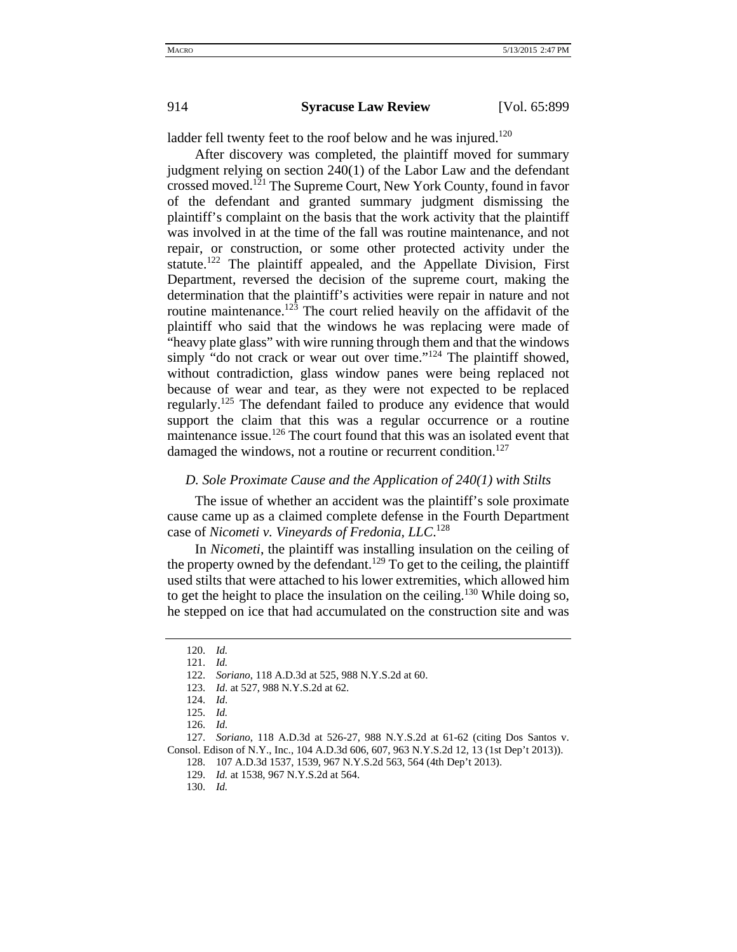ladder fell twenty feet to the roof below and he was injured.<sup>120</sup>

After discovery was completed, the plaintiff moved for summary judgment relying on section 240(1) of the Labor Law and the defendant crossed moved.<sup>121</sup> The Supreme Court, New York County, found in favor of the defendant and granted summary judgment dismissing the plaintiff's complaint on the basis that the work activity that the plaintiff was involved in at the time of the fall was routine maintenance, and not repair, or construction, or some other protected activity under the statute.<sup>122</sup> The plaintiff appealed, and the Appellate Division, First Department, reversed the decision of the supreme court, making the determination that the plaintiff's activities were repair in nature and not routine maintenance.<sup>123</sup> The court relied heavily on the affidavit of the plaintiff who said that the windows he was replacing were made of "heavy plate glass" with wire running through them and that the windows simply "do not crack or wear out over time."<sup>124</sup> The plaintiff showed, without contradiction, glass window panes were being replaced not because of wear and tear, as they were not expected to be replaced regularly.<sup>125</sup> The defendant failed to produce any evidence that would support the claim that this was a regular occurrence or a routine maintenance issue.<sup>126</sup> The court found that this was an isolated event that damaged the windows, not a routine or recurrent condition.<sup>127</sup>

### *D. Sole Proximate Cause and the Application of 240(1) with Stilts*

The issue of whether an accident was the plaintiff's sole proximate cause came up as a claimed complete defense in the Fourth Department case of *Nicometi v. Vineyards of Fredonia, LLC*. 128

In *Nicometi*, the plaintiff was installing insulation on the ceiling of the property owned by the defendant.<sup>129</sup> To get to the ceiling, the plaintiff used stilts that were attached to his lower extremities, which allowed him to get the height to place the insulation on the ceiling.<sup>130</sup> While doing so, he stepped on ice that had accumulated on the construction site and was

<sup>120.</sup> *Id.*

<sup>121.</sup> *Id.*

<sup>122.</sup> *Soriano*, 118 A.D.3d at 525, 988 N.Y.S.2d at 60.

<sup>123.</sup> *Id*. at 527, 988 N.Y.S.2d at 62.

<sup>124.</sup> *Id*.

<sup>125.</sup> *Id.* 

<sup>126.</sup> *Id.* 

<sup>127.</sup> *Soriano*, 118 A.D.3d at 526-27, 988 N.Y.S.2d at 61-62 (citing Dos Santos v. Consol. Edison of N.Y., Inc., 104 A.D.3d 606, 607, 963 N.Y.S.2d 12, 13 (1st Dep't 2013)).

<sup>128. 107</sup> A.D.3d 1537, 1539, 967 N.Y.S.2d 563, 564 (4th Dep't 2013).

<sup>129.</sup> *Id.* at 1538, 967 N.Y.S.2d at 564.

<sup>130.</sup> *Id.*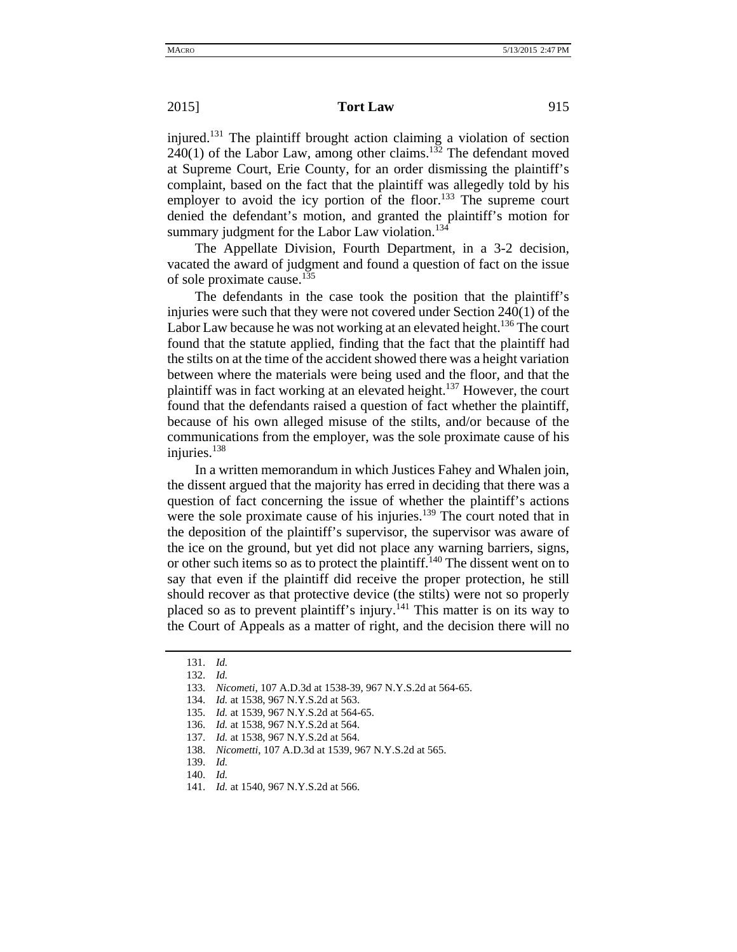injured.131 The plaintiff brought action claiming a violation of section  $240(1)$  of the Labor Law, among other claims.<sup>132</sup> The defendant moved at Supreme Court, Erie County, for an order dismissing the plaintiff's complaint, based on the fact that the plaintiff was allegedly told by his employer to avoid the icy portion of the floor.<sup>133</sup> The supreme court denied the defendant's motion, and granted the plaintiff's motion for summary judgment for the Labor Law violation.<sup>134</sup>

The Appellate Division, Fourth Department, in a 3-2 decision, vacated the award of judgment and found a question of fact on the issue of sole proximate cause.<sup>135</sup>

The defendants in the case took the position that the plaintiff's injuries were such that they were not covered under Section 240(1) of the Labor Law because he was not working at an elevated height.<sup>136</sup> The court found that the statute applied, finding that the fact that the plaintiff had the stilts on at the time of the accident showed there was a height variation between where the materials were being used and the floor, and that the plaintiff was in fact working at an elevated height.<sup>137</sup> However, the court found that the defendants raised a question of fact whether the plaintiff, because of his own alleged misuse of the stilts, and/or because of the communications from the employer, was the sole proximate cause of his injuries.<sup>138</sup>

In a written memorandum in which Justices Fahey and Whalen join, the dissent argued that the majority has erred in deciding that there was a question of fact concerning the issue of whether the plaintiff's actions were the sole proximate cause of his injuries.<sup>139</sup> The court noted that in the deposition of the plaintiff's supervisor, the supervisor was aware of the ice on the ground, but yet did not place any warning barriers, signs, or other such items so as to protect the plaintiff.<sup>140</sup> The dissent went on to say that even if the plaintiff did receive the proper protection, he still should recover as that protective device (the stilts) were not so properly placed so as to prevent plaintiff's injury.<sup>141</sup> This matter is on its way to the Court of Appeals as a matter of right, and the decision there will no

<sup>131.</sup> *Id.*

<sup>132.</sup> *Id.*

<sup>133.</sup> *Nicometi*, 107 A.D.3d at 1538-39, 967 N.Y.S.2d at 564-65.

<sup>134.</sup> *Id.* at 1538, 967 N.Y.S.2d at 563.

<sup>135.</sup> *Id.* at 1539, 967 N.Y.S.2d at 564-65.

<sup>136.</sup> *Id.* at 1538, 967 N.Y.S.2d at 564.

<sup>137.</sup> *Id.* at 1538, 967 N.Y.S.2d at 564.

<sup>138.</sup> *Nicometti*, 107 A.D.3d at 1539, 967 N.Y.S.2d at 565.

<sup>139.</sup> *Id.*

<sup>140.</sup> *Id.*

<sup>141.</sup> *Id.* at 1540, 967 N.Y.S.2d at 566.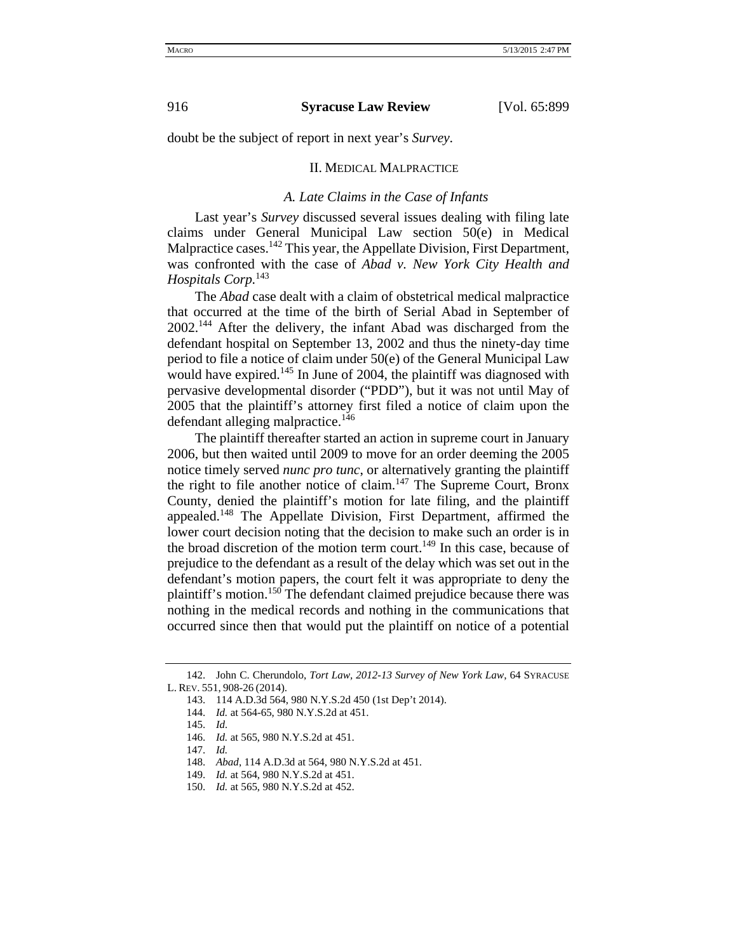doubt be the subject of report in next year's *Survey*.

#### II. MEDICAL MALPRACTICE

### *A. Late Claims in the Case of Infants*

Last year's *Survey* discussed several issues dealing with filing late claims under General Municipal Law section 50(e) in Medical Malpractice cases.<sup>142</sup> This year, the Appellate Division, First Department, was confronted with the case of *Abad v. New York City Health and Hospitals Corp.*<sup>143</sup>

The *Abad* case dealt with a claim of obstetrical medical malpractice that occurred at the time of the birth of Serial Abad in September of 2002.<sup>144</sup> After the delivery, the infant Abad was discharged from the defendant hospital on September 13, 2002 and thus the ninety-day time period to file a notice of claim under 50(e) of the General Municipal Law would have expired.<sup>145</sup> In June of 2004, the plaintiff was diagnosed with pervasive developmental disorder ("PDD"), but it was not until May of 2005 that the plaintiff's attorney first filed a notice of claim upon the defendant alleging malpractice. $146$ 

The plaintiff thereafter started an action in supreme court in January 2006, but then waited until 2009 to move for an order deeming the 2005 notice timely served *nunc pro tunc*, or alternatively granting the plaintiff the right to file another notice of claim.147 The Supreme Court, Bronx County, denied the plaintiff's motion for late filing, and the plaintiff appealed.<sup>148</sup> The Appellate Division, First Department, affirmed the lower court decision noting that the decision to make such an order is in the broad discretion of the motion term court.<sup>149</sup> In this case, because of prejudice to the defendant as a result of the delay which was set out in the defendant's motion papers, the court felt it was appropriate to deny the plaintiff's motion.<sup>150</sup> The defendant claimed prejudice because there was nothing in the medical records and nothing in the communications that occurred since then that would put the plaintiff on notice of a potential

<sup>142.</sup> John C. Cherundolo, *Tort Law, 2012-13 Survey of New York Law*, 64 SYRACUSE L. REV. 551, 908-26 (2014).

<sup>143. 114</sup> A.D.3d 564, 980 N.Y.S.2d 450 (1st Dep't 2014).

<sup>144.</sup> *Id.* at 564-65, 980 N.Y.S.2d at 451.

<sup>145.</sup> *Id.* 

<sup>146.</sup> *Id.* at 565, 980 N.Y.S.2d at 451.

<sup>147.</sup> *Id.*

<sup>148.</sup> *Abad*, 114 A.D.3d at 564, 980 N.Y.S.2d at 451.

<sup>149.</sup> *Id.* at 564, 980 N.Y.S.2d at 451.

<sup>150.</sup> *Id.* at 565, 980 N.Y.S.2d at 452.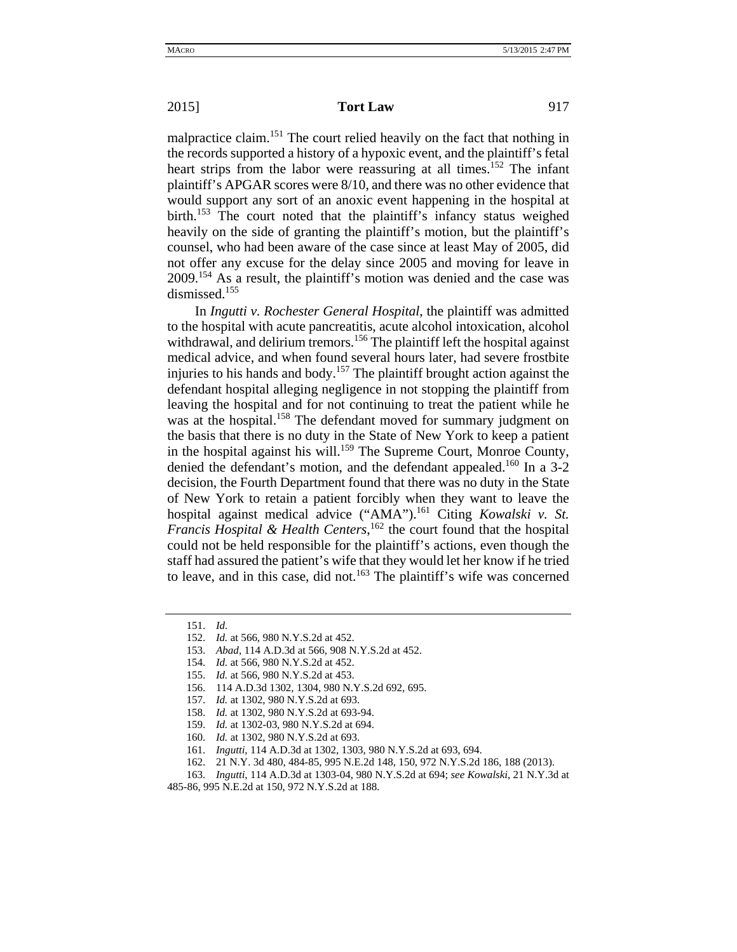### **2015 Tort Law** 917

malpractice claim.<sup>151</sup> The court relied heavily on the fact that nothing in the records supported a history of a hypoxic event, and the plaintiff's fetal heart strips from the labor were reassuring at all times.<sup>152</sup> The infant plaintiff's APGAR scores were 8/10, and there was no other evidence that would support any sort of an anoxic event happening in the hospital at birth.<sup>153</sup> The court noted that the plaintiff's infancy status weighed heavily on the side of granting the plaintiff's motion, but the plaintiff's counsel, who had been aware of the case since at least May of 2005, did not offer any excuse for the delay since 2005 and moving for leave in 2009.154 As a result, the plaintiff's motion was denied and the case was dismissed.<sup>155</sup>

In *Ingutti v. Rochester General Hospital*, the plaintiff was admitted to the hospital with acute pancreatitis, acute alcohol intoxication, alcohol withdrawal, and delirium tremors.<sup>156</sup> The plaintiff left the hospital against medical advice, and when found several hours later, had severe frostbite injuries to his hands and body.157 The plaintiff brought action against the defendant hospital alleging negligence in not stopping the plaintiff from leaving the hospital and for not continuing to treat the patient while he was at the hospital.<sup>158</sup> The defendant moved for summary judgment on the basis that there is no duty in the State of New York to keep a patient in the hospital against his will.<sup>159</sup> The Supreme Court, Monroe County, denied the defendant's motion, and the defendant appealed.<sup>160</sup> In a 3-2 decision, the Fourth Department found that there was no duty in the State of New York to retain a patient forcibly when they want to leave the hospital against medical advice ("AMA").161 Citing *Kowalski v. St. Francis Hospital & Health Centers*, 162 the court found that the hospital could not be held responsible for the plaintiff's actions, even though the staff had assured the patient's wife that they would let her know if he tried to leave, and in this case, did not.<sup>163</sup> The plaintiff's wife was concerned

<sup>151.</sup> *Id.* 

<sup>152.</sup> *Id.* at 566, 980 N.Y.S.2d at 452.

<sup>153.</sup> *Abad*, 114 A.D.3d at 566, 908 N.Y.S.2d at 452.

<sup>154.</sup> *Id.* at 566, 980 N.Y.S.2d at 452.

<sup>155.</sup> *Id.* at 566, 980 N.Y.S.2d at 453.

<sup>156. 114</sup> A.D.3d 1302, 1304, 980 N.Y.S.2d 692, 695.

<sup>157.</sup> *Id.* at 1302, 980 N.Y.S.2d at 693.

<sup>158.</sup> *Id.* at 1302, 980 N.Y.S.2d at 693-94.

<sup>159.</sup> *Id.* at 1302-03, 980 N.Y.S.2d at 694.

<sup>160.</sup> *Id.* at 1302, 980 N.Y.S.2d at 693.

<sup>161.</sup> *Ingutti*, 114 A.D.3d at 1302, 1303, 980 N.Y.S.2d at 693, 694.

<sup>162. 21</sup> N.Y. 3d 480, 484-85, 995 N.E.2d 148, 150, 972 N.Y.S.2d 186, 188 (2013).

<sup>163.</sup> *Ingutti*, 114 A.D.3d at 1303-04, 980 N.Y.S.2d at 694; *see Kowalski*, 21 N.Y.3d at

<sup>485-86, 995</sup> N.E.2d at 150, 972 N.Y.S.2d at 188.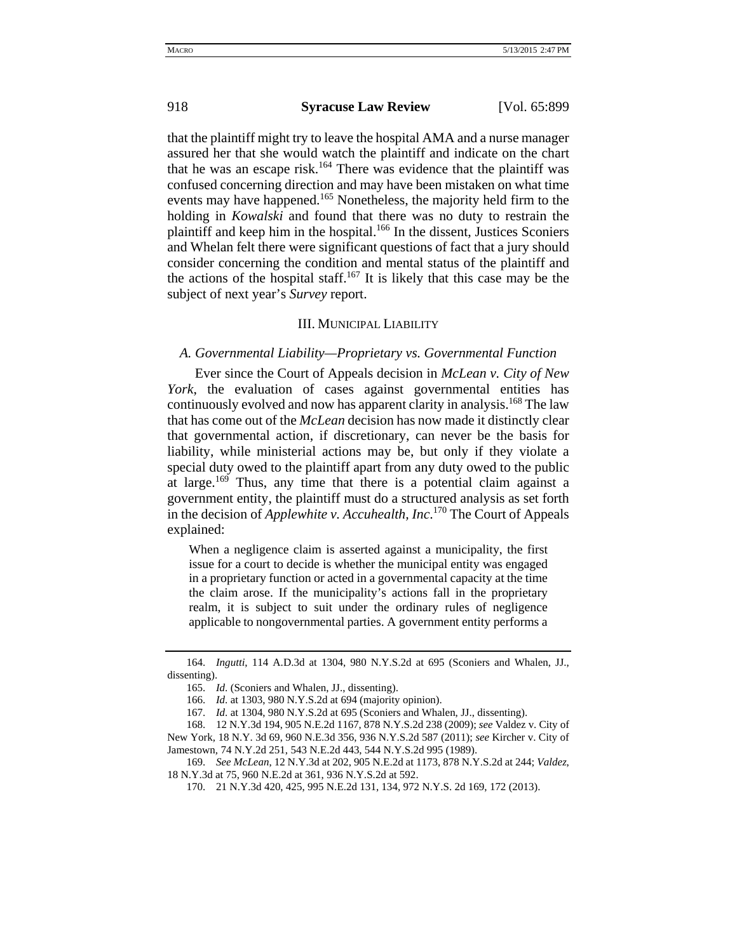that the plaintiff might try to leave the hospital AMA and a nurse manager assured her that she would watch the plaintiff and indicate on the chart that he was an escape risk.<sup>164</sup> There was evidence that the plaintiff was confused concerning direction and may have been mistaken on what time events may have happened.<sup>165</sup> Nonetheless, the majority held firm to the holding in *Kowalski* and found that there was no duty to restrain the plaintiff and keep him in the hospital.<sup>166</sup> In the dissent, Justices Sconiers and Whelan felt there were significant questions of fact that a jury should consider concerning the condition and mental status of the plaintiff and the actions of the hospital staff.<sup>167</sup> It is likely that this case may be the subject of next year's *Survey* report.

### III. MUNICIPAL LIABILITY

## *A. Governmental Liability—Proprietary vs. Governmental Function*

Ever since the Court of Appeals decision in *McLean v. City of New York*, the evaluation of cases against governmental entities has continuously evolved and now has apparent clarity in analysis.<sup>168</sup> The law that has come out of the *McLean* decision has now made it distinctly clear that governmental action, if discretionary, can never be the basis for liability, while ministerial actions may be, but only if they violate a special duty owed to the plaintiff apart from any duty owed to the public at large.<sup>169</sup> Thus, any time that there is a potential claim against a government entity, the plaintiff must do a structured analysis as set forth in the decision of *Applewhite v. Accuhealth, Inc*. 170 The Court of Appeals explained:

When a negligence claim is asserted against a municipality, the first issue for a court to decide is whether the municipal entity was engaged in a proprietary function or acted in a governmental capacity at the time the claim arose. If the municipality's actions fall in the proprietary realm, it is subject to suit under the ordinary rules of negligence applicable to nongovernmental parties. A government entity performs a

<sup>164.</sup> *Ingutti*, 114 A.D.3d at 1304, 980 N.Y.S.2d at 695 (Sconiers and Whalen, JJ., dissenting).

<sup>165.</sup> *Id*. (Sconiers and Whalen, JJ., dissenting).

<sup>166.</sup> *Id*. at 1303, 980 N.Y.S.2d at 694 (majority opinion).

<sup>167.</sup> *Id*. at 1304, 980 N.Y.S.2d at 695 (Sconiers and Whalen, JJ., dissenting).

<sup>168. 12</sup> N.Y.3d 194, 905 N.E.2d 1167, 878 N.Y.S.2d 238 (2009); *see* Valdez v. City of New York*,* 18 N.Y. 3d 69, 960 N.E.3d 356, 936 N.Y.S.2d 587 (2011); *see* Kircher v. City of Jamestown*,* 74 N.Y.2d 251, 543 N.E.2d 443, 544 N.Y.S.2d 995 (1989).

<sup>169.</sup> *See McLean*, 12 N.Y.3d at 202, 905 N.E.2d at 1173, 878 N.Y.S.2d at 244; *Valdez*, 18 N.Y.3d at 75, 960 N.E.2d at 361, 936 N.Y.S.2d at 592.

<sup>170. 21</sup> N.Y.3d 420, 425, 995 N.E.2d 131, 134, 972 N.Y.S. 2d 169, 172 (2013).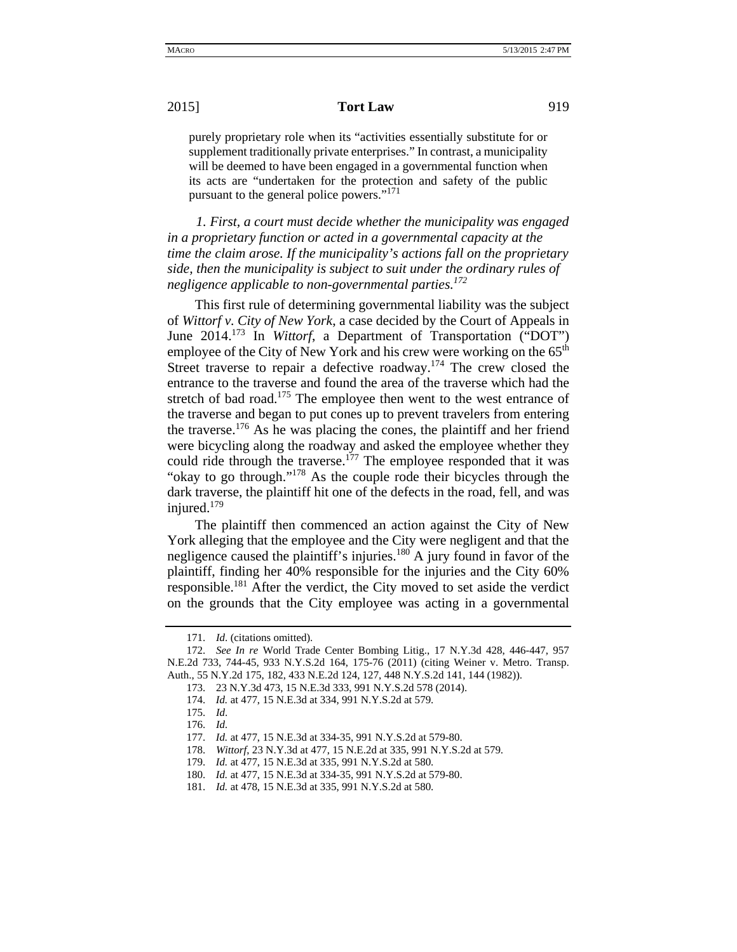purely proprietary role when its "activities essentially substitute for or supplement traditionally private enterprises." In contrast, a municipality will be deemed to have been engaged in a governmental function when its acts are "undertaken for the protection and safety of the public pursuant to the general police powers."<sup>171</sup>

 *1. First, a court must decide whether the municipality was engaged in a proprietary function or acted in a governmental capacity at the time the claim arose. If the municipality's actions fall on the proprietary side, then the municipality is subject to suit under the ordinary rules of negligence applicable to non-governmental parties.172*

This first rule of determining governmental liability was the subject of *Wittorf v. City of New York*, a case decided by the Court of Appeals in June 2014.173 In *Wittorf*, a Department of Transportation ("DOT") employee of the City of New York and his crew were working on the 65<sup>th</sup> Street traverse to repair a defective roadway.<sup>174</sup> The crew closed the entrance to the traverse and found the area of the traverse which had the stretch of bad road.<sup>175</sup> The employee then went to the west entrance of the traverse and began to put cones up to prevent travelers from entering the traverse.<sup>176</sup> As he was placing the cones, the plaintiff and her friend were bicycling along the roadway and asked the employee whether they could ride through the traverse.<sup>177</sup> The employee responded that it was "okay to go through."178 As the couple rode their bicycles through the dark traverse, the plaintiff hit one of the defects in the road, fell, and was injured.<sup>179</sup>

The plaintiff then commenced an action against the City of New York alleging that the employee and the City were negligent and that the negligence caused the plaintiff's injuries.<sup>180</sup> A jury found in favor of the plaintiff, finding her 40% responsible for the injuries and the City 60% responsible.181 After the verdict, the City moved to set aside the verdict on the grounds that the City employee was acting in a governmental

<sup>171.</sup> *Id*. (citations omitted).

<sup>172.</sup> *See In re* World Trade Center Bombing Litig., 17 N.Y.3d 428, 446-447, 957 N.E.2d 733, 744-45, 933 N.Y.S.2d 164, 175-76 (2011) (citing Weiner v. Metro. Transp. Auth., 55 N.Y.2d 175, 182, 433 N.E.2d 124, 127, 448 N.Y.S.2d 141, 144 (1982)).

<sup>173. 23</sup> N.Y.3d 473, 15 N.E.3d 333, 991 N.Y.S.2d 578 (2014).

<sup>174.</sup> *Id.* at 477, 15 N.E.3d at 334, 991 N.Y.S.2d at 579.

<sup>175.</sup> *Id*.

<sup>176.</sup> *Id.* 

<sup>177.</sup> *Id.* at 477, 15 N.E.3d at 334-35, 991 N.Y.S.2d at 579-80.

<sup>178.</sup> *Wittorf*, 23 N.Y.3d at 477, 15 N.E.2d at 335, 991 N.Y.S.2d at 579.

<sup>179.</sup> *Id.* at 477, 15 N.E.3d at 335, 991 N.Y.S.2d at 580.

<sup>180.</sup> *Id.* at 477, 15 N.E.3d at 334-35, 991 N.Y.S.2d at 579-80.

<sup>181.</sup> *Id.* at 478, 15 N.E.3d at 335, 991 N.Y.S.2d at 580.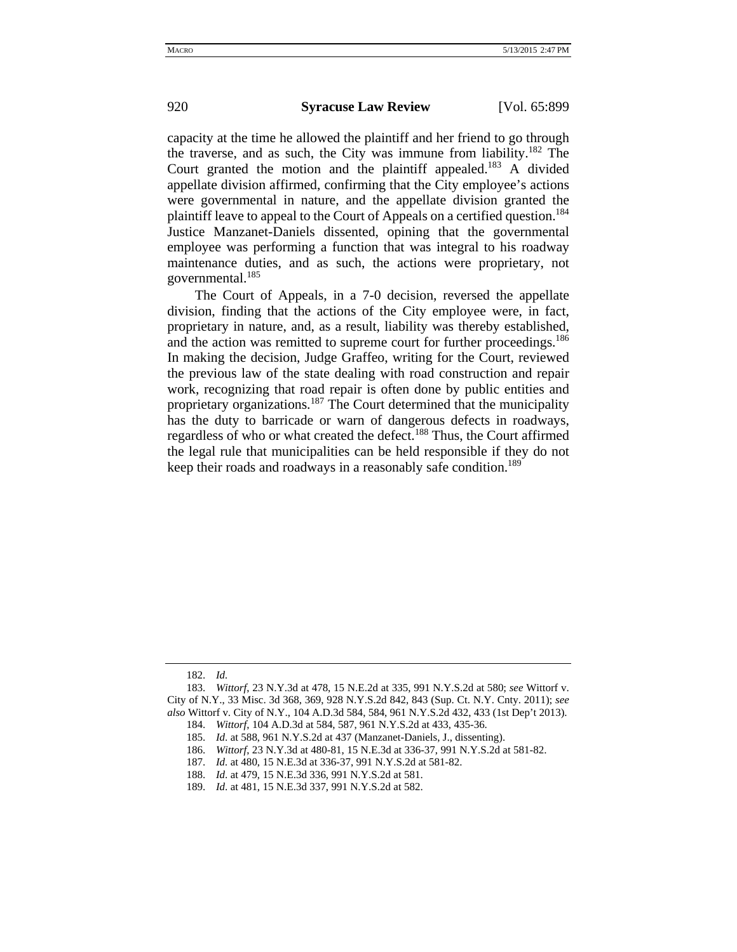capacity at the time he allowed the plaintiff and her friend to go through the traverse, and as such, the City was immune from liability.<sup>182</sup> The Court granted the motion and the plaintiff appealed.<sup>183</sup> A divided appellate division affirmed, confirming that the City employee's actions were governmental in nature, and the appellate division granted the plaintiff leave to appeal to the Court of Appeals on a certified question.<sup>184</sup> Justice Manzanet-Daniels dissented, opining that the governmental employee was performing a function that was integral to his roadway maintenance duties, and as such, the actions were proprietary, not governmental.<sup>185</sup>

The Court of Appeals, in a 7-0 decision, reversed the appellate division, finding that the actions of the City employee were, in fact, proprietary in nature, and, as a result, liability was thereby established, and the action was remitted to supreme court for further proceedings.<sup>186</sup> In making the decision, Judge Graffeo, writing for the Court, reviewed the previous law of the state dealing with road construction and repair work, recognizing that road repair is often done by public entities and proprietary organizations.<sup>187</sup> The Court determined that the municipality has the duty to barricade or warn of dangerous defects in roadways, regardless of who or what created the defect.<sup>188</sup> Thus, the Court affirmed the legal rule that municipalities can be held responsible if they do not keep their roads and roadways in a reasonably safe condition.<sup>189</sup>

<sup>182.</sup> *Id.* 

<sup>183.</sup> *Wittorf*, 23 N.Y.3d at 478, 15 N.E.2d at 335, 991 N.Y.S.2d at 580; *see* Wittorf v. City of N.Y., 33 Misc. 3d 368, 369, 928 N.Y.S.2d 842, 843 (Sup. Ct. N.Y. Cnty. 2011); *see also* Wittorf v. City of N.Y., 104 A.D.3d 584, 584, 961 N.Y.S.2d 432, 433 (1st Dep't 2013). 184. *Wittorf*, 104 A.D.3d at 584, 587, 961 N.Y.S.2d at 433, 435-36.

<sup>185.</sup> *Id*. at 588, 961 N.Y.S.2d at 437 (Manzanet-Daniels, J., dissenting).

<sup>186.</sup> *Wittorf*, 23 N.Y.3d at 480-81, 15 N.E.3d at 336-37, 991 N.Y.S.2d at 581-82.

<sup>187.</sup> *Id.* at 480, 15 N.E.3d at 336-37, 991 N.Y.S.2d at 581-82.

<sup>188.</sup> *Id*. at 479, 15 N.E.3d 336, 991 N.Y.S.2d at 581.

<sup>189.</sup> *Id*. at 481, 15 N.E.3d 337, 991 N.Y.S.2d at 582.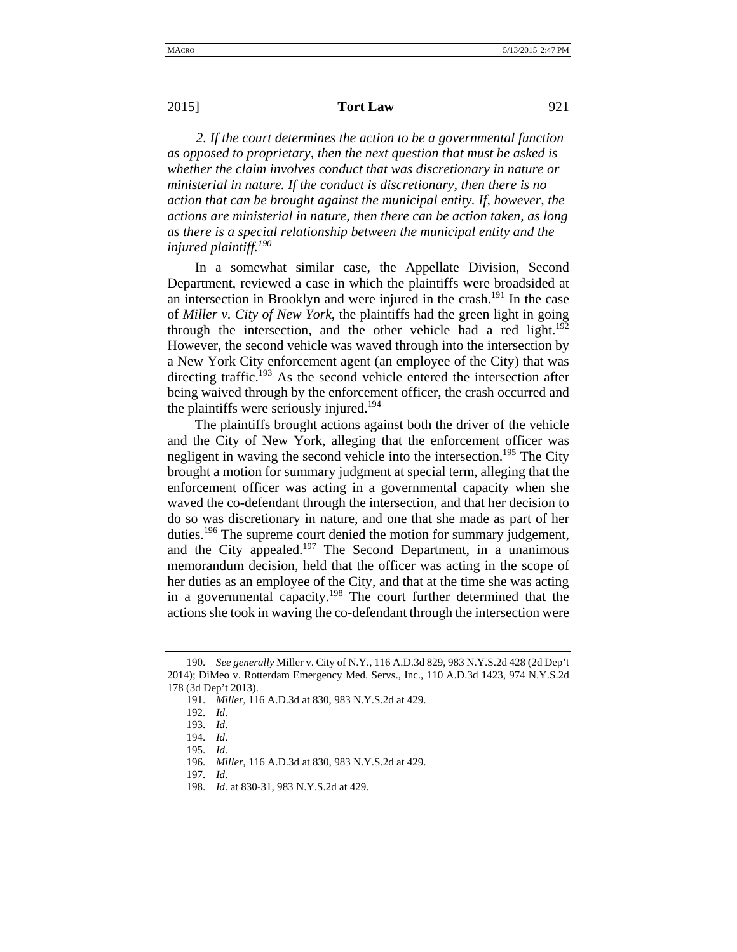*2. If the court determines the action to be a governmental function as opposed to proprietary, then the next question that must be asked is whether the claim involves conduct that was discretionary in nature or ministerial in nature. If the conduct is discretionary, then there is no action that can be brought against the municipal entity. If, however, the actions are ministerial in nature, then there can be action taken, as long as there is a special relationship between the municipal entity and the injured plaintiff.<sup>190</sup>*

In a somewhat similar case, the Appellate Division, Second Department, reviewed a case in which the plaintiffs were broadsided at an intersection in Brooklyn and were injured in the crash.<sup>191</sup> In the case of *Miller v. City of New York*, the plaintiffs had the green light in going through the intersection, and the other vehicle had a red light. $192$ However, the second vehicle was waved through into the intersection by a New York City enforcement agent (an employee of the City) that was directing traffic.<sup>193</sup> As the second vehicle entered the intersection after being waived through by the enforcement officer, the crash occurred and the plaintiffs were seriously injured.<sup>194</sup>

The plaintiffs brought actions against both the driver of the vehicle and the City of New York, alleging that the enforcement officer was negligent in waving the second vehicle into the intersection.<sup>195</sup> The City brought a motion for summary judgment at special term, alleging that the enforcement officer was acting in a governmental capacity when she waved the co-defendant through the intersection, and that her decision to do so was discretionary in nature, and one that she made as part of her duties.<sup>196</sup> The supreme court denied the motion for summary judgement, and the City appealed.<sup>197</sup> The Second Department, in a unanimous memorandum decision, held that the officer was acting in the scope of her duties as an employee of the City, and that at the time she was acting in a governmental capacity.<sup>198</sup> The court further determined that the actions she took in waving the co-defendant through the intersection were

<sup>190.</sup> *See generally* Miller v. City of N.Y., 116 A.D.3d 829, 983 N.Y.S.2d 428 (2d Dep't 2014); DiMeo v. Rotterdam Emergency Med. Servs., Inc., 110 A.D.3d 1423, 974 N.Y.S.2d 178 (3d Dep't 2013).

<sup>191.</sup> *Miller*, 116 A.D.3d at 830, 983 N.Y.S.2d at 429.

<sup>192.</sup> *Id*.

<sup>193.</sup> *Id*.

<sup>194.</sup> *Id*.

<sup>195.</sup> *Id*.

<sup>196.</sup> *Miller*, 116 A.D.3d at 830, 983 N.Y.S.2d at 429.

<sup>197.</sup> *Id*.

<sup>198.</sup> *Id*. at 830-31, 983 N.Y.S.2d at 429.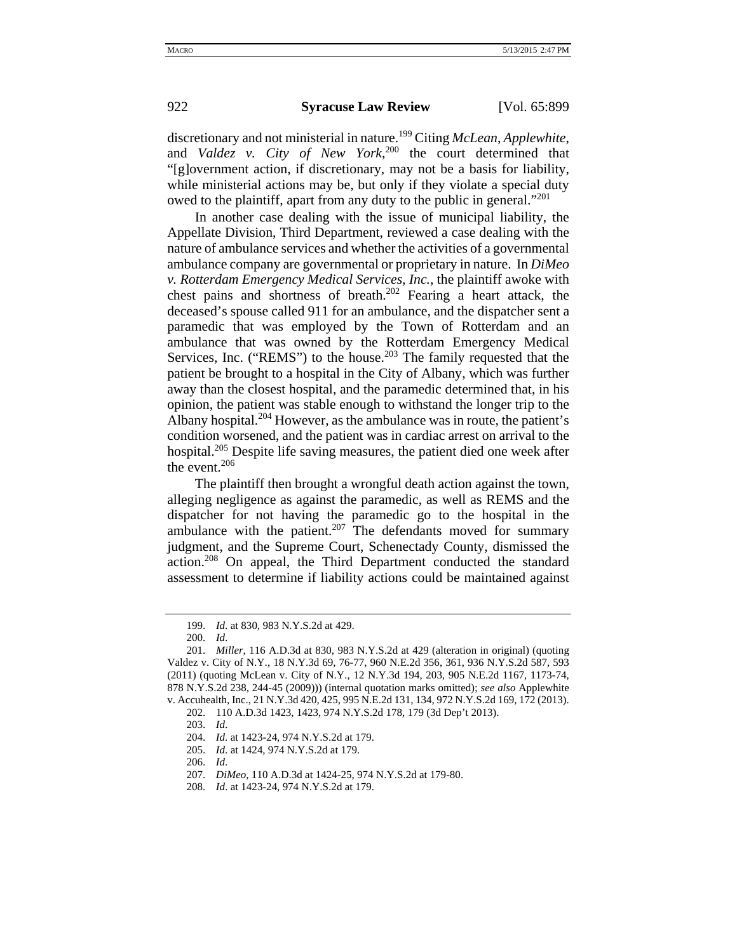discretionary and not ministerial in nature.199 Citing *McLean*, *Applewhite*, and *Valdez v. City of New York*, 200 the court determined that "[g]overnment action, if discretionary, may not be a basis for liability, while ministerial actions may be, but only if they violate a special duty owed to the plaintiff, apart from any duty to the public in general."<sup>201</sup>

In another case dealing with the issue of municipal liability, the Appellate Division, Third Department, reviewed a case dealing with the nature of ambulance services and whether the activities of a governmental ambulance company are governmental or proprietary in nature. In *DiMeo v. Rotterdam Emergency Medical Services, Inc.*, the plaintiff awoke with chest pains and shortness of breath.202 Fearing a heart attack, the deceased's spouse called 911 for an ambulance, and the dispatcher sent a paramedic that was employed by the Town of Rotterdam and an ambulance that was owned by the Rotterdam Emergency Medical Services, Inc. ("REMS") to the house.<sup>203</sup> The family requested that the patient be brought to a hospital in the City of Albany, which was further away than the closest hospital, and the paramedic determined that, in his opinion, the patient was stable enough to withstand the longer trip to the Albany hospital.<sup>204</sup> However, as the ambulance was in route, the patient's condition worsened, and the patient was in cardiac arrest on arrival to the hospital.<sup>205</sup> Despite life saving measures, the patient died one week after the event.<sup>206</sup>

The plaintiff then brought a wrongful death action against the town, alleging negligence as against the paramedic, as well as REMS and the dispatcher for not having the paramedic go to the hospital in the ambulance with the patient. $207$  The defendants moved for summary judgment, and the Supreme Court, Schenectady County, dismissed the action.<sup>208</sup> On appeal, the Third Department conducted the standard assessment to determine if liability actions could be maintained against

<sup>199.</sup> *Id*. at 830, 983 N.Y.S.2d at 429.

<sup>200.</sup> *Id*.

<sup>201.</sup> *Miller*, 116 A.D.3d at 830, 983 N.Y.S.2d at 429 (alteration in original) (quoting Valdez v. City of N.Y., 18 N.Y.3d 69, 76-77, 960 N.E.2d 356, 361, 936 N.Y.S.2d 587, 593 (2011) (quoting McLean v. City of N.Y., 12 N.Y.3d 194, 203, 905 N.E.2d 1167, 1173-74, 878 N.Y.S.2d 238, 244-45 (2009))) (internal quotation marks omitted); *see also* Applewhite v. Accuhealth, Inc., 21 N.Y.3d 420, 425, 995 N.E.2d 131, 134, 972 N.Y.S.2d 169, 172 (2013).

<sup>202. 110</sup> A.D.3d 1423, 1423, 974 N.Y.S.2d 178, 179 (3d Dep't 2013).

<sup>203.</sup> *Id*.

<sup>204.</sup> *Id*. at 1423-24, 974 N.Y.S.2d at 179.

<sup>205.</sup> *Id*. at 1424, 974 N.Y.S.2d at 179.

<sup>206.</sup> *Id*.

<sup>207.</sup> *DiMeo*, 110 A.D.3d at 1424-25, 974 N.Y.S.2d at 179-80.

<sup>208.</sup> *Id*. at 1423-24, 974 N.Y.S.2d at 179.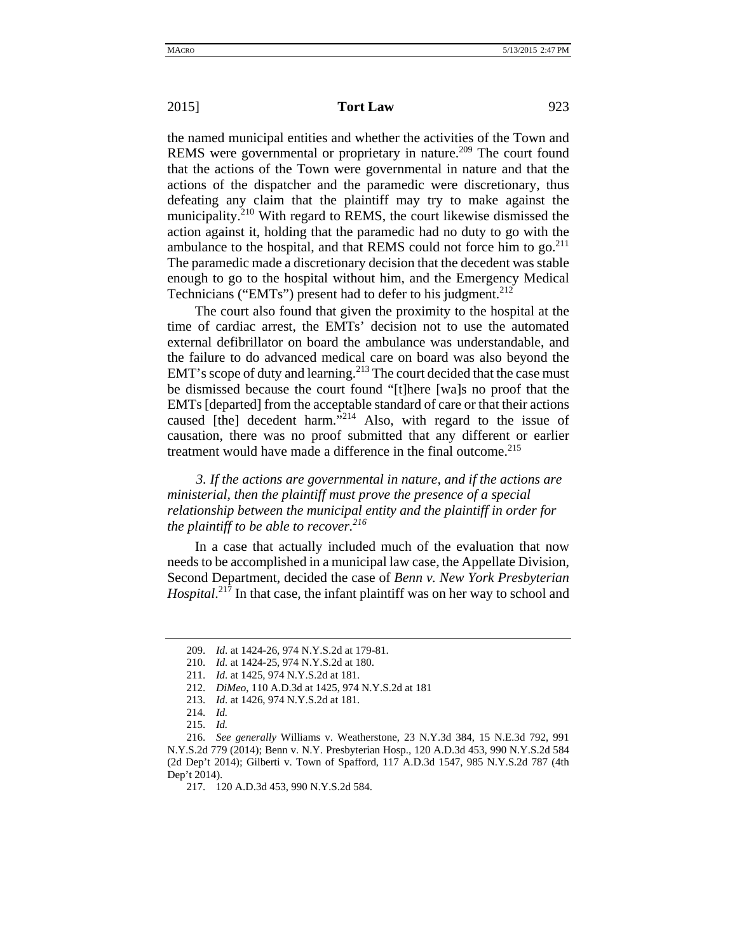the named municipal entities and whether the activities of the Town and REMS were governmental or proprietary in nature.<sup>209</sup> The court found that the actions of the Town were governmental in nature and that the actions of the dispatcher and the paramedic were discretionary, thus defeating any claim that the plaintiff may try to make against the municipality.<sup>210</sup> With regard to REMS, the court likewise dismissed the action against it, holding that the paramedic had no duty to go with the ambulance to the hospital, and that REMS could not force him to go.<sup>211</sup> The paramedic made a discretionary decision that the decedent was stable enough to go to the hospital without him, and the Emergency Medical Technicians ("EMTs") present had to defer to his judgment.<sup>212</sup>

The court also found that given the proximity to the hospital at the time of cardiac arrest, the EMTs' decision not to use the automated external defibrillator on board the ambulance was understandable, and the failure to do advanced medical care on board was also beyond the EMT's scope of duty and learning.<sup>213</sup> The court decided that the case must be dismissed because the court found "[t]here [wa]s no proof that the EMTs [departed] from the acceptable standard of care or that their actions caused [the] decedent harm."<sup>214</sup> Also, with regard to the issue of causation, there was no proof submitted that any different or earlier treatment would have made a difference in the final outcome.<sup>215</sup>

 *3. If the actions are governmental in nature, and if the actions are ministerial, then the plaintiff must prove the presence of a special relationship between the municipal entity and the plaintiff in order for the plaintiff to be able to recover.216*

In a case that actually included much of the evaluation that now needs to be accomplished in a municipal law case, the Appellate Division, Second Department, decided the case of *Benn v. New York Presbyterian*  Hospital.<sup>217</sup> In that case, the infant plaintiff was on her way to school and

<sup>209.</sup> *Id*. at 1424-26, 974 N.Y.S.2d at 179-81.

<sup>210.</sup> *Id.* at 1424-25, 974 N.Y.S.2d at 180.

<sup>211.</sup> *Id*. at 1425, 974 N.Y.S.2d at 181.

<sup>212.</sup> *DiMeo*, 110 A.D.3d at 1425, 974 N.Y.S.2d at 181

<sup>213.</sup> *Id*. at 1426, 974 N.Y.S.2d at 181.

<sup>214.</sup> *Id.*

<sup>215.</sup> *Id.*

<sup>216.</sup> *See generally* Williams v. Weatherstone, 23 N.Y.3d 384, 15 N.E.3d 792, 991 N.Y.S.2d 779 (2014); Benn v. N.Y. Presbyterian Hosp., 120 A.D.3d 453, 990 N.Y.S.2d 584 (2d Dep't 2014); Gilberti v. Town of Spafford, 117 A.D.3d 1547, 985 N.Y.S.2d 787 (4th Dep't 2014).

<sup>217. 120</sup> A.D.3d 453, 990 N.Y.S.2d 584.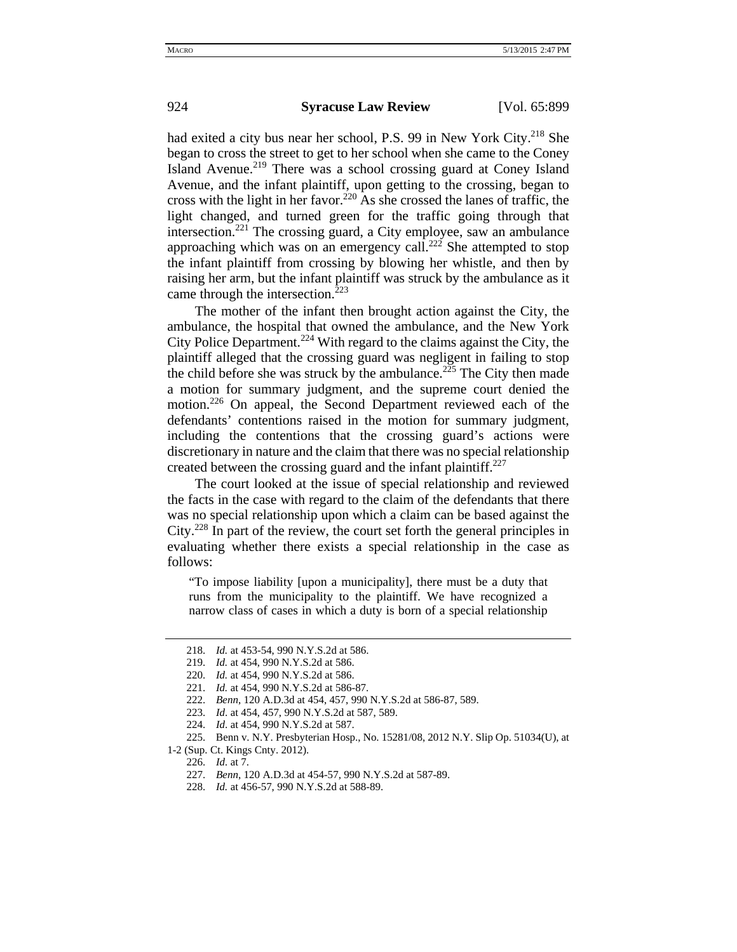had exited a city bus near her school, P.S. 99 in New York City.<sup>218</sup> She began to cross the street to get to her school when she came to the Coney Island Avenue.<sup>219</sup> There was a school crossing guard at Coney Island Avenue, and the infant plaintiff, upon getting to the crossing, began to cross with the light in her favor.<sup>220</sup> As she crossed the lanes of traffic, the light changed, and turned green for the traffic going through that intersection.<sup>221</sup> The crossing guard, a City employee, saw an ambulance approaching which was on an emergency call.<sup>222</sup> She attempted to stop the infant plaintiff from crossing by blowing her whistle, and then by raising her arm, but the infant plaintiff was struck by the ambulance as it came through the intersection.<sup>223</sup>

The mother of the infant then brought action against the City, the ambulance, the hospital that owned the ambulance, and the New York City Police Department.<sup>224</sup> With regard to the claims against the City, the plaintiff alleged that the crossing guard was negligent in failing to stop the child before she was struck by the ambulance.<sup>225</sup> The City then made a motion for summary judgment, and the supreme court denied the motion.<sup>226</sup> On appeal, the Second Department reviewed each of the defendants' contentions raised in the motion for summary judgment, including the contentions that the crossing guard's actions were discretionary in nature and the claim that there was no special relationship created between the crossing guard and the infant plaintiff.<sup>227</sup>

The court looked at the issue of special relationship and reviewed the facts in the case with regard to the claim of the defendants that there was no special relationship upon which a claim can be based against the City.228 In part of the review, the court set forth the general principles in evaluating whether there exists a special relationship in the case as follows:

"To impose liability [upon a municipality], there must be a duty that runs from the municipality to the plaintiff. We have recognized a narrow class of cases in which a duty is born of a special relationship

<sup>218.</sup> *Id.* at 453-54, 990 N.Y.S.2d at 586.

<sup>219.</sup> *Id.* at 454, 990 N.Y.S.2d at 586.

<sup>220.</sup> *Id.* at 454, 990 N.Y.S.2d at 586.

<sup>221.</sup> *Id.* at 454, 990 N.Y.S.2d at 586-87.

<sup>222.</sup> *Benn*, 120 A.D.3d at 454, 457, 990 N.Y.S.2d at 586-87, 589.

<sup>223.</sup> *Id*. at 454, 457, 990 N.Y.S.2d at 587, 589.

<sup>224.</sup> *Id*. at 454, 990 N.Y.S.2d at 587.

<sup>225.</sup> Benn v. N.Y. Presbyterian Hosp., No. 15281/08, 2012 N.Y. Slip Op. 51034(U), at 1-2 (Sup. Ct. Kings Cnty. 2012).

<sup>226.</sup> *Id.* at 7.

<sup>227.</sup> *Benn*, 120 A.D.3d at 454-57, 990 N.Y.S.2d at 587-89.

<sup>228.</sup> *Id.* at 456-57, 990 N.Y.S.2d at 588-89.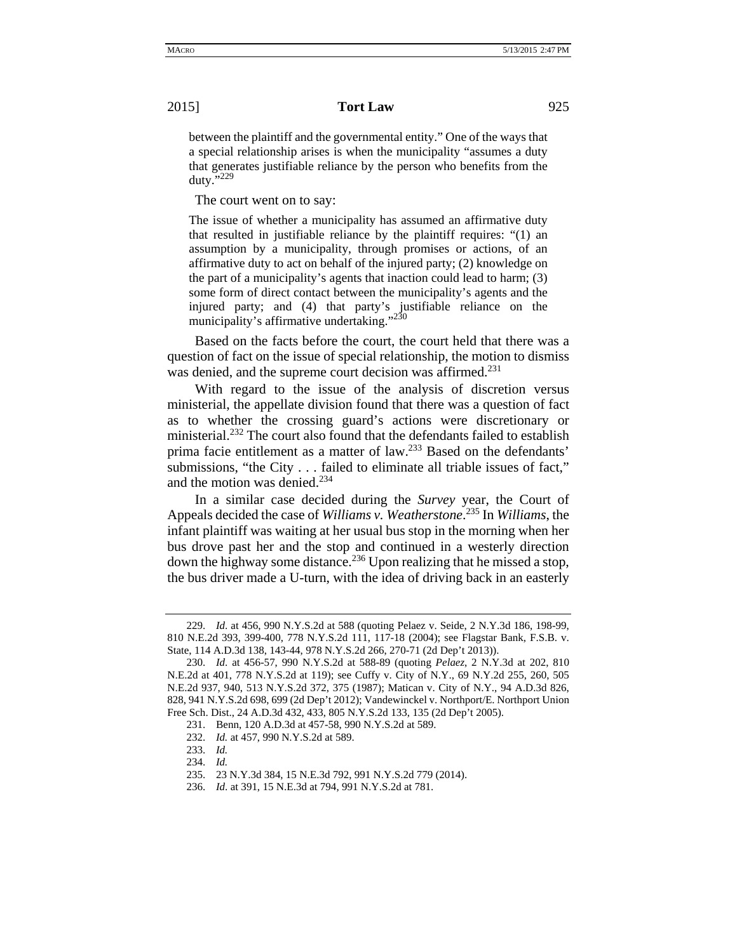between the plaintiff and the governmental entity." One of the ways that a special relationship arises is when the municipality "assumes a duty that generates justifiable reliance by the person who benefits from the duty."229

The court went on to say:

The issue of whether a municipality has assumed an affirmative duty that resulted in justifiable reliance by the plaintiff requires: "(1) an assumption by a municipality, through promises or actions, of an affirmative duty to act on behalf of the injured party; (2) knowledge on the part of a municipality's agents that inaction could lead to harm; (3) some form of direct contact between the municipality's agents and the injured party; and (4) that party's justifiable reliance on the municipality's affirmative undertaking."<sup>230</sup>

Based on the facts before the court, the court held that there was a question of fact on the issue of special relationship, the motion to dismiss was denied, and the supreme court decision was affirmed.<sup>231</sup>

With regard to the issue of the analysis of discretion versus ministerial, the appellate division found that there was a question of fact as to whether the crossing guard's actions were discretionary or ministerial.<sup>232</sup> The court also found that the defendants failed to establish prima facie entitlement as a matter of law.233 Based on the defendants' submissions, "the City . . . failed to eliminate all triable issues of fact," and the motion was denied.<sup>234</sup>

In a similar case decided during the *Survey* year, the Court of Appeals decided the case of *Williams v. Weatherstone*. 235 In *Williams*, the infant plaintiff was waiting at her usual bus stop in the morning when her bus drove past her and the stop and continued in a westerly direction down the highway some distance.<sup>236</sup> Upon realizing that he missed a stop, the bus driver made a U-turn, with the idea of driving back in an easterly

<sup>229.</sup> *Id*. at 456, 990 N.Y.S.2d at 588 (quoting Pelaez v. Seide, 2 N.Y.3d 186, 198-99, 810 N.E.2d 393, 399-400, 778 N.Y.S.2d 111, 117-18 (2004); see Flagstar Bank, F.S.B. v. State, 114 A.D.3d 138, 143-44, 978 N.Y.S.2d 266, 270-71 (2d Dep't 2013)).

<sup>230.</sup> *Id*. at 456-57, 990 N.Y.S.2d at 588-89 (quoting *Pelaez*, 2 N.Y.3d at 202, 810 N.E.2d at 401, 778 N.Y.S.2d at 119); see Cuffy v. City of N.Y., 69 N.Y.2d 255, 260, 505 N.E.2d 937, 940, 513 N.Y.S.2d 372, 375 (1987); Matican v. City of N.Y., 94 A.D.3d 826, 828, 941 N.Y.S.2d 698, 699 (2d Dep't 2012); Vandewinckel v. Northport/E. Northport Union Free Sch. Dist., 24 A.D.3d 432, 433, 805 N.Y.S.2d 133, 135 (2d Dep't 2005).

<sup>231.</sup> Benn, 120 A.D.3d at 457-58, 990 N.Y.S.2d at 589.

<sup>232.</sup> *Id.* at 457, 990 N.Y.S.2d at 589.

<sup>233.</sup> *Id.*

<sup>234.</sup> *Id.*

<sup>235. 23</sup> N.Y.3d 384, 15 N.E.3d 792, 991 N.Y.S.2d 779 (2014).

<sup>236.</sup> *Id*. at 391, 15 N.E.3d at 794, 991 N.Y.S.2d at 781.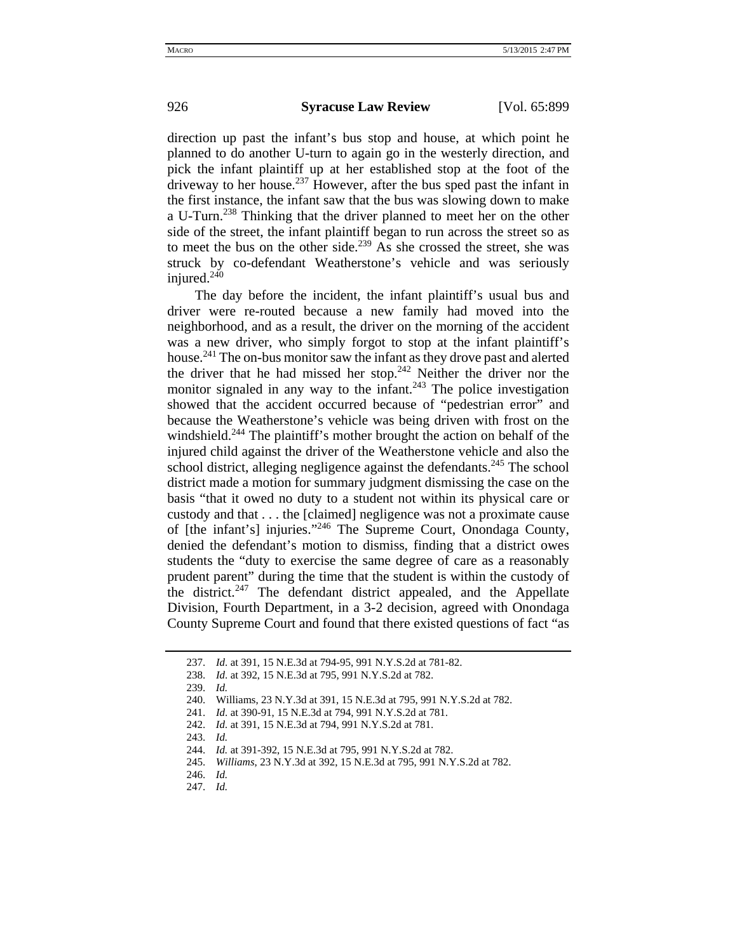direction up past the infant's bus stop and house, at which point he planned to do another U-turn to again go in the westerly direction, and pick the infant plaintiff up at her established stop at the foot of the driveway to her house.<sup>237</sup> However, after the bus sped past the infant in the first instance, the infant saw that the bus was slowing down to make a U-Turn.238 Thinking that the driver planned to meet her on the other side of the street, the infant plaintiff began to run across the street so as to meet the bus on the other side.<sup>239</sup> As she crossed the street, she was struck by co-defendant Weatherstone's vehicle and was seriously injured.<sup>240</sup>

The day before the incident, the infant plaintiff's usual bus and driver were re-routed because a new family had moved into the neighborhood, and as a result, the driver on the morning of the accident was a new driver, who simply forgot to stop at the infant plaintiff's house.<sup>241</sup> The on-bus monitor saw the infant as they drove past and alerted the driver that he had missed her stop.<sup>242</sup> Neither the driver nor the monitor signaled in any way to the infant.<sup>243</sup> The police investigation showed that the accident occurred because of "pedestrian error" and because the Weatherstone's vehicle was being driven with frost on the windshield.<sup>244</sup> The plaintiff's mother brought the action on behalf of the injured child against the driver of the Weatherstone vehicle and also the school district, alleging negligence against the defendants.<sup>245</sup> The school district made a motion for summary judgment dismissing the case on the basis "that it owed no duty to a student not within its physical care or custody and that . . . the [claimed] negligence was not a proximate cause of [the infant's] injuries."246 The Supreme Court, Onondaga County, denied the defendant's motion to dismiss, finding that a district owes students the "duty to exercise the same degree of care as a reasonably prudent parent" during the time that the student is within the custody of the district.<sup>247</sup> The defendant district appealed, and the Appellate Division, Fourth Department, in a 3-2 decision, agreed with Onondaga County Supreme Court and found that there existed questions of fact "as

<sup>237.</sup> *Id*. at 391, 15 N.E.3d at 794-95, 991 N.Y.S.2d at 781-82.

<sup>238.</sup> *Id*. at 392, 15 N.E.3d at 795, 991 N.Y.S.2d at 782.

<sup>239.</sup> *Id.*

<sup>240.</sup> Williams, 23 N.Y.3d at 391, 15 N.E.3d at 795, 991 N.Y.S.2d at 782.

<sup>241.</sup> *Id*. at 390-91, 15 N.E.3d at 794, 991 N.Y.S.2d at 781.

<sup>242.</sup> *Id.* at 391, 15 N.E.3d at 794, 991 N.Y.S.2d at 781.

<sup>243.</sup> *Id.*

<sup>244.</sup> *Id.* at 391-392, 15 N.E.3d at 795, 991 N.Y.S.2d at 782.

<sup>245.</sup> *Williams*, 23 N.Y.3d at 392, 15 N.E.3d at 795, 991 N.Y.S.2d at 782.

<sup>246.</sup> *Id.*

<sup>247.</sup> *Id.*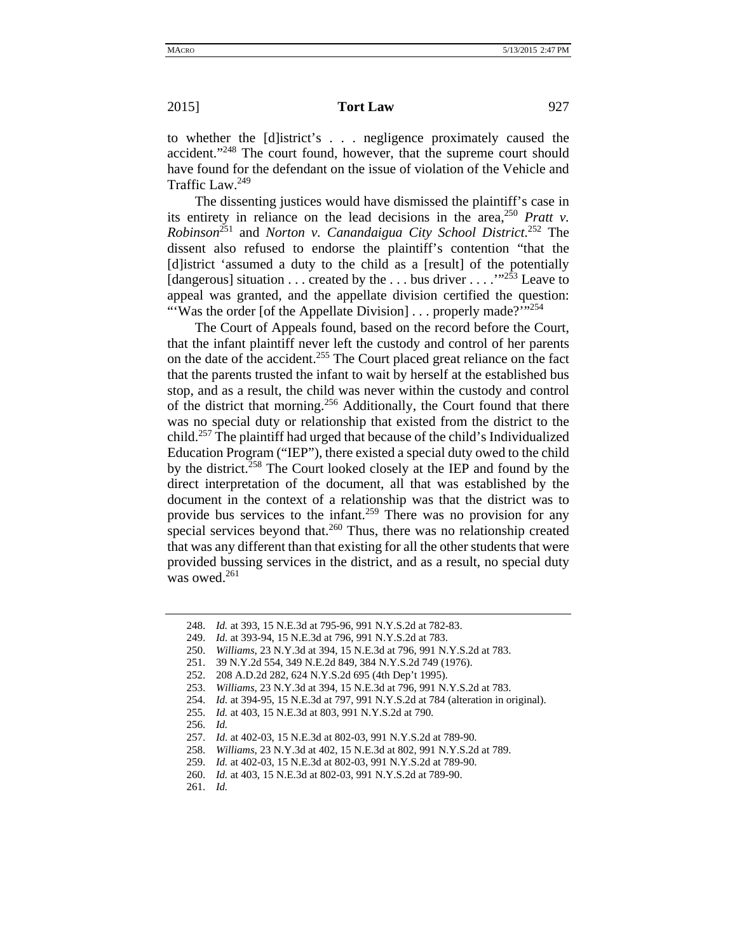## **2015 Tort Law** 927

to whether the [d]istrict's . . . negligence proximately caused the accident."<sup>248</sup> The court found, however, that the supreme court should have found for the defendant on the issue of violation of the Vehicle and Traffic Law.249

The dissenting justices would have dismissed the plaintiff's case in its entirety in reliance on the lead decisions in the area,<sup>250</sup> *Pratt v. Robinson*251 and *Norton v. Canandaigua City School District*. 252 The dissent also refused to endorse the plaintiff's contention "that the [d]istrict 'assumed a duty to the child as a [result] of the potentially [dangerous] situation . . . created by the . . . bus driver . . . . "<sup>253</sup> Leave to appeal was granted, and the appellate division certified the question: "'Was the order [of the Appellate Division] . . . properly made?'"<sup>254</sup>

The Court of Appeals found, based on the record before the Court, that the infant plaintiff never left the custody and control of her parents on the date of the accident.255 The Court placed great reliance on the fact that the parents trusted the infant to wait by herself at the established bus stop, and as a result, the child was never within the custody and control of the district that morning.<sup>256</sup> Additionally, the Court found that there was no special duty or relationship that existed from the district to the child.257 The plaintiff had urged that because of the child's Individualized Education Program ("IEP"), there existed a special duty owed to the child by the district.<sup>258</sup> The Court looked closely at the IEP and found by the direct interpretation of the document, all that was established by the document in the context of a relationship was that the district was to provide bus services to the infant.<sup>259</sup> There was no provision for any special services beyond that.<sup>260</sup> Thus, there was no relationship created that was any different than that existing for all the other students that were provided bussing services in the district, and as a result, no special duty was owed.<sup>261</sup>

251. 39 N.Y.2d 554, 349 N.E.2d 849, 384 N.Y.S.2d 749 (1976).

256. *Id.*

261. *Id.*

<sup>248.</sup> *Id.* at 393, 15 N.E.3d at 795-96, 991 N.Y.S.2d at 782-83.

<sup>249.</sup> *Id.* at 393-94, 15 N.E.3d at 796, 991 N.Y.S.2d at 783.

<sup>250.</sup> *Williams*, 23 N.Y.3d at 394, 15 N.E.3d at 796, 991 N.Y.S.2d at 783.

<sup>252. 208</sup> A.D.2d 282, 624 N.Y.S.2d 695 (4th Dep't 1995).

<sup>253.</sup> *Williams*, 23 N.Y.3d at 394, 15 N.E.3d at 796, 991 N.Y.S.2d at 783.

<sup>254.</sup> *Id.* at 394-95, 15 N.E.3d at 797, 991 N.Y.S.2d at 784 (alteration in original).

<sup>255.</sup> *Id.* at 403, 15 N.E.3d at 803, 991 N.Y.S.2d at 790.

<sup>257.</sup> *Id.* at 402-03, 15 N.E.3d at 802-03, 991 N.Y.S.2d at 789-90.

<sup>258.</sup> *Williams*, 23 N.Y.3d at 402, 15 N.E.3d at 802, 991 N.Y.S.2d at 789.

<sup>259.</sup> *Id.* at 402-03, 15 N.E.3d at 802-03, 991 N.Y.S.2d at 789-90.

<sup>260.</sup> *Id.* at 403, 15 N.E.3d at 802-03, 991 N.Y.S.2d at 789-90.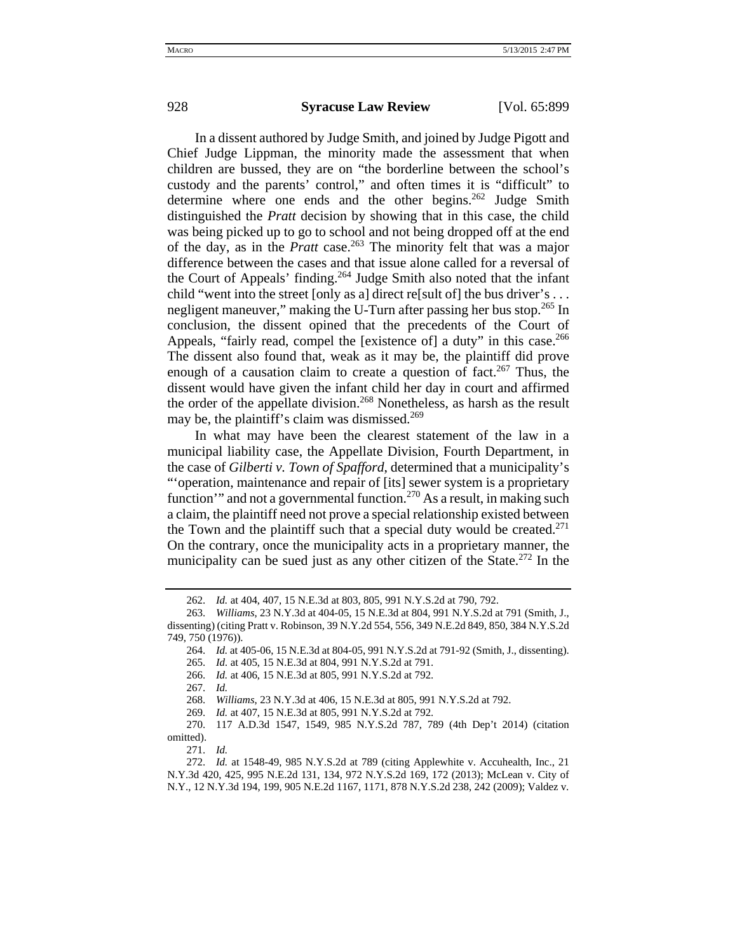In a dissent authored by Judge Smith, and joined by Judge Pigott and Chief Judge Lippman, the minority made the assessment that when children are bussed, they are on "the borderline between the school's custody and the parents' control," and often times it is "difficult" to determine where one ends and the other begins.<sup>262</sup> Judge Smith distinguished the *Pratt* decision by showing that in this case, the child was being picked up to go to school and not being dropped off at the end of the day, as in the *Pratt* case.263 The minority felt that was a major difference between the cases and that issue alone called for a reversal of the Court of Appeals' finding.<sup>264</sup> Judge Smith also noted that the infant child "went into the street [only as a] direct re[sult of] the bus driver's . . . negligent maneuver," making the U-Turn after passing her bus stop.<sup>265</sup> In conclusion, the dissent opined that the precedents of the Court of Appeals, "fairly read, compel the [existence of] a duty" in this case.<sup>266</sup> The dissent also found that, weak as it may be, the plaintiff did prove enough of a causation claim to create a question of fact.<sup>267</sup> Thus, the

dissent would have given the infant child her day in court and affirmed the order of the appellate division.<sup>268</sup> Nonetheless, as harsh as the result may be, the plaintiff's claim was dismissed.<sup>269</sup>

In what may have been the clearest statement of the law in a municipal liability case, the Appellate Division, Fourth Department, in the case of *Gilberti v. Town of Spafford*, determined that a municipality's "'operation, maintenance and repair of [its] sewer system is a proprietary function'" and not a governmental function.<sup>270</sup> As a result, in making such a claim, the plaintiff need not prove a special relationship existed between the Town and the plaintiff such that a special duty would be created.<sup>271</sup> On the contrary, once the municipality acts in a proprietary manner, the municipality can be sued just as any other citizen of the State.<sup>272</sup> In the

267. *Id.*

268. *Williams*, 23 N.Y.3d at 406, 15 N.E.3d at 805, 991 N.Y.S.2d at 792.

<sup>262.</sup> *Id.* at 404, 407, 15 N.E.3d at 803, 805, 991 N.Y.S.2d at 790, 792.

<sup>263.</sup> *Williams*, 23 N.Y.3d at 404-05, 15 N.E.3d at 804, 991 N.Y.S.2d at 791 (Smith, J., dissenting) (citing Pratt v. Robinson, 39 N.Y.2d 554, 556, 349 N.E.2d 849, 850, 384 N.Y.S.2d 749, 750 (1976)).

<sup>264.</sup> *Id.* at 405-06, 15 N.E.3d at 804-05, 991 N.Y.S.2d at 791-92 (Smith, J., dissenting).

<sup>265.</sup> *Id.* at 405, 15 N.E.3d at 804, 991 N.Y.S.2d at 791.

<sup>266.</sup> *Id.* at 406, 15 N.E.3d at 805, 991 N.Y.S.2d at 792.

<sup>269.</sup> *Id.* at 407, 15 N.E.3d at 805, 991 N.Y.S.2d at 792.

<sup>270. 117</sup> A.D.3d 1547, 1549, 985 N.Y.S.2d 787, 789 (4th Dep't 2014) (citation omitted).

<sup>271.</sup> *Id.*

<sup>272.</sup> *Id.* at 1548-49, 985 N.Y.S.2d at 789 (citing Applewhite v. Accuhealth, Inc., 21 N.Y.3d 420, 425, 995 N.E.2d 131, 134, 972 N.Y.S.2d 169, 172 (2013); McLean v. City of N.Y., 12 N.Y.3d 194, 199, 905 N.E.2d 1167, 1171, 878 N.Y.S.2d 238, 242 (2009); Valdez v.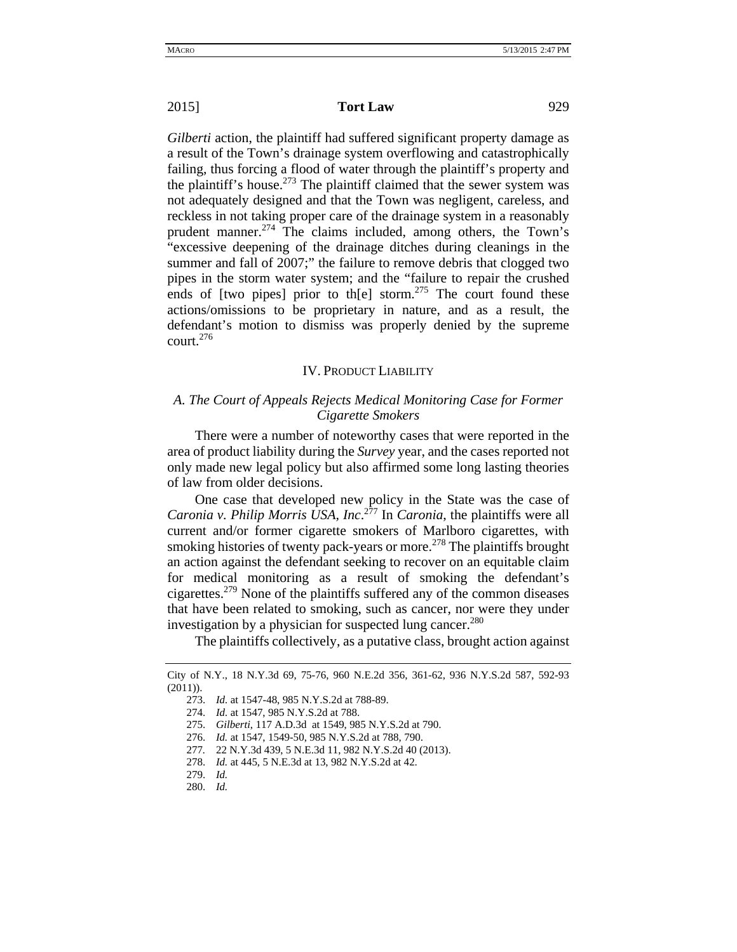*Gilberti* action, the plaintiff had suffered significant property damage as a result of the Town's drainage system overflowing and catastrophically failing, thus forcing a flood of water through the plaintiff's property and the plaintiff's house.<sup>273</sup> The plaintiff claimed that the sewer system was not adequately designed and that the Town was negligent, careless, and reckless in not taking proper care of the drainage system in a reasonably prudent manner.<sup>274</sup> The claims included, among others, the Town's "excessive deepening of the drainage ditches during cleanings in the summer and fall of 2007;" the failure to remove debris that clogged two pipes in the storm water system; and the "failure to repair the crushed ends of [two pipes] prior to th[e] storm.<sup>275</sup> The court found these actions/omissions to be proprietary in nature, and as a result, the defendant's motion to dismiss was properly denied by the supreme court. $276$ 

### IV. PRODUCT LIABILITY

## *A. The Court of Appeals Rejects Medical Monitoring Case for Former Cigarette Smokers*

There were a number of noteworthy cases that were reported in the area of product liability during the *Survey* year, and the cases reported not only made new legal policy but also affirmed some long lasting theories of law from older decisions.

One case that developed new policy in the State was the case of *Caronia v. Philip Morris USA, Inc*. 277 In *Caronia*, the plaintiffs were all current and/or former cigarette smokers of Marlboro cigarettes, with smoking histories of twenty pack-years or more.<sup>278</sup> The plaintiffs brought an action against the defendant seeking to recover on an equitable claim for medical monitoring as a result of smoking the defendant's cigarettes.279 None of the plaintiffs suffered any of the common diseases that have been related to smoking, such as cancer, nor were they under investigation by a physician for suspected lung cancer.<sup>280</sup>

The plaintiffs collectively, as a putative class, brought action against

City of N.Y., 18 N.Y.3d 69, 75-76, 960 N.E.2d 356, 361-62, 936 N.Y.S.2d 587, 592-93 (2011)).

<sup>273.</sup> *Id.* at 1547-48, 985 N.Y.S.2d at 788-89.

<sup>274.</sup> *Id.* at 1547, 985 N.Y.S.2d at 788.

<sup>275.</sup> *Gilberti*, 117 A.D.3d at 1549, 985 N.Y.S.2d at 790.

<sup>276.</sup> *Id.* at 1547, 1549-50, 985 N.Y.S.2d at 788, 790.

<sup>277</sup>*.* 22 N.Y.3d 439, 5 N.E.3d 11, 982 N.Y.S.2d 40 (2013).

<sup>278.</sup> *Id.* at 445, 5 N.E.3d at 13, 982 N.Y.S.2d at 42.

<sup>279.</sup> *Id.*

<sup>280.</sup> *Id.*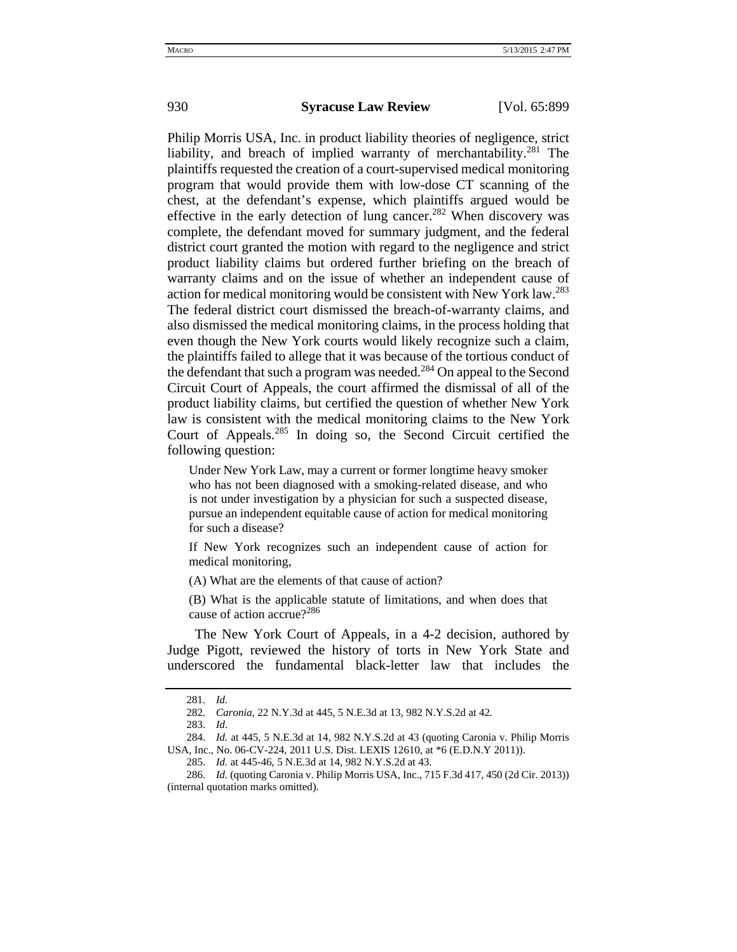Philip Morris USA, Inc. in product liability theories of negligence, strict liability, and breach of implied warranty of merchantability.<sup>281</sup> The plaintiffs requested the creation of a court-supervised medical monitoring program that would provide them with low-dose CT scanning of the chest, at the defendant's expense, which plaintiffs argued would be effective in the early detection of lung cancer.<sup>282</sup> When discovery was complete, the defendant moved for summary judgment, and the federal district court granted the motion with regard to the negligence and strict product liability claims but ordered further briefing on the breach of warranty claims and on the issue of whether an independent cause of action for medical monitoring would be consistent with New York law.283 The federal district court dismissed the breach-of-warranty claims, and also dismissed the medical monitoring claims, in the process holding that even though the New York courts would likely recognize such a claim, the plaintiffs failed to allege that it was because of the tortious conduct of the defendant that such a program was needed.<sup>284</sup> On appeal to the Second Circuit Court of Appeals, the court affirmed the dismissal of all of the product liability claims, but certified the question of whether New York law is consistent with the medical monitoring claims to the New York Court of Appeals.285 In doing so, the Second Circuit certified the following question:

Under New York Law, may a current or former longtime heavy smoker who has not been diagnosed with a smoking-related disease, and who is not under investigation by a physician for such a suspected disease, pursue an independent equitable cause of action for medical monitoring for such a disease?

If New York recognizes such an independent cause of action for medical monitoring,

(A) What are the elements of that cause of action?

(B) What is the applicable statute of limitations, and when does that cause of action accrue?286

The New York Court of Appeals, in a 4-2 decision, authored by Judge Pigott, reviewed the history of torts in New York State and underscored the fundamental black-letter law that includes the

<sup>281.</sup> *Id.*

<sup>282.</sup> *Caronia*, 22 N.Y.3d at 445, 5 N.E.3d at 13, 982 N.Y.S.2d at 42*.*

<sup>283.</sup> *Id.* 

<sup>284.</sup> *Id.* at 445, 5 N.E.3d at 14, 982 N.Y.S.2d at 43 (quoting Caronia v. Philip Morris USA, Inc., No. 06-CV-224, 2011 U.S. Dist. LEXIS 12610, at \*6 (E.D.N.Y 2011)).

<sup>285.</sup> *Id.* at 445-46, 5 N.E.3d at 14, 982 N.Y.S.2d at 43.

<sup>286.</sup> *Id.* (quoting Caronia v. Philip Morris USA, Inc., 715 F.3d 417, 450 (2d Cir. 2013)) (internal quotation marks omitted).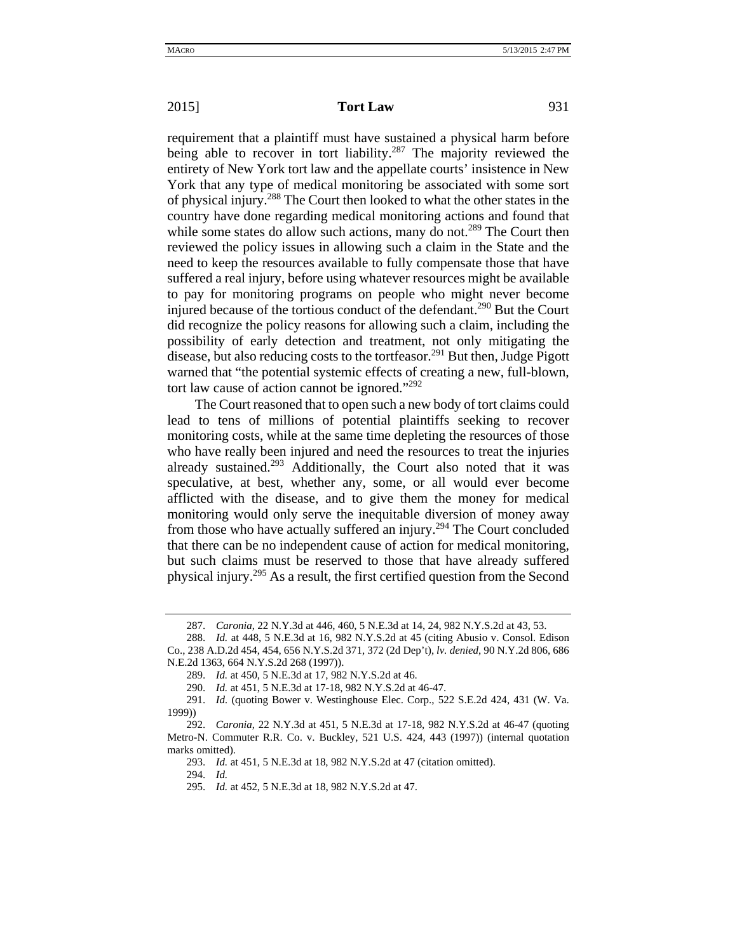requirement that a plaintiff must have sustained a physical harm before being able to recover in tort liability.<sup>287</sup> The majority reviewed the entirety of New York tort law and the appellate courts' insistence in New York that any type of medical monitoring be associated with some sort of physical injury.288 The Court then looked to what the other states in the country have done regarding medical monitoring actions and found that while some states do allow such actions, many do not.<sup>289</sup> The Court then reviewed the policy issues in allowing such a claim in the State and the need to keep the resources available to fully compensate those that have suffered a real injury, before using whatever resources might be available to pay for monitoring programs on people who might never become injured because of the tortious conduct of the defendant.<sup>290</sup> But the Court did recognize the policy reasons for allowing such a claim, including the possibility of early detection and treatment, not only mitigating the disease, but also reducing costs to the tortfeasor.<sup>291</sup> But then, Judge Pigott warned that "the potential systemic effects of creating a new, full-blown, tort law cause of action cannot be ignored."292

The Court reasoned that to open such a new body of tort claims could lead to tens of millions of potential plaintiffs seeking to recover monitoring costs, while at the same time depleting the resources of those who have really been injured and need the resources to treat the injuries already sustained.<sup>293</sup> Additionally, the Court also noted that it was speculative, at best, whether any, some, or all would ever become afflicted with the disease, and to give them the money for medical monitoring would only serve the inequitable diversion of money away from those who have actually suffered an injury.<sup>294</sup> The Court concluded that there can be no independent cause of action for medical monitoring, but such claims must be reserved to those that have already suffered physical injury.295 As a result, the first certified question from the Second

293. *Id.* at 451, 5 N.E.3d at 18, 982 N.Y.S.2d at 47 (citation omitted).

294. *Id.*

<sup>287.</sup> *Caronia*, 22 N.Y.3d at 446, 460, 5 N.E.3d at 14, 24, 982 N.Y.S.2d at 43, 53.

<sup>288.</sup> *Id.* at 448, 5 N.E.3d at 16, 982 N.Y.S.2d at 45 (citing Abusio v. Consol. Edison Co., 238 A.D.2d 454, 454, 656 N.Y.S.2d 371, 372 (2d Dep't), *lv. denied*, 90 N.Y.2d 806, 686 N.E.2d 1363, 664 N.Y.S.2d 268 (1997)).

<sup>289.</sup> *Id.* at 450, 5 N.E.3d at 17, 982 N.Y.S.2d at 46.

<sup>290.</sup> *Id.* at 451, 5 N.E.3d at 17-18, 982 N.Y.S.2d at 46-47.

<sup>291.</sup> *Id.* (quoting Bower v. Westinghouse Elec. Corp., 522 S.E.2d 424, 431 (W. Va. 1999))

<sup>292.</sup> *Caronia*, 22 N.Y.3d at 451, 5 N.E.3d at 17-18, 982 N.Y.S.2d at 46-47 (quoting Metro-N. Commuter R.R. Co. v. Buckley, 521 U.S. 424, 443 (1997)) (internal quotation marks omitted).

<sup>295.</sup> *Id.* at 452, 5 N.E.3d at 18, 982 N.Y.S.2d at 47.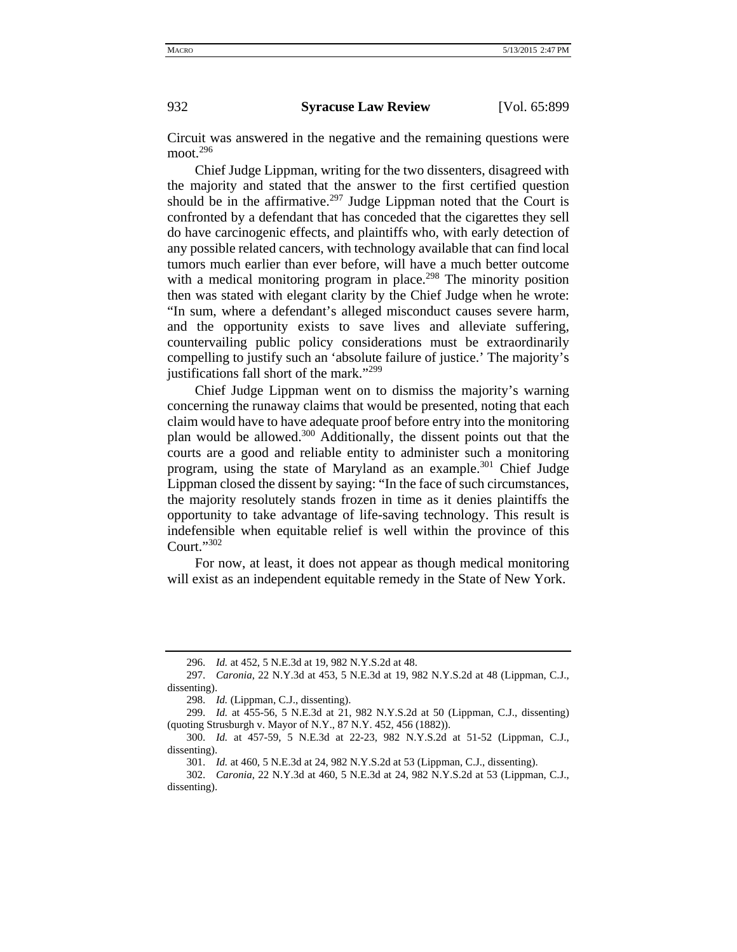Circuit was answered in the negative and the remaining questions were moot. $296$ 

Chief Judge Lippman, writing for the two dissenters, disagreed with the majority and stated that the answer to the first certified question should be in the affirmative.<sup>297</sup> Judge Lippman noted that the Court is confronted by a defendant that has conceded that the cigarettes they sell do have carcinogenic effects, and plaintiffs who, with early detection of any possible related cancers, with technology available that can find local tumors much earlier than ever before, will have a much better outcome with a medical monitoring program in place.<sup>298</sup> The minority position then was stated with elegant clarity by the Chief Judge when he wrote: "In sum, where a defendant's alleged misconduct causes severe harm, and the opportunity exists to save lives and alleviate suffering, countervailing public policy considerations must be extraordinarily compelling to justify such an 'absolute failure of justice.' The majority's justifications fall short of the mark."<sup>299</sup>

Chief Judge Lippman went on to dismiss the majority's warning concerning the runaway claims that would be presented, noting that each claim would have to have adequate proof before entry into the monitoring plan would be allowed.<sup>300</sup> Additionally, the dissent points out that the courts are a good and reliable entity to administer such a monitoring program, using the state of Maryland as an example.<sup>301</sup> Chief Judge Lippman closed the dissent by saying: "In the face of such circumstances, the majority resolutely stands frozen in time as it denies plaintiffs the opportunity to take advantage of life-saving technology. This result is indefensible when equitable relief is well within the province of this Court."302

For now, at least, it does not appear as though medical monitoring will exist as an independent equitable remedy in the State of New York.

<sup>296.</sup> *Id.* at 452, 5 N.E.3d at 19, 982 N.Y.S.2d at 48.

<sup>297.</sup> *Caronia*, 22 N.Y.3d at 453, 5 N.E.3d at 19, 982 N.Y.S.2d at 48 (Lippman, C.J., dissenting).

<sup>298.</sup> *Id.* (Lippman, C.J., dissenting).

<sup>299.</sup> *Id.* at 455-56, 5 N.E.3d at 21, 982 N.Y.S.2d at 50 (Lippman, C.J., dissenting) (quoting Strusburgh v. Mayor of N.Y., 87 N.Y. 452, 456 (1882)).

<sup>300.</sup> *Id.* at 457-59, 5 N.E.3d at 22-23, 982 N.Y.S.2d at 51-52 (Lippman, C.J., dissenting).

<sup>301.</sup> *Id.* at 460, 5 N.E.3d at 24, 982 N.Y.S.2d at 53 (Lippman, C.J., dissenting).

<sup>302.</sup> *Caronia*, 22 N.Y.3d at 460, 5 N.E.3d at 24, 982 N.Y.S.2d at 53 (Lippman, C.J., dissenting).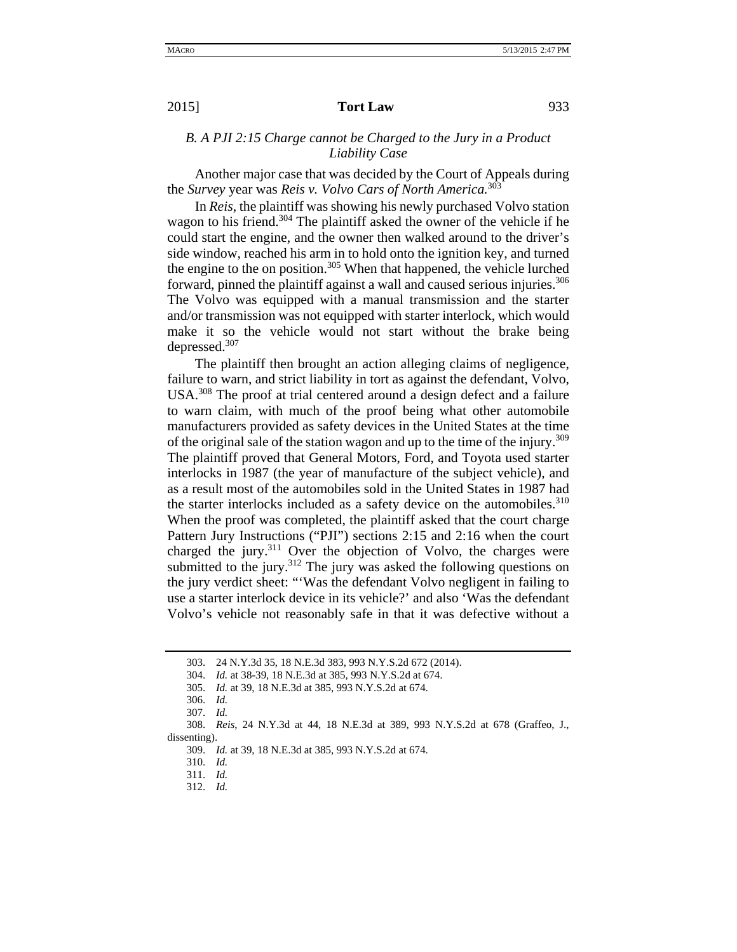## *B. A PJI 2:15 Charge cannot be Charged to the Jury in a Product Liability Case*

Another major case that was decided by the Court of Appeals during the *Survey* year was *Reis v. Volvo Cars of North America.*<sup>303</sup>

In *Reis*, the plaintiff was showing his newly purchased Volvo station wagon to his friend.<sup>304</sup> The plaintiff asked the owner of the vehicle if he could start the engine, and the owner then walked around to the driver's side window, reached his arm in to hold onto the ignition key, and turned the engine to the on position.<sup>305</sup> When that happened, the vehicle lurched forward, pinned the plaintiff against a wall and caused serious injuries.<sup>306</sup> The Volvo was equipped with a manual transmission and the starter and/or transmission was not equipped with starter interlock, which would make it so the vehicle would not start without the brake being depressed.307

The plaintiff then brought an action alleging claims of negligence, failure to warn, and strict liability in tort as against the defendant, Volvo, USA.<sup>308</sup> The proof at trial centered around a design defect and a failure to warn claim, with much of the proof being what other automobile manufacturers provided as safety devices in the United States at the time of the original sale of the station wagon and up to the time of the injury.<sup>309</sup> The plaintiff proved that General Motors, Ford, and Toyota used starter interlocks in 1987 (the year of manufacture of the subject vehicle), and as a result most of the automobiles sold in the United States in 1987 had the starter interlocks included as a safety device on the automobiles.<sup>310</sup> When the proof was completed, the plaintiff asked that the court charge Pattern Jury Instructions ("PJI") sections 2:15 and 2:16 when the court charged the jury.<sup>311</sup> Over the objection of Volvo, the charges were submitted to the jury. $312$  The jury was asked the following questions on the jury verdict sheet: "'Was the defendant Volvo negligent in failing to use a starter interlock device in its vehicle?' and also 'Was the defendant Volvo's vehicle not reasonably safe in that it was defective without a

<sup>303. 24</sup> N.Y.3d 35, 18 N.E.3d 383, 993 N.Y.S.2d 672 (2014).

<sup>304.</sup> *Id.* at 38-39, 18 N.E.3d at 385, 993 N.Y.S.2d at 674.

<sup>305.</sup> *Id.* at 39, 18 N.E.3d at 385, 993 N.Y.S.2d at 674.

<sup>306.</sup> *Id.*

<sup>307.</sup> *Id.*

<sup>308.</sup> *Reis*, 24 N.Y.3d at 44, 18 N.E.3d at 389, 993 N.Y.S.2d at 678 (Graffeo, J., dissenting).

<sup>309.</sup> *Id.* at 39, 18 N.E.3d at 385, 993 N.Y.S.2d at 674.

<sup>310.</sup> *Id.*

<sup>311.</sup> *Id.*

<sup>312.</sup> *Id.*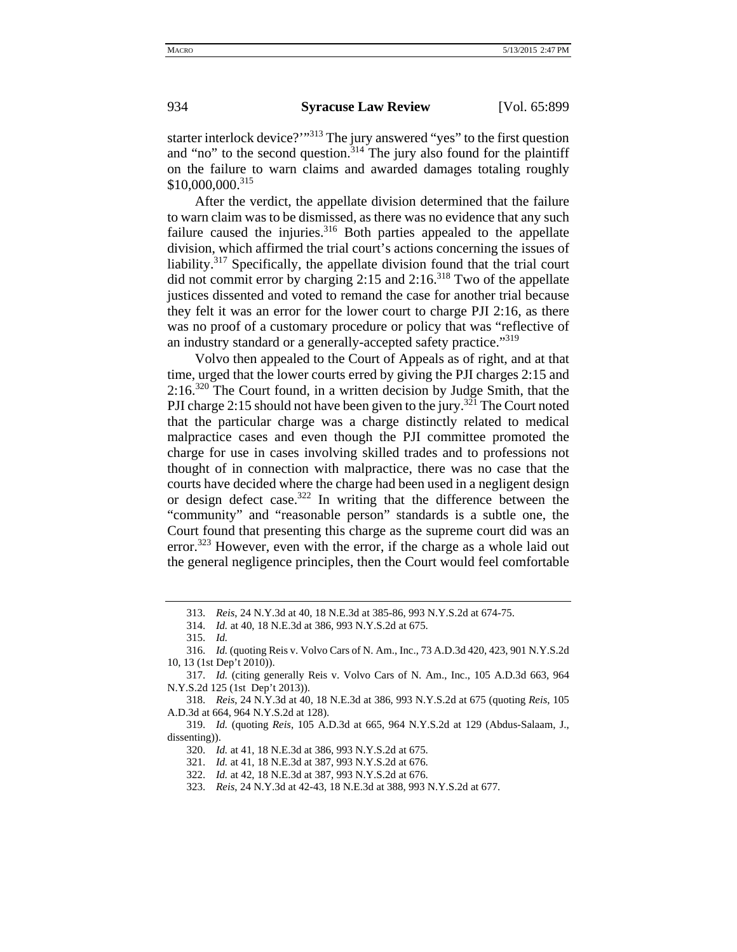starter interlock device?"<sup>313</sup> The jury answered "yes" to the first question and "no" to the second question.<sup>314</sup> The jury also found for the plaintiff on the failure to warn claims and awarded damages totaling roughly  $$10,000,000.<sup>315</sup>$ 

After the verdict, the appellate division determined that the failure to warn claim was to be dismissed, as there was no evidence that any such failure caused the injuries. $316$  Both parties appealed to the appellate division, which affirmed the trial court's actions concerning the issues of liability.317 Specifically, the appellate division found that the trial court did not commit error by charging  $2:15$  and  $2:16$ <sup>318</sup> Two of the appellate justices dissented and voted to remand the case for another trial because they felt it was an error for the lower court to charge PJI 2:16, as there was no proof of a customary procedure or policy that was "reflective of an industry standard or a generally-accepted safety practice."<sup>319</sup>

Volvo then appealed to the Court of Appeals as of right, and at that time, urged that the lower courts erred by giving the PJI charges 2:15 and 2:16.320 The Court found, in a written decision by Judge Smith, that the PJI charge 2:15 should not have been given to the jury.<sup>321</sup> The Court noted that the particular charge was a charge distinctly related to medical malpractice cases and even though the PJI committee promoted the charge for use in cases involving skilled trades and to professions not thought of in connection with malpractice, there was no case that the courts have decided where the charge had been used in a negligent design or design defect case.<sup>322</sup> In writing that the difference between the "community" and "reasonable person" standards is a subtle one, the Court found that presenting this charge as the supreme court did was an error.<sup>323</sup> However, even with the error, if the charge as a whole laid out the general negligence principles, then the Court would feel comfortable

<sup>313.</sup> *Reis*, 24 N.Y.3d at 40, 18 N.E.3d at 385-86, 993 N.Y.S.2d at 674-75.

<sup>314.</sup> *Id.* at 40, 18 N.E.3d at 386, 993 N.Y.S.2d at 675.

<sup>315.</sup> *Id.*

<sup>316.</sup> *Id.* (quoting Reis v. Volvo Cars of N. Am., Inc., 73 A.D.3d 420, 423, 901 N.Y.S.2d 10, 13 (1st Dep't 2010)).

<sup>317.</sup> *Id.* (citing generally Reis v. Volvo Cars of N. Am., Inc., 105 A.D.3d 663, 964 N.Y.S.2d 125 (1st Dep't 2013)).

<sup>318.</sup> *Reis*, 24 N.Y.3d at 40, 18 N.E.3d at 386, 993 N.Y.S.2d at 675 (quoting *Reis*, 105 A.D.3d at 664, 964 N.Y.S.2d at 128).

<sup>319.</sup> *Id.* (quoting *Reis*, 105 A.D.3d at 665, 964 N.Y.S.2d at 129 (Abdus-Salaam, J., dissenting)).

<sup>320.</sup> *Id.* at 41, 18 N.E.3d at 386, 993 N.Y.S.2d at 675.

<sup>321.</sup> *Id.* at 41, 18 N.E.3d at 387, 993 N.Y.S.2d at 676.

<sup>322.</sup> *Id.* at 42, 18 N.E.3d at 387, 993 N.Y.S.2d at 676.

<sup>323.</sup> *Reis*, 24 N.Y.3d at 42-43, 18 N.E.3d at 388, 993 N.Y.S.2d at 677.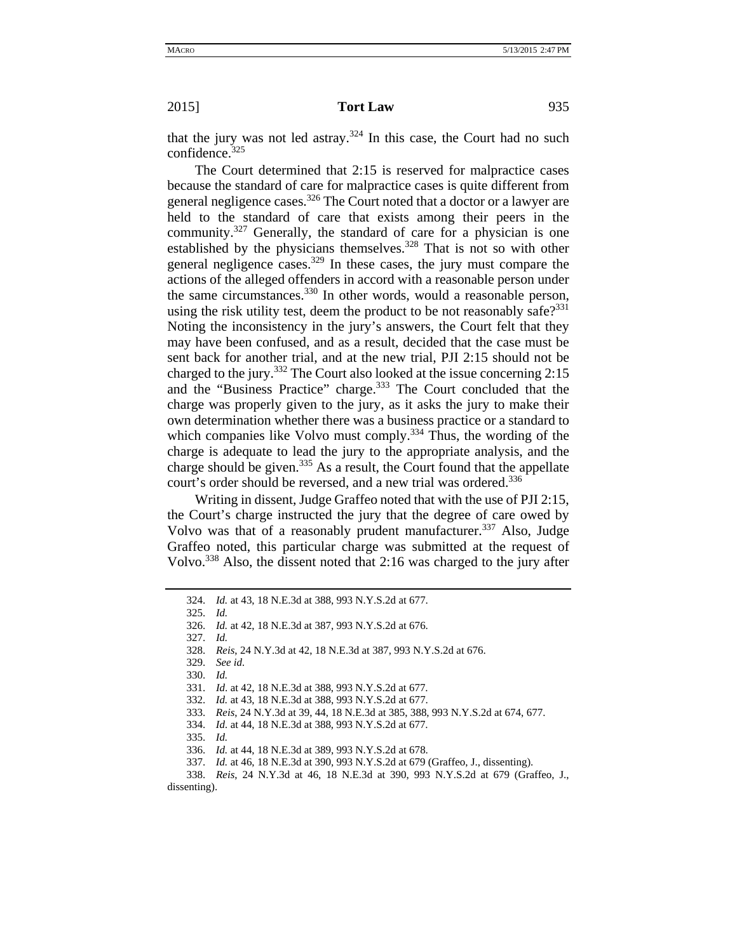that the jury was not led astray.<sup>324</sup> In this case, the Court had no such confidence.325

The Court determined that 2:15 is reserved for malpractice cases because the standard of care for malpractice cases is quite different from general negligence cases.<sup>326</sup> The Court noted that a doctor or a lawyer are held to the standard of care that exists among their peers in the community.327 Generally, the standard of care for a physician is one established by the physicians themselves.<sup>328</sup> That is not so with other general negligence cases.<sup>329</sup> In these cases, the jury must compare the actions of the alleged offenders in accord with a reasonable person under the same circumstances.<sup>330</sup> In other words, would a reasonable person, using the risk utility test, deem the product to be not reasonably safe? $331$ Noting the inconsistency in the jury's answers, the Court felt that they may have been confused, and as a result, decided that the case must be sent back for another trial, and at the new trial, PJI 2:15 should not be charged to the jury.<sup>332</sup> The Court also looked at the issue concerning 2:15 and the "Business Practice" charge.<sup>333</sup> The Court concluded that the charge was properly given to the jury, as it asks the jury to make their own determination whether there was a business practice or a standard to which companies like Volvo must comply.<sup>334</sup> Thus, the wording of the charge is adequate to lead the jury to the appropriate analysis, and the charge should be given.<sup>335</sup> As a result, the Court found that the appellate court's order should be reversed, and a new trial was ordered.<sup>336</sup>

Writing in dissent, Judge Graffeo noted that with the use of PJI 2:15, the Court's charge instructed the jury that the degree of care owed by Volvo was that of a reasonably prudent manufacturer.<sup>337</sup> Also, Judge Graffeo noted, this particular charge was submitted at the request of Volvo.338 Also, the dissent noted that 2:16 was charged to the jury after

327. *Id.*

329. *See id.*

330. *Id.*

331. *Id*. at 42, 18 N.E.3d at 388, 993 N.Y.S.2d at 677.

332. *Id.* at 43, 18 N.E.3d at 388, 993 N.Y.S.2d at 677.

- 333. *Reis*, 24 N.Y.3d at 39, 44, 18 N.E.3d at 385, 388, 993 N.Y.S.2d at 674, 677.
- 334. *Id.* at 44, 18 N.E.3d at 388, 993 N.Y.S.2d at 677.

335. *Id.*

336. *Id.* at 44, 18 N.E.3d at 389, 993 N.Y.S.2d at 678.

337. *Id.* at 46, 18 N.E.3d at 390, 993 N.Y.S.2d at 679 (Graffeo, J., dissenting).

338. *Reis*, 24 N.Y.3d at 46, 18 N.E.3d at 390, 993 N.Y.S.2d at 679 (Graffeo, J., dissenting).

<sup>324.</sup> *Id.* at 43, 18 N.E.3d at 388, 993 N.Y.S.2d at 677.

<sup>325.</sup> *Id.*

<sup>326.</sup> *Id.* at 42, 18 N.E.3d at 387, 993 N.Y.S.2d at 676.

<sup>328.</sup> *Reis*, 24 N.Y.3d at 42, 18 N.E.3d at 387, 993 N.Y.S.2d at 676.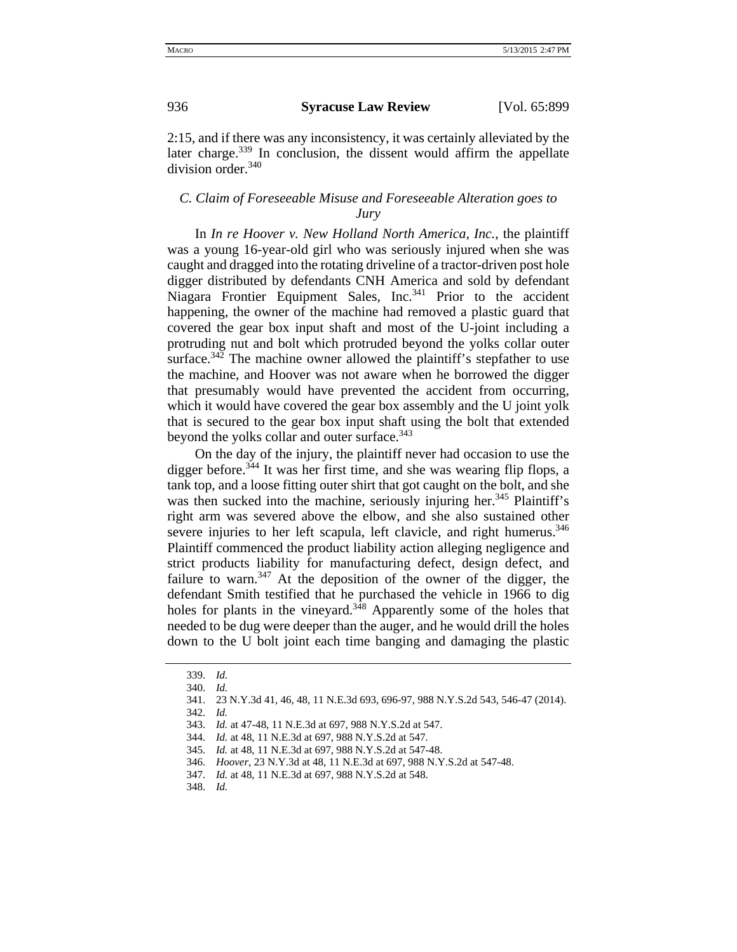2:15, and if there was any inconsistency, it was certainly alleviated by the later charge.<sup>339</sup> In conclusion, the dissent would affirm the appellate division order.<sup>340</sup>

### *C. Claim of Foreseeable Misuse and Foreseeable Alteration goes to Jury*

In *In re Hoover v. New Holland North America, Inc.*, the plaintiff was a young 16-year-old girl who was seriously injured when she was caught and dragged into the rotating driveline of a tractor-driven post hole digger distributed by defendants CNH America and sold by defendant Niagara Frontier Equipment Sales, Inc.<sup>341</sup> Prior to the accident happening, the owner of the machine had removed a plastic guard that covered the gear box input shaft and most of the U-joint including a protruding nut and bolt which protruded beyond the yolks collar outer surface.<sup>342</sup> The machine owner allowed the plaintiff's stepfather to use the machine, and Hoover was not aware when he borrowed the digger that presumably would have prevented the accident from occurring, which it would have covered the gear box assembly and the U joint yolk that is secured to the gear box input shaft using the bolt that extended beyond the yolks collar and outer surface.<sup>343</sup>

On the day of the injury, the plaintiff never had occasion to use the digger before.<sup>344</sup> It was her first time, and she was wearing flip flops, a tank top, and a loose fitting outer shirt that got caught on the bolt, and she was then sucked into the machine, seriously injuring her.<sup>345</sup> Plaintiff's right arm was severed above the elbow, and she also sustained other severe injuries to her left scapula, left clavicle, and right humerus.<sup>346</sup> Plaintiff commenced the product liability action alleging negligence and strict products liability for manufacturing defect, design defect, and failure to warn.<sup>347</sup> At the deposition of the owner of the digger, the defendant Smith testified that he purchased the vehicle in 1966 to dig holes for plants in the vineyard.<sup>348</sup> Apparently some of the holes that needed to be dug were deeper than the auger, and he would drill the holes down to the U bolt joint each time banging and damaging the plastic

<sup>339.</sup> *Id.*

<sup>340.</sup> *Id.*

<sup>341. 23</sup> N.Y.3d 41, 46, 48, 11 N.E.3d 693, 696-97, 988 N.Y.S.2d 543, 546-47 (2014).

<sup>342.</sup> *Id.*

<sup>343.</sup> *Id.* at 47-48, 11 N.E.3d at 697, 988 N.Y.S.2d at 547.

<sup>344.</sup> *Id.* at 48, 11 N.E.3d at 697, 988 N.Y.S.2d at 547.

<sup>345.</sup> *Id.* at 48, 11 N.E.3d at 697, 988 N.Y.S.2d at 547-48.

<sup>346.</sup> *Hoover*, 23 N.Y.3d at 48, 11 N.E.3d at 697, 988 N.Y.S.2d at 547-48.

<sup>347.</sup> *Id.* at 48, 11 N.E.3d at 697, 988 N.Y.S.2d at 548.

<sup>348.</sup> *Id.*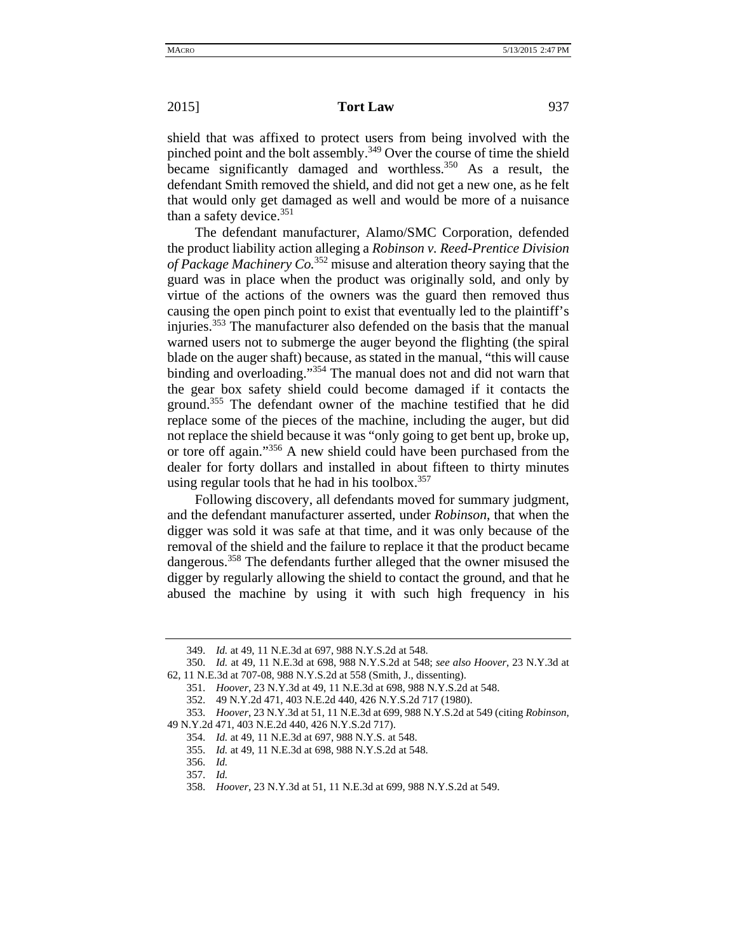shield that was affixed to protect users from being involved with the pinched point and the bolt assembly.<sup>349</sup> Over the course of time the shield became significantly damaged and worthless.<sup>350</sup> As a result, the defendant Smith removed the shield, and did not get a new one, as he felt that would only get damaged as well and would be more of a nuisance than a safety device. $351$ 

The defendant manufacturer, Alamo/SMC Corporation, defended the product liability action alleging a *Robinson v. Reed-Prentice Division of Package Machinery Co.*352 misuse and alteration theory saying that the guard was in place when the product was originally sold, and only by virtue of the actions of the owners was the guard then removed thus causing the open pinch point to exist that eventually led to the plaintiff's injuries.353 The manufacturer also defended on the basis that the manual warned users not to submerge the auger beyond the flighting (the spiral blade on the auger shaft) because, as stated in the manual, "this will cause binding and overloading."354 The manual does not and did not warn that the gear box safety shield could become damaged if it contacts the ground.355 The defendant owner of the machine testified that he did replace some of the pieces of the machine, including the auger, but did not replace the shield because it was "only going to get bent up, broke up, or tore off again."356 A new shield could have been purchased from the dealer for forty dollars and installed in about fifteen to thirty minutes using regular tools that he had in his toolbox. $357$ 

Following discovery, all defendants moved for summary judgment, and the defendant manufacturer asserted, under *Robinson*, that when the digger was sold it was safe at that time, and it was only because of the removal of the shield and the failure to replace it that the product became dangerous.<sup>358</sup> The defendants further alleged that the owner misused the digger by regularly allowing the shield to contact the ground, and that he abused the machine by using it with such high frequency in his

<sup>349.</sup> *Id.* at 49, 11 N.E.3d at 697, 988 N.Y.S.2d at 548.

<sup>350.</sup> *Id.* at 49, 11 N.E.3d at 698, 988 N.Y.S.2d at 548; *see also Hoover*, 23 N.Y.3d at 62, 11 N.E.3d at 707-08, 988 N.Y.S.2d at 558 (Smith, J., dissenting).

<sup>351.</sup> *Hoover*, 23 N.Y.3d at 49, 11 N.E.3d at 698, 988 N.Y.S.2d at 548.

<sup>352. 49</sup> N.Y.2d 471, 403 N.E.2d 440, 426 N.Y.S.2d 717 (1980).

<sup>353.</sup> *Hoover*, 23 N.Y.3d at 51, 11 N.E.3d at 699, 988 N.Y.S.2d at 549 (citing *Robinson*, 49 N.Y.2d 471, 403 N.E.2d 440, 426 N.Y.S.2d 717).

<sup>354.</sup> *Id.* at 49, 11 N.E.3d at 697, 988 N.Y.S. at 548.

<sup>355.</sup> *Id.* at 49, 11 N.E.3d at 698, 988 N.Y.S.2d at 548.

<sup>356.</sup> *Id.*

<sup>357.</sup> *Id.*

<sup>358.</sup> *Hoover*, 23 N.Y.3d at 51, 11 N.E.3d at 699, 988 N.Y.S.2d at 549.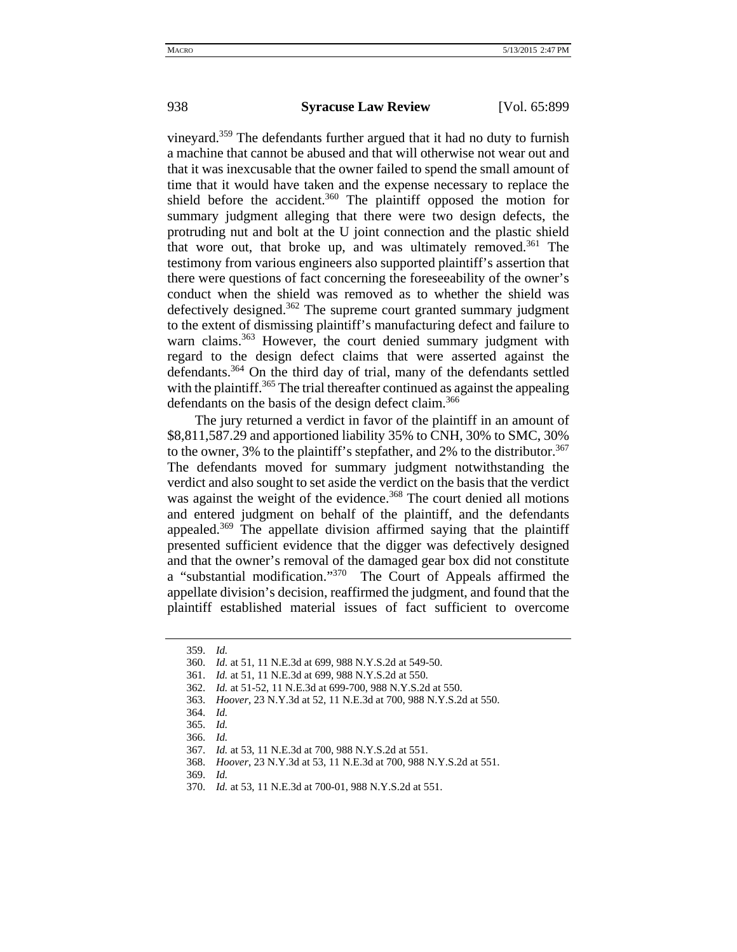vineyard.359 The defendants further argued that it had no duty to furnish a machine that cannot be abused and that will otherwise not wear out and that it was inexcusable that the owner failed to spend the small amount of time that it would have taken and the expense necessary to replace the shield before the accident.<sup>360</sup> The plaintiff opposed the motion for summary judgment alleging that there were two design defects, the protruding nut and bolt at the U joint connection and the plastic shield that wore out, that broke up, and was ultimately removed.<sup>361</sup> The testimony from various engineers also supported plaintiff's assertion that there were questions of fact concerning the foreseeability of the owner's conduct when the shield was removed as to whether the shield was defectively designed.<sup>362</sup> The supreme court granted summary judgment to the extent of dismissing plaintiff's manufacturing defect and failure to warn claims.<sup>363</sup> However, the court denied summary judgment with regard to the design defect claims that were asserted against the defendants.364 On the third day of trial, many of the defendants settled with the plaintiff.<sup>365</sup> The trial thereafter continued as against the appealing defendants on the basis of the design defect claim.<sup>366</sup>

The jury returned a verdict in favor of the plaintiff in an amount of \$8,811,587.29 and apportioned liability 35% to CNH, 30% to SMC, 30% to the owner, 3% to the plaintiff's stepfather, and 2% to the distributor.<sup>367</sup> The defendants moved for summary judgment notwithstanding the verdict and also sought to set aside the verdict on the basis that the verdict was against the weight of the evidence.<sup>368</sup> The court denied all motions and entered judgment on behalf of the plaintiff, and the defendants appealed.<sup>369</sup> The appellate division affirmed saying that the plaintiff presented sufficient evidence that the digger was defectively designed and that the owner's removal of the damaged gear box did not constitute a "substantial modification."370 The Court of Appeals affirmed the appellate division's decision, reaffirmed the judgment, and found that the plaintiff established material issues of fact sufficient to overcome

<sup>359.</sup> *Id.*

<sup>360.</sup> *Id.* at 51, 11 N.E.3d at 699, 988 N.Y.S.2d at 549-50.

<sup>361.</sup> *Id.* at 51, 11 N.E.3d at 699, 988 N.Y.S.2d at 550.

<sup>362.</sup> *Id.* at 51-52, 11 N.E.3d at 699-700, 988 N.Y.S.2d at 550.

<sup>363.</sup> *Hoover*, 23 N.Y.3d at 52, 11 N.E.3d at 700, 988 N.Y.S.2d at 550.

<sup>364.</sup> *Id.*

<sup>365.</sup> *Id.*

<sup>366.</sup> *Id.*

<sup>367.</sup> *Id.* at 53, 11 N.E.3d at 700, 988 N.Y.S.2d at 551.

<sup>368.</sup> *Hoover*, 23 N.Y.3d at 53, 11 N.E.3d at 700, 988 N.Y.S.2d at 551.

<sup>369.</sup> *Id.*

<sup>370.</sup> *Id.* at 53, 11 N.E.3d at 700-01, 988 N.Y.S.2d at 551.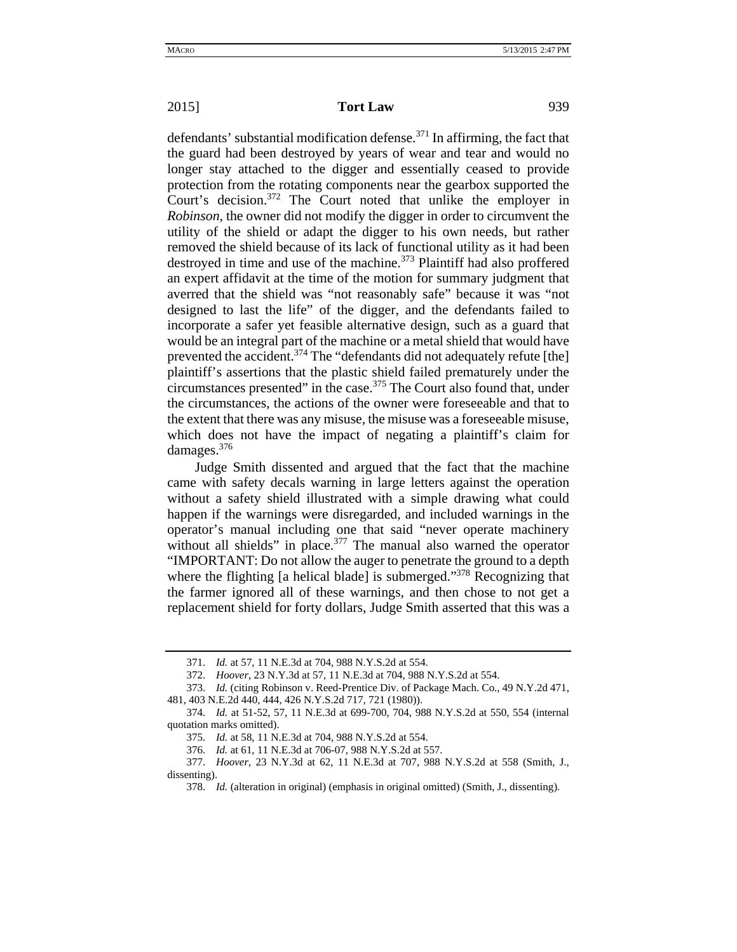defendants' substantial modification defense.<sup>371</sup> In affirming, the fact that the guard had been destroyed by years of wear and tear and would no longer stay attached to the digger and essentially ceased to provide protection from the rotating components near the gearbox supported the Court's decision.372 The Court noted that unlike the employer in *Robinson*, the owner did not modify the digger in order to circumvent the utility of the shield or adapt the digger to his own needs, but rather removed the shield because of its lack of functional utility as it had been destroyed in time and use of the machine.<sup>373</sup> Plaintiff had also proffered an expert affidavit at the time of the motion for summary judgment that averred that the shield was "not reasonably safe" because it was "not designed to last the life" of the digger, and the defendants failed to incorporate a safer yet feasible alternative design, such as a guard that would be an integral part of the machine or a metal shield that would have prevented the accident.<sup>374</sup> The "defendants did not adequately refute [the] plaintiff's assertions that the plastic shield failed prematurely under the circumstances presented" in the case.375 The Court also found that, under the circumstances, the actions of the owner were foreseeable and that to the extent that there was any misuse, the misuse was a foreseeable misuse, which does not have the impact of negating a plaintiff's claim for damages.376

Judge Smith dissented and argued that the fact that the machine came with safety decals warning in large letters against the operation without a safety shield illustrated with a simple drawing what could happen if the warnings were disregarded, and included warnings in the operator's manual including one that said "never operate machinery without all shields" in place.<sup>377</sup> The manual also warned the operator "IMPORTANT: Do not allow the auger to penetrate the ground to a depth where the flighting [a helical blade] is submerged."<sup>378</sup> Recognizing that the farmer ignored all of these warnings, and then chose to not get a replacement shield for forty dollars, Judge Smith asserted that this was a

<sup>371.</sup> *Id.* at 57, 11 N.E.3d at 704, 988 N.Y.S.2d at 554.

<sup>372.</sup> *Hoover*, 23 N.Y.3d at 57, 11 N.E.3d at 704, 988 N.Y.S.2d at 554.

<sup>373.</sup> *Id.* (citing Robinson v. Reed-Prentice Div. of Package Mach. Co., 49 N.Y.2d 471, 481, 403 N.E.2d 440, 444, 426 N.Y.S.2d 717, 721 (1980)).

<sup>374.</sup> *Id.* at 51-52, 57, 11 N.E.3d at 699-700, 704, 988 N.Y.S.2d at 550, 554 (internal quotation marks omitted).

<sup>375.</sup> *Id.* at 58, 11 N.E.3d at 704, 988 N.Y.S.2d at 554.

<sup>376.</sup> *Id.* at 61, 11 N.E.3d at 706-07, 988 N.Y.S.2d at 557.

<sup>377.</sup> *Hoover*, 23 N.Y.3d at 62, 11 N.E.3d at 707, 988 N.Y.S.2d at 558 (Smith, J., dissenting).

<sup>378.</sup> *Id.* (alteration in original) (emphasis in original omitted) (Smith, J., dissenting).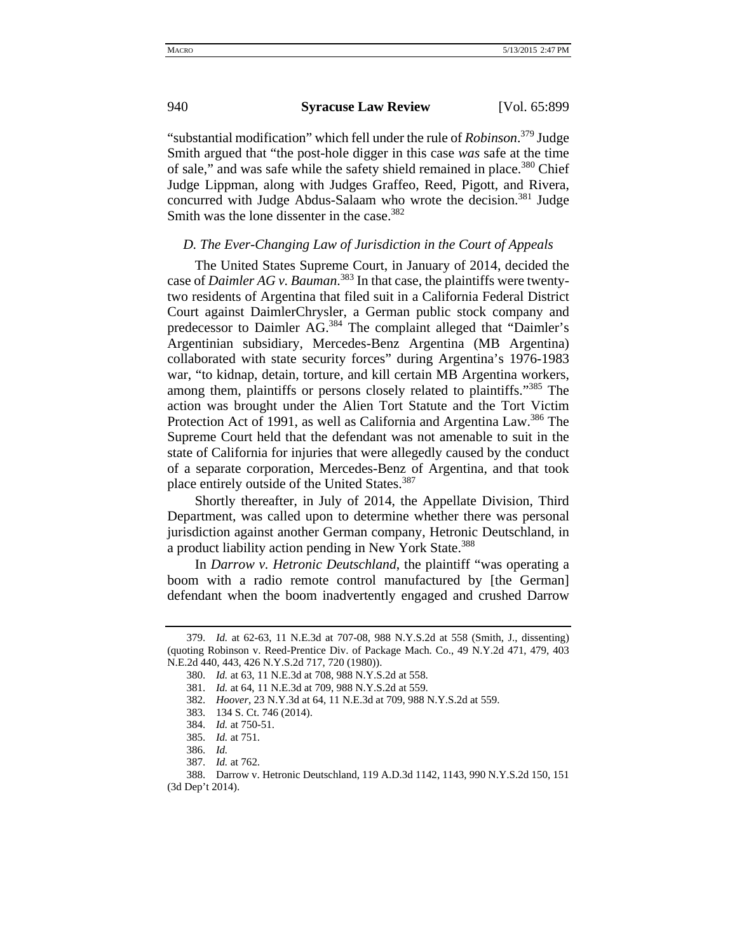"substantial modification" which fell under the rule of *Robinson*. 379 Judge Smith argued that "the post-hole digger in this case *was* safe at the time of sale," and was safe while the safety shield remained in place.<sup>380</sup> Chief Judge Lippman, along with Judges Graffeo, Reed, Pigott, and Rivera, concurred with Judge Abdus-Salaam who wrote the decision.<sup>381</sup> Judge Smith was the lone dissenter in the case.<sup>382</sup>

## *D. The Ever-Changing Law of Jurisdiction in the Court of Appeals*

The United States Supreme Court, in January of 2014, decided the case of *Daimler AG v. Bauman*. 383 In that case, the plaintiffs were twentytwo residents of Argentina that filed suit in a California Federal District Court against DaimlerChrysler, a German public stock company and predecessor to Daimler AG.<sup>384</sup> The complaint alleged that "Daimler's Argentinian subsidiary, Mercedes-Benz Argentina (MB Argentina) collaborated with state security forces" during Argentina's 1976-1983 war, "to kidnap, detain, torture, and kill certain MB Argentina workers, among them, plaintiffs or persons closely related to plaintiffs."<sup>385</sup> The action was brought under the Alien Tort Statute and the Tort Victim Protection Act of 1991, as well as California and Argentina Law.<sup>386</sup> The Supreme Court held that the defendant was not amenable to suit in the state of California for injuries that were allegedly caused by the conduct of a separate corporation, Mercedes-Benz of Argentina, and that took place entirely outside of the United States.<sup>387</sup>

Shortly thereafter, in July of 2014, the Appellate Division, Third Department, was called upon to determine whether there was personal jurisdiction against another German company, Hetronic Deutschland, in a product liability action pending in New York State.<sup>388</sup>

In *Darrow v. Hetronic Deutschland*, the plaintiff "was operating a boom with a radio remote control manufactured by [the German] defendant when the boom inadvertently engaged and crushed Darrow

<sup>379.</sup> *Id.* at 62-63, 11 N.E.3d at 707-08, 988 N.Y.S.2d at 558 (Smith, J., dissenting) (quoting Robinson v. Reed-Prentice Div. of Package Mach. Co., 49 N.Y.2d 471, 479, 403 N.E.2d 440, 443, 426 N.Y.S.2d 717, 720 (1980)).

<sup>380.</sup> *Id.* at 63, 11 N.E.3d at 708, 988 N.Y.S.2d at 558.

<sup>381.</sup> *Id.* at 64, 11 N.E.3d at 709, 988 N.Y.S.2d at 559.

<sup>382.</sup> *Hoover*, 23 N.Y.3d at 64, 11 N.E.3d at 709, 988 N.Y.S.2d at 559.

<sup>383. 134</sup> S. Ct. 746 (2014).

<sup>384.</sup> *Id.* at 750-51.

<sup>385.</sup> *Id.* at 751.

<sup>386.</sup> *Id.*

<sup>387.</sup> *Id.* at 762.

<sup>388.</sup> Darrow v. Hetronic Deutschland, 119 A.D.3d 1142, 1143, 990 N.Y.S.2d 150, 151 (3d Dep't 2014).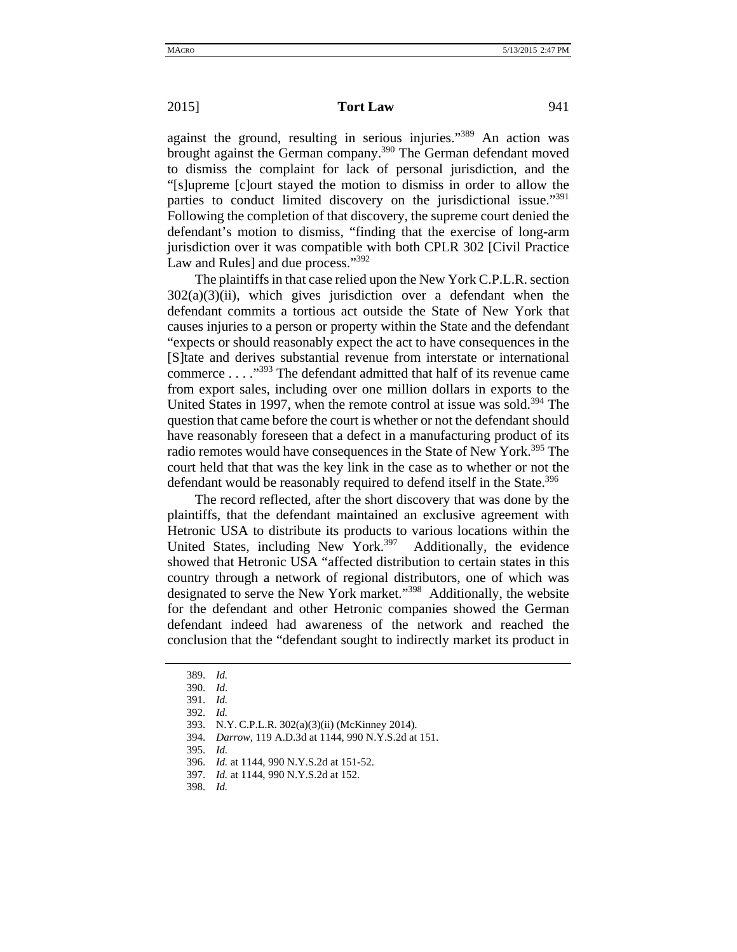against the ground, resulting in serious injuries."389 An action was brought against the German company.<sup>390</sup> The German defendant moved to dismiss the complaint for lack of personal jurisdiction, and the "[s]upreme [c]ourt stayed the motion to dismiss in order to allow the parties to conduct limited discovery on the jurisdictional issue."<sup>391</sup> Following the completion of that discovery, the supreme court denied the defendant's motion to dismiss, "finding that the exercise of long-arm jurisdiction over it was compatible with both CPLR 302 [Civil Practice Law and Rules] and due process."<sup>392</sup>

The plaintiffs in that case relied upon the New York C.P.L.R. section  $302(a)(3)(ii)$ , which gives jurisdiction over a defendant when the defendant commits a tortious act outside the State of New York that causes injuries to a person or property within the State and the defendant "expects or should reasonably expect the act to have consequences in the [S]tate and derives substantial revenue from interstate or international commerce . . . ."393 The defendant admitted that half of its revenue came from export sales, including over one million dollars in exports to the United States in 1997, when the remote control at issue was sold.<sup>394</sup> The question that came before the court is whether or not the defendant should have reasonably foreseen that a defect in a manufacturing product of its radio remotes would have consequences in the State of New York.<sup>395</sup> The court held that that was the key link in the case as to whether or not the defendant would be reasonably required to defend itself in the State.<sup>396</sup>

The record reflected, after the short discovery that was done by the plaintiffs, that the defendant maintained an exclusive agreement with Hetronic USA to distribute its products to various locations within the United States, including New York.<sup>397</sup> Additionally, the evidence showed that Hetronic USA "affected distribution to certain states in this country through a network of regional distributors, one of which was designated to serve the New York market."398 Additionally, the website for the defendant and other Hetronic companies showed the German defendant indeed had awareness of the network and reached the conclusion that the "defendant sought to indirectly market its product in

395. *Id.*

<sup>389.</sup> *Id.*

<sup>390.</sup> *Id.* 

<sup>391.</sup> *Id.*

<sup>392.</sup> *Id.*

<sup>393.</sup> N.Y. C.P.L.R. 302(a)(3)(ii) (McKinney 2014).

<sup>394.</sup> *Darrow*, 119 A.D.3d at 1144, 990 N.Y.S.2d at 151.

<sup>396.</sup> *Id.* at 1144, 990 N.Y.S.2d at 151-52.

<sup>397.</sup> *Id.* at 1144, 990 N.Y.S.2d at 152.

<sup>398.</sup> *Id.*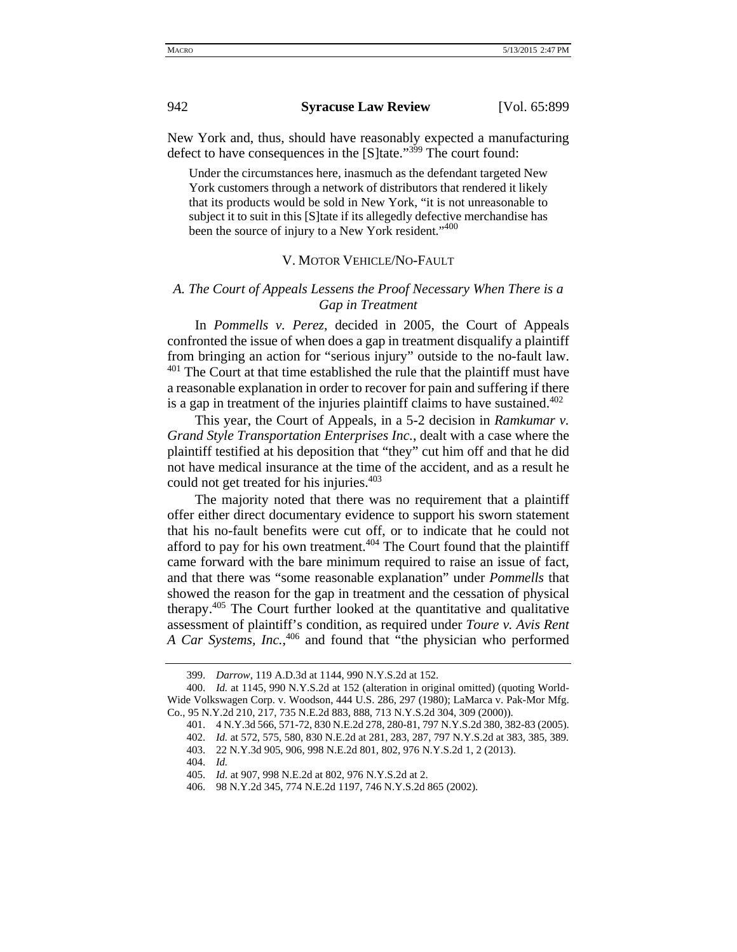New York and, thus, should have reasonably expected a manufacturing defect to have consequences in the [S]tate."<sup>399</sup> The court found:

Under the circumstances here, inasmuch as the defendant targeted New York customers through a network of distributors that rendered it likely that its products would be sold in New York, "it is not unreasonable to subject it to suit in this [S]tate if its allegedly defective merchandise has been the source of injury to a New York resident."400

## V. MOTOR VEHICLE/NO-FAULT

## *A. The Court of Appeals Lessens the Proof Necessary When There is a Gap in Treatment*

In *Pommells v. Perez*, decided in 2005, the Court of Appeals confronted the issue of when does a gap in treatment disqualify a plaintiff from bringing an action for "serious injury" outside to the no-fault law.  $401$  The Court at that time established the rule that the plaintiff must have a reasonable explanation in order to recover for pain and suffering if there is a gap in treatment of the injuries plaintiff claims to have sustained.<sup>402</sup>

This year, the Court of Appeals, in a 5-2 decision in *Ramkumar v. Grand Style Transportation Enterprises Inc.*, dealt with a case where the plaintiff testified at his deposition that "they" cut him off and that he did not have medical insurance at the time of the accident, and as a result he could not get treated for his injuries.<sup>403</sup>

The majority noted that there was no requirement that a plaintiff offer either direct documentary evidence to support his sworn statement that his no-fault benefits were cut off, or to indicate that he could not afford to pay for his own treatment.<sup> $404$ </sup> The Court found that the plaintiff came forward with the bare minimum required to raise an issue of fact, and that there was "some reasonable explanation" under *Pommells* that showed the reason for the gap in treatment and the cessation of physical therapy.405 The Court further looked at the quantitative and qualitative assessment of plaintiff's condition, as required under *Toure v. Avis Rent A Car Systems, Inc.*, 406 and found that "the physician who performed

<sup>399.</sup> *Darrow*, 119 A.D.3d at 1144, 990 N.Y.S.2d at 152.

<sup>400.</sup> *Id.* at 1145, 990 N.Y.S.2d at 152 (alteration in original omitted) (quoting World-Wide Volkswagen Corp. v. Woodson, 444 U.S. 286, 297 (1980); LaMarca v. Pak-Mor Mfg. Co., 95 N.Y.2d 210, 217, 735 N.E.2d 883, 888, 713 N.Y.S.2d 304, 309 (2000)).

<sup>401. 4</sup> N.Y.3d 566, 571-72, 830 N.E.2d 278, 280-81, 797 N.Y.S.2d 380, 382-83 (2005).

<sup>402.</sup> *Id.* at 572, 575, 580, 830 N.E.2d at 281, 283, 287, 797 N.Y.S.2d at 383, 385, 389.

<sup>403. 22</sup> N.Y.3d 905, 906, 998 N.E.2d 801, 802, 976 N.Y.S.2d 1, 2 (2013).

<sup>404.</sup> *Id.*

<sup>405.</sup> *Id.* at 907, 998 N.E.2d at 802, 976 N.Y.S.2d at 2.

<sup>406. 98</sup> N.Y.2d 345, 774 N.E.2d 1197, 746 N.Y.S.2d 865 (2002).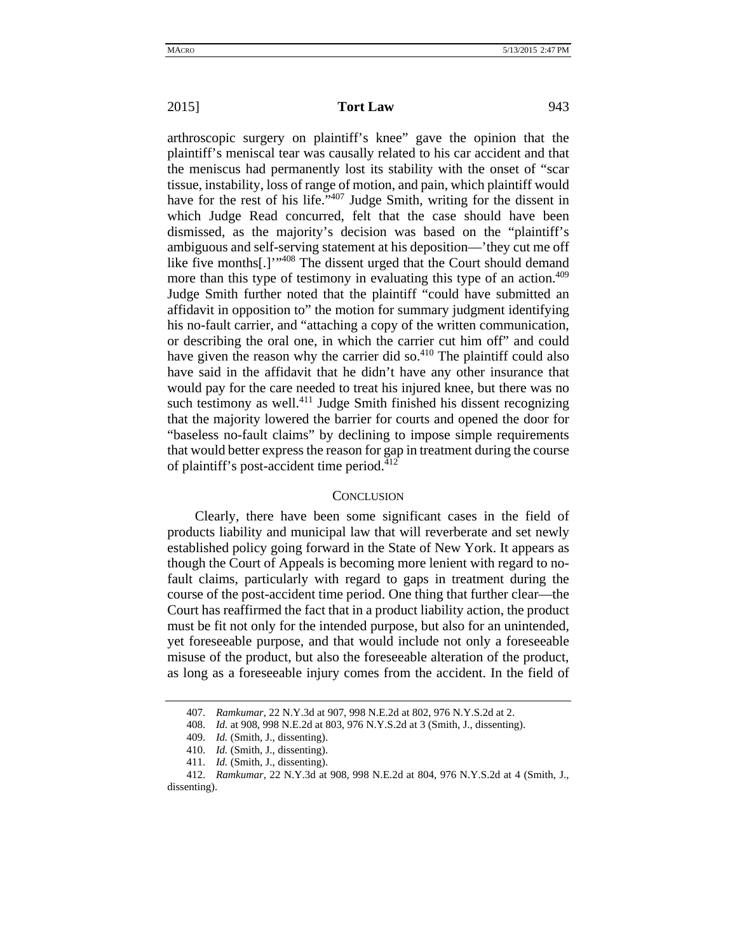arthroscopic surgery on plaintiff's knee" gave the opinion that the plaintiff's meniscal tear was causally related to his car accident and that the meniscus had permanently lost its stability with the onset of "scar tissue, instability, loss of range of motion, and pain, which plaintiff would have for the rest of his life."<sup>407</sup> Judge Smith, writing for the dissent in which Judge Read concurred, felt that the case should have been dismissed, as the majority's decision was based on the "plaintiff's ambiguous and self-serving statement at his deposition—'they cut me off like five months[.]'"<sup>408</sup> The dissent urged that the Court should demand more than this type of testimony in evaluating this type of an action.<sup>409</sup> Judge Smith further noted that the plaintiff "could have submitted an affidavit in opposition to" the motion for summary judgment identifying his no-fault carrier, and "attaching a copy of the written communication, or describing the oral one, in which the carrier cut him off" and could have given the reason why the carrier did so. $410$  The plaintiff could also have said in the affidavit that he didn't have any other insurance that would pay for the care needed to treat his injured knee, but there was no such testimony as well.<sup>411</sup> Judge Smith finished his dissent recognizing that the majority lowered the barrier for courts and opened the door for "baseless no-fault claims" by declining to impose simple requirements that would better express the reason for gap in treatment during the course of plaintiff's post-accident time period.<sup>412</sup>

## **CONCLUSION**

Clearly, there have been some significant cases in the field of products liability and municipal law that will reverberate and set newly established policy going forward in the State of New York. It appears as though the Court of Appeals is becoming more lenient with regard to nofault claims, particularly with regard to gaps in treatment during the course of the post-accident time period. One thing that further clear—the Court has reaffirmed the fact that in a product liability action, the product must be fit not only for the intended purpose, but also for an unintended, yet foreseeable purpose, and that would include not only a foreseeable misuse of the product, but also the foreseeable alteration of the product, as long as a foreseeable injury comes from the accident. In the field of

<sup>407.</sup> *Ramkumar*, 22 N.Y.3d at 907, 998 N.E.2d at 802, 976 N.Y.S.2d at 2.

<sup>408.</sup> *Id.* at 908, 998 N.E.2d at 803, 976 N.Y.S.2d at 3 (Smith, J., dissenting).

<sup>409.</sup> *Id.* (Smith, J., dissenting).

<sup>410.</sup> *Id.* (Smith, J., dissenting).

<sup>411.</sup> *Id.* (Smith, J., dissenting).

<sup>412.</sup> *Ramkumar*, 22 N.Y.3d at 908, 998 N.E.2d at 804, 976 N.Y.S.2d at 4 (Smith, J., dissenting).